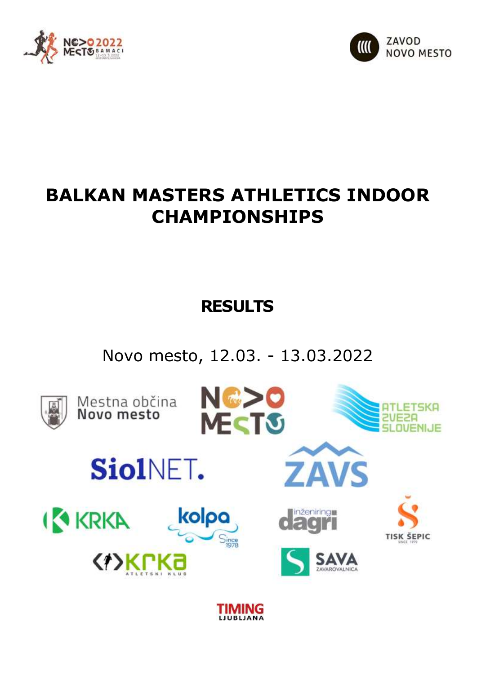



# **BALKAN MASTERS ATHLETICS INDOOR CHAMPIONSHIPS**

# **RESULTS**

Novo mesto, 12.03. - 13.03.2022

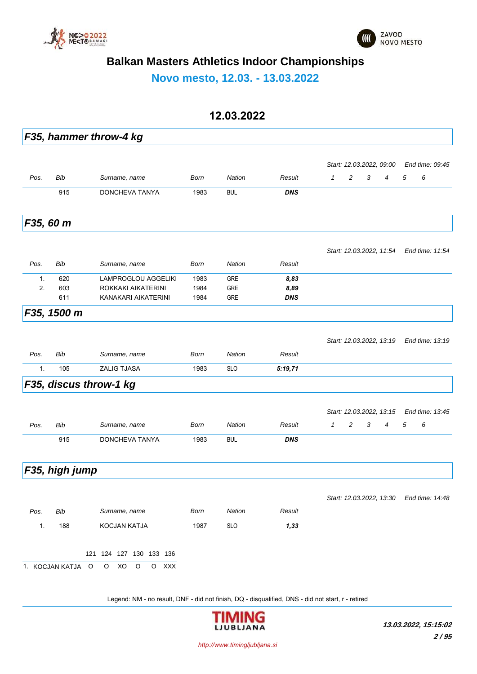



**Novo mesto, 12.03. - 13.03.2022**

#### **12.03.2022**

|                |                |                         |             |            |            |              |   |   | Start: 12.03.2022, 09.00 |   | End time: 09:45 |  |
|----------------|----------------|-------------------------|-------------|------------|------------|--------------|---|---|--------------------------|---|-----------------|--|
| Pos.           | Bib            | Surname, name           | <b>Born</b> | Nation     | Result     | $\mathcal I$ | 2 | 3 | $\overline{4}$           | 5 | 6               |  |
|                | 915            | DONCHEVA TANYA          | 1983        | <b>BUL</b> | <b>DNS</b> |              |   |   |                          |   |                 |  |
|                | F35, 60 m      |                         |             |            |            |              |   |   |                          |   |                 |  |
|                |                |                         |             |            |            |              |   |   | Start: 12.03.2022, 11:54 |   | End time: 11:54 |  |
| Pos.           | Bib            | Surname, name           | Born        | Nation     | Result     |              |   |   |                          |   |                 |  |
| 1.             | 620            | LAMPROGLOU AGGELIKI     | 1983        | <b>GRE</b> | 8,83       |              |   |   |                          |   |                 |  |
| 2.             | 603            | ROKKAKI AIKATERINI      | 1984        | GRE        | 8,89       |              |   |   |                          |   |                 |  |
|                | 611            | KANAKARI AIKATERINI     | 1984        | GRE        | <b>DNS</b> |              |   |   |                          |   |                 |  |
|                | F35, 1500 m    |                         |             |            |            |              |   |   |                          |   |                 |  |
|                |                |                         |             |            |            |              |   |   | Start: 12.03.2022, 13:19 |   | End time: 13:19 |  |
| Pos.           | Bib            | Surname, name           | Born        | Nation     | Result     |              |   |   |                          |   |                 |  |
| $\mathbf{1}$ . | 105            | <b>ZALIG TJASA</b>      | 1983        | <b>SLO</b> | 5:19,71    |              |   |   |                          |   |                 |  |
|                |                | F35, discus throw-1 kg  |             |            |            |              |   |   |                          |   |                 |  |
|                |                |                         |             |            |            |              |   |   | Start: 12.03.2022, 13:15 |   | End time: 13:45 |  |
| Pos.           | Bib            | Surname, name           | Born        | Nation     | Result     | $\mathbf{1}$ | 2 | 3 | $\overline{4}$           | 5 | 6               |  |
|                | 915            | DONCHEVA TANYA          | 1983        | <b>BUL</b> | <b>DNS</b> |              |   |   |                          |   |                 |  |
|                | F35, high jump |                         |             |            |            |              |   |   |                          |   |                 |  |
|                |                |                         |             |            |            |              |   |   | Start: 12.03.2022, 13.30 |   | End time: 14:48 |  |
| Pos.           | Bib            | Surname, name           | Born        | Nation     | Result     |              |   |   |                          |   |                 |  |
| 1.             | 188            | KOCJAN KATJA            | 1987        | <b>SLO</b> | 1,33       |              |   |   |                          |   |                 |  |
|                |                | 121 124 127 130 133 136 |             |            |            |              |   |   |                          |   |                 |  |
|                |                |                         |             |            |            |              |   |   |                          |   |                 |  |

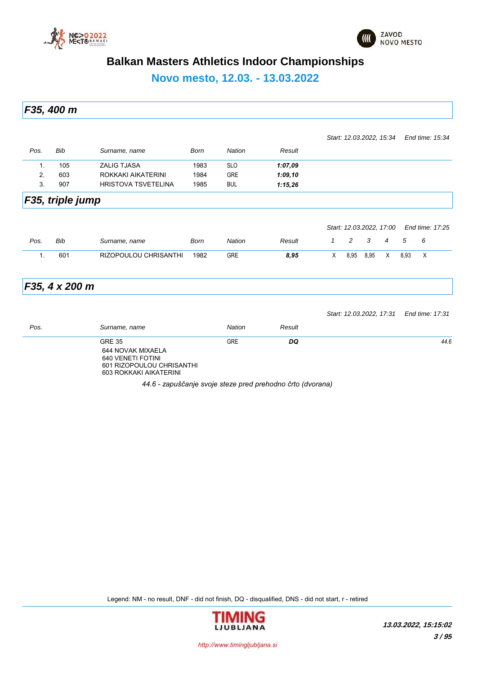



**Novo mesto, 12.03. - 13.03.2022**

*F35, 400 m*

|      |                  |                              |             |               |         |   | Start: 12.03.2022, 15:34 |      |   |      | End time: 15:34 |
|------|------------------|------------------------------|-------------|---------------|---------|---|--------------------------|------|---|------|-----------------|
| Pos. | Bib              | Surname, name                | <b>Born</b> | Nation        | Result  |   |                          |      |   |      |                 |
| 1.   | 105              | <b>ZALIG TJASA</b>           | 1983        | <b>SLO</b>    | 1:07,09 |   |                          |      |   |      |                 |
| 2.   | 603              | ROKKAKI AIKATERINI           | 1984        | <b>GRE</b>    | 1:09,10 |   |                          |      |   |      |                 |
| 3.   | 907              | <b>HRISTOVA TSVETELINA</b>   | 1985        | <b>BUL</b>    | 1:15,26 |   |                          |      |   |      |                 |
|      | F35, triple jump |                              |             |               |         |   | Start: 12.03.2022, 17.00 |      |   |      | End time: 17:25 |
| Pos. | Bib              | Surname, name                | <b>Born</b> | <b>Nation</b> | Result  | 1 | 2                        | 3    | 4 | 5    | 6               |
| 1.   | 601              | <b>RIZOPOULOU CHRISANTHI</b> | 1982        | <b>GRE</b>    | 8,95    | X | 8,95                     | 8,95 | X | 8,93 | $\times$        |

### *F35, 4 x 200 m*

|      |                                                                                                                |               |        | Start: 12.03.2022, 17:31 End time: 17:31 |      |
|------|----------------------------------------------------------------------------------------------------------------|---------------|--------|------------------------------------------|------|
| Pos. | Surname, name                                                                                                  | <b>Nation</b> | Result |                                          |      |
|      | <b>GRE 35</b><br>644 NOVAK MIXAELA<br>640 VENETI FOTINI<br>601 RIZOPOULOU CHRISANTHI<br>603 ROKKAKI AIKATERINI | <b>GRE</b>    | DQ     |                                          | 44.6 |

*44.6 - zapuščanje svoje steze pred prehodno črto (dvorana)*

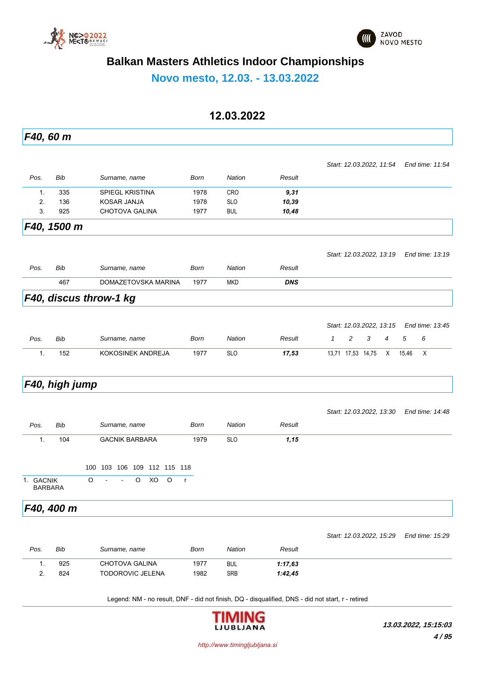



**Novo mesto, 12.03. - 13.03.2022**

#### **12.03.2022**

*F40, 60 m Pos. Bib Surname, name Born Nation Result Start: 12.03.2022, 11:54 End time: 11:54* 1. 335 SPIEGL KRISTINA 1978 CRO *9,31* 2. 136 KOSAR JANJA 1978 SLO *10,39* 3. 925 CHOTOVA GALINA 1977 BUL *10,48 F40, 1500 m Pos. Bib Surname, name Born Nation Result Start: 12.03.2022, 13:19 End time: 13:19* 467 DOMAZETOVSKA MARINA 1977 MKD *DNS F40, discus throw-1 kg Pos. Bib Surname, name Born Nation Result Start: 12.03.2022, 13:15 End time: 13:45 1 2 3 4 5 6* 1. 152 KOKOSINEK ANDREJA 1977 SLO *17,53* 13,71 17,53 14,75 X 15,46 X *F40, high jump Pos. Bib Surname, name Born Nation Result Start: 12.03.2022, 13:30 End time: 14:48* 1. 104 GACNIK BARBARA 1979 SLO *1,15* 100 103 106 109 112 115 118 1. GACNIK O - - O XO O r BARBARA *F40, 400 m Pos. Bib Surname, name Born Nation Result Start: 12.03.2022, 15:29 End time: 15:29* 1. 925 CHOTOVA GALINA 1977 BUL *1:17,63* 2. 824 TODOROVIC JELENA 1982 SRB *1:42,45*

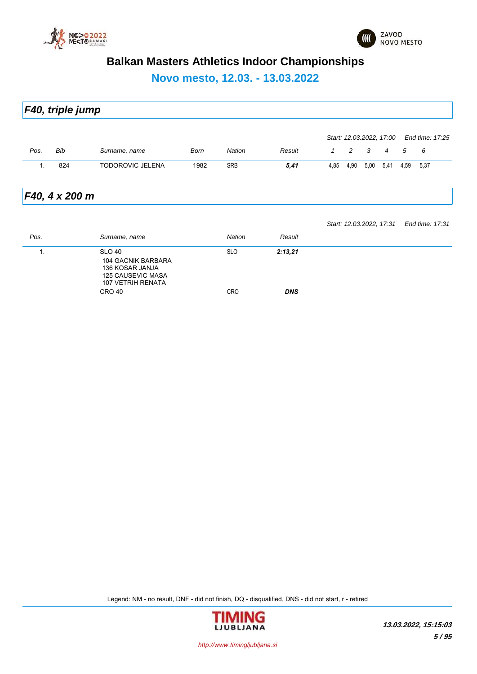

125 CAUSEVIC MASA 107 VETRIH RENATA



### **Balkan Masters Athletics Indoor Championships**

**Novo mesto, 12.03. - 13.03.2022**

*F40, triple jump Pos. Bib Surname, name Born Nation Result Start: 12.03.2022, 17:00 End time: 17:25 1 2 3 4 5 6* 1. 824 TODOROVIC JELENA 1982 SRB *5,41* 4,85 4,90 5,00 5,41 4,59 5,37 *F40, 4 x 200 m Pos. Surname, name Nation Result Start: 12.03.2022, 17:31 End time: 17:31* 1. SLO 40 SLO *2:13,21* 104 GACNIK BARBARA 136 KOSAR JANJA

CRO 40 CRO *DNS*

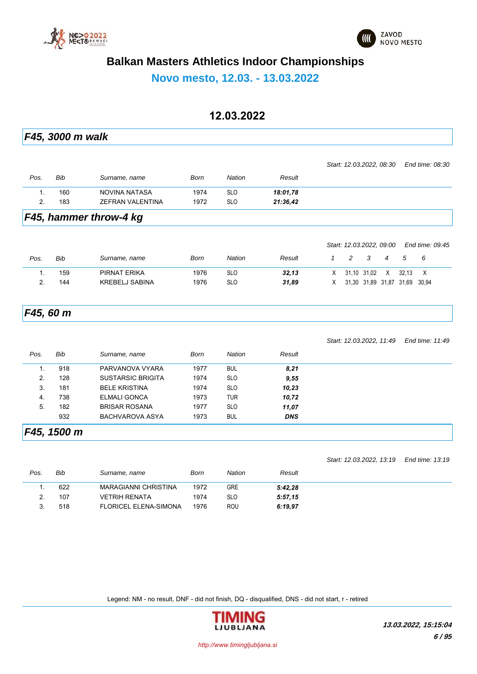



**Novo mesto, 12.03. - 13.03.2022**

**12.03.2022** *F45, 3000 m walk Pos. Bib Surname, name Born Nation Result Start: 12.03.2022, 08:30 End time: 08:30* 1. 160 NOVINA NATASA 1974 SLO *18:01,78* 2. 183 ZEFRAN VALENTINA 1972 SLO *21:36,42 F45, hammer throw-4 kg Pos. Bib Surname, name Born Nation Result Start: 12.03.2022, 09:00 End time: 09:45 1 2 3 4 5 6* 1. 159 PIRNAT ERIKA 1976 SLO *32,13* X 31,10 31,02 X 32,13 X 2. 144 KREBELJ SABINA 1976 SLO *31,89* X 31,30 31,89 31,87 31,69 30,94 *F45, 60 m Pos. Bib Surname, name Born Nation Result Start: 12.03.2022, 11:49 End time: 11:49* 1. 918 PARVANOVA VYARA 1977 BUL *8,21* 2. 128 SUSTARSIC BRIGITA 1974 SLO *9,55* 3. 181 BELE KRISTINA 1974 SLO *10,23* 4. 738 ELMALI GONCA 1973 TUR *10,72* 5. 182 BRISAR ROSANA 1977 SLO *11,07* 932 BACHVAROVA ASYA 1973 BUL *DNS F45, 1500 m*

| Pos. | Bib | Surname, name                | Born | Nation     | Result  |
|------|-----|------------------------------|------|------------|---------|
|      | 622 | <b>MARAGIANNI CHRISTINA</b>  | 1972 | GRE        | 5:42,28 |
|      | 107 | <b>VETRIH RENATA</b>         | 1974 | <b>SLO</b> | 5:57,15 |
|      | 518 | <b>FLORICEL ELENA-SIMONA</b> | 1976 | <b>ROU</b> | 6:19.97 |

Legend: NM - no result, DNF - did not finish, DQ - disqualified, DNS - did not start, r - retired



*Start: 12.03.2022, 13:19 End time: 13:19*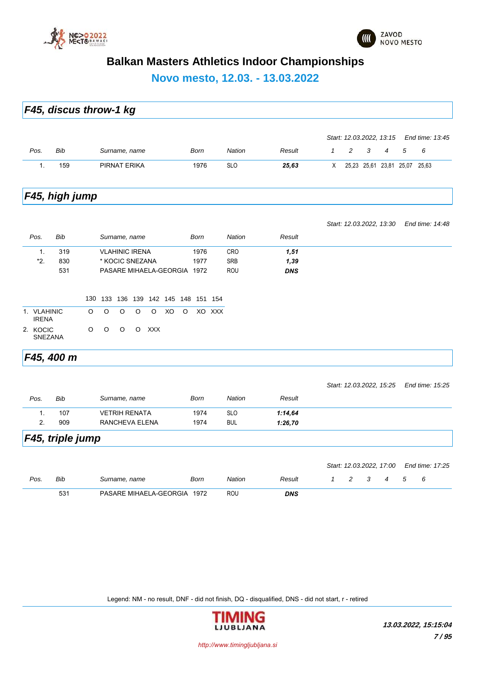

**Novo mesto, 12.03. - 13.03.2022**

|                             | F45, discus throw-1 kg |     |         |                                 |   |            |    |   |             |        |               |            |              |   |   |                               |   |                 |  |
|-----------------------------|------------------------|-----|---------|---------------------------------|---|------------|----|---|-------------|--------|---------------|------------|--------------|---|---|-------------------------------|---|-----------------|--|
|                             |                        |     |         |                                 |   |            |    |   |             |        |               |            |              |   |   | Start: 12.03.2022, 13:15      |   | End time: 13:45 |  |
| Pos.                        | <b>Bib</b>             |     |         | Surname, name                   |   |            |    |   | <b>Born</b> |        | <b>Nation</b> | Result     | $\mathbf{1}$ | 2 | 3 | $\overline{4}$                | 5 | 6               |  |
| 1.                          | 159                    |     |         | PIRNAT ERIKA                    |   |            |    |   | 1976        |        | <b>SLO</b>    | 25,63      | Χ            |   |   | 25,23 25,61 23,81 25,07 25,63 |   |                 |  |
|                             | F45, high jump         |     |         |                                 |   |            |    |   |             |        |               |            |              |   |   |                               |   |                 |  |
|                             |                        |     |         |                                 |   |            |    |   |             |        |               |            |              |   |   | Start: 12.03.2022, 13:30      |   | End time: 14:48 |  |
| Pos.                        | Bib                    |     |         | Surname, name                   |   |            |    |   | <b>Born</b> |        | <b>Nation</b> | Result     |              |   |   |                               |   |                 |  |
| 1.                          | 319                    |     |         | <b>VLAHINIC IRENA</b>           |   |            |    |   | 1976        |        | <b>CRO</b>    | 1,51       |              |   |   |                               |   |                 |  |
| *2.                         | 830                    |     |         | * KOCIC SNEZANA                 |   |            |    |   | 1977        |        | <b>SRB</b>    | 1,39       |              |   |   |                               |   |                 |  |
|                             | 531                    |     |         | PASARE MIHAELA-GEORGIA 1972     |   |            |    |   |             |        | ROU           | <b>DNS</b> |              |   |   |                               |   |                 |  |
|                             |                        | 130 |         | 133 136 139 142 145 148 151 154 |   |            |    |   |             |        |               |            |              |   |   |                               |   |                 |  |
| 1. VLAHINIC<br><b>IRENA</b> |                        | O   | $\circ$ | O                               | O | O          | XO | O |             | XO XXX |               |            |              |   |   |                               |   |                 |  |
| 2. KOCIC                    | <b>SNEZANA</b>         | O   | O       | O                               | O | <b>XXX</b> |    |   |             |        |               |            |              |   |   |                               |   |                 |  |
|                             | F45, 400 m             |     |         |                                 |   |            |    |   |             |        |               |            |              |   |   |                               |   |                 |  |
|                             |                        |     |         |                                 |   |            |    |   |             |        |               |            |              |   |   | Start: 12.03.2022, 15:25      |   | End time: 15:25 |  |
| Pos.                        | Bib                    |     |         | Surname, name                   |   |            |    |   | Born        |        | <b>Nation</b> | Result     |              |   |   |                               |   |                 |  |
| $\mathbf{1}$ .              | 107                    |     |         | <b>VETRIH RENATA</b>            |   |            |    |   | 1974        |        | <b>SLO</b>    | 1:14,64    |              |   |   |                               |   |                 |  |
| 2.                          | 909                    |     |         | RANCHEVA ELENA                  |   |            |    |   | 1974        |        | <b>BUL</b>    | 1:26,70    |              |   |   |                               |   |                 |  |
|                             | F45, triple jump       |     |         |                                 |   |            |    |   |             |        |               |            |              |   |   |                               |   |                 |  |
|                             |                        |     |         |                                 |   |            |    |   |             |        |               |            |              |   |   | Start: 12.03.2022, 17:00      |   | End time: 17:25 |  |
| Pos.                        | Bib                    |     |         | Surname, name                   |   |            |    |   | <b>Born</b> |        | <b>Nation</b> | Result     | $\mathbf{1}$ | 2 | 3 | 4                             | 5 | 6               |  |
|                             | 531                    |     |         | PASARE MIHAELA-GEORGIA 1972     |   |            |    |   |             |        | <b>ROU</b>    | <b>DNS</b> |              |   |   |                               |   |                 |  |

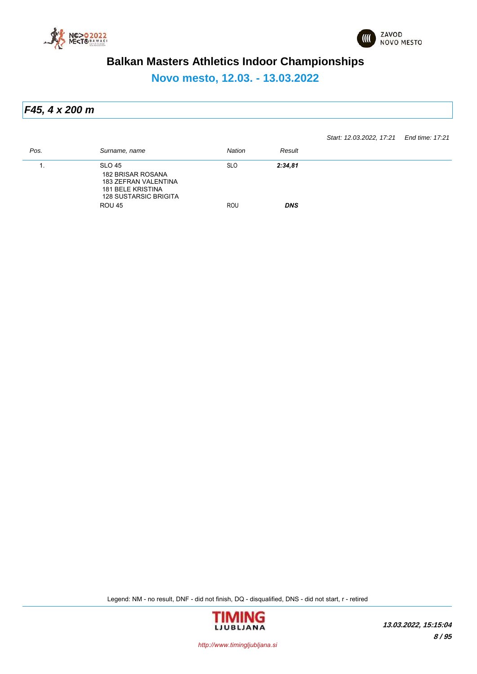



**Novo mesto, 12.03. - 13.03.2022**

*F45, 4 x 200 m*

*Start: 12.03.2022, 17:21 End time: 17:21*

| Pos. | Surname, name                                                                                                          | <b>Nation</b> | Result     |
|------|------------------------------------------------------------------------------------------------------------------------|---------------|------------|
| . .  | SLO 45<br><b>182 BRISAR ROSANA</b><br>183 ZEFRAN VALENTINA<br><b>181 BELE KRISTINA</b><br><b>128 SUSTARSIC BRIGITA</b> | <b>SLO</b>    | 2:34,81    |
|      | <b>ROU 45</b>                                                                                                          | ROU           | <b>DNS</b> |

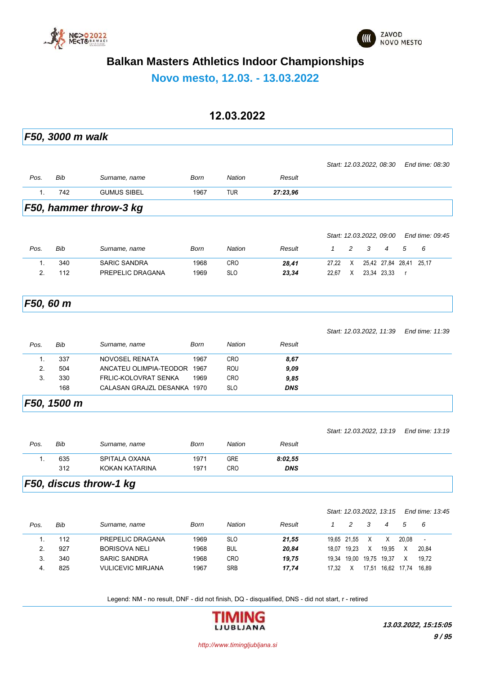



**Novo mesto, 12.03. - 13.03.2022**

### **12.03.2022**

|           | F50, 3000 m walk |                             |      |               |            |              |                  |                          |                   |          |                          |
|-----------|------------------|-----------------------------|------|---------------|------------|--------------|------------------|--------------------------|-------------------|----------|--------------------------|
|           |                  |                             |      |               |            |              |                  | Start: 12.03.2022, 08:30 |                   |          | End time: 08:30          |
| Pos.      | Bib              | Surname, name               | Born | <b>Nation</b> | Result     |              |                  |                          |                   |          |                          |
| 1.        | 742              | <b>GUMUS SIBEL</b>          | 1967 | <b>TUR</b>    | 27:23,96   |              |                  |                          |                   |          |                          |
|           |                  | F50, hammer throw-3 kg      |      |               |            |              |                  |                          |                   |          |                          |
|           |                  |                             |      |               |            |              |                  |                          |                   |          |                          |
|           |                  |                             |      |               |            |              |                  | Start: 12.03.2022, 09:00 |                   |          | End time: 09:45          |
| Pos.      | Bib              | Surname, name               | Born | <b>Nation</b> | Result     | $\mathbf{1}$ | 2                | 3                        | 4                 | 5        | 6                        |
| 1.        | 340              | <b>SARIC SANDRA</b>         | 1968 | <b>CRO</b>    | 28,41      | 27,22        | Χ                |                          | 25,42 27,84 28,41 |          | 25,17                    |
| 2.        | 112              | PREPELIC DRAGANA            | 1969 | <b>SLO</b>    | 23,34      | 22,67        | X                |                          | 23,34 23,33       | $\Gamma$ |                          |
| F50, 60 m |                  |                             |      |               |            |              |                  |                          |                   |          |                          |
|           |                  |                             |      |               |            |              |                  |                          |                   |          |                          |
|           |                  |                             |      |               |            |              |                  | Start: 12.03.2022, 11:39 |                   |          | End time: 11:39          |
| Pos.      | <b>Bib</b>       | Surname, name               | Born | <b>Nation</b> | Result     |              |                  |                          |                   |          |                          |
| 1.        | 337              | <b>NOVOSEL RENATA</b>       | 1967 | <b>CRO</b>    | 8,67       |              |                  |                          |                   |          |                          |
| 2.        | 504              | ANCATEU OLIMPIA-TEODOR 1967 |      | <b>ROU</b>    | 9,09       |              |                  |                          |                   |          |                          |
| 3.        | 330              | FRLIC-KOLOVRAT SENKA        | 1969 | CRO           | 9,85       |              |                  |                          |                   |          |                          |
|           | 168              | CALASAN GRAJZL DESANKA 1970 |      | <b>SLO</b>    | <b>DNS</b> |              |                  |                          |                   |          |                          |
|           | F50, 1500 m      |                             |      |               |            |              |                  |                          |                   |          |                          |
|           |                  |                             |      |               |            |              |                  | Start: 12.03.2022, 13:19 |                   |          | End time: 13:19          |
| Pos.      | Bib              | Surname, name               | Born | <b>Nation</b> | Result     |              |                  |                          |                   |          |                          |
| 1.        | 635              | SPITALA OXANA               | 1971 | <b>GRE</b>    | 8:02,55    |              |                  |                          |                   |          |                          |
|           | 312              | KOKAN KATARINA              | 1971 | CRO           | DNS        |              |                  |                          |                   |          |                          |
|           |                  | F50, discus throw-1 kg      |      |               |            |              |                  |                          |                   |          |                          |
|           |                  |                             |      |               |            |              |                  |                          |                   |          |                          |
|           |                  |                             |      |               |            |              |                  | Start: 12.03.2022, 13:15 |                   |          | End time: 13:45          |
| Pos.      | Bib              | Surname, name               | Born | Nation        | Result     | $\mathbf{1}$ | $\boldsymbol{2}$ | 3                        | 4                 | 5        | 6                        |
| 1.        | 112              | PREPELIC DRAGANA            | 1969 | <b>SLO</b>    | 21,55      |              | 19,65 21,55      | Χ                        | Χ                 | 20,08    | $\overline{\phantom{a}}$ |
| 2.        | 927              | <b>BORISOVA NELI</b>        | 1968 | BUL           | 20,84      |              | 18,07 19,23      | X                        | 19,95             | Χ        | 20,84                    |
|           |                  |                             |      |               |            |              |                  |                          |                   |          |                          |
| 3.        | 340              | <b>SARIC SANDRA</b>         | 1968 | <b>CRO</b>    | 19,75      |              |                  | 19,34 19,00 19,75 19,37  |                   | Χ        | 19,72                    |

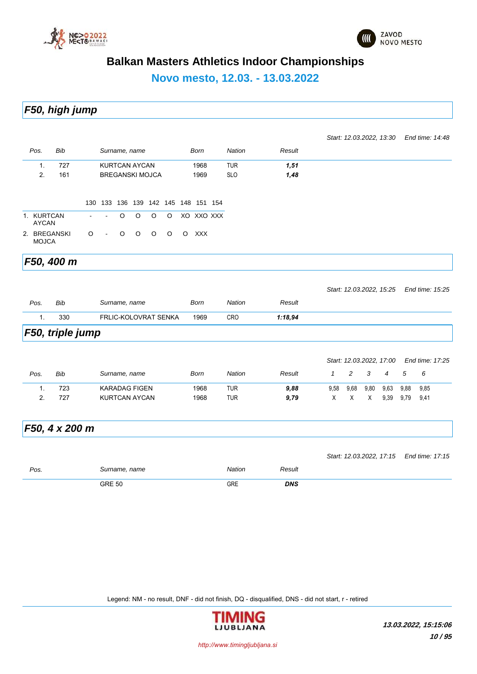



**Novo mesto, 12.03. - 13.03.2022**

*F50, high jump*

|                            |                  |                |                |   |                      |                        |         |                                     |               |            |              |      |      | Start: 12.03.2022, 13:30 |      | End time: 14:48                          |  |
|----------------------------|------------------|----------------|----------------|---|----------------------|------------------------|---------|-------------------------------------|---------------|------------|--------------|------|------|--------------------------|------|------------------------------------------|--|
| Pos.                       | Bib              |                |                |   | Surname, name        |                        |         | <b>Born</b>                         | <b>Nation</b> | Result     |              |      |      |                          |      |                                          |  |
| 1.                         | 727              |                |                |   | <b>KURTCAN AYCAN</b> |                        |         | 1968                                | <b>TUR</b>    | 1,51       |              |      |      |                          |      |                                          |  |
| 2.                         | 161              |                |                |   |                      | <b>BREGANSKI MOJCA</b> |         | 1969                                | <b>SLO</b>    | 1,48       |              |      |      |                          |      |                                          |  |
|                            |                  |                |                |   |                      |                        |         | 130 133 136 139 142 145 148 151 154 |               |            |              |      |      |                          |      |                                          |  |
| 1. KURTCAN<br><b>AYCAN</b> |                  | $\blacksquare$ | $\blacksquare$ | O | $\circ$              | O                      | O       | XO XXO XXX                          |               |            |              |      |      |                          |      |                                          |  |
| <b>MOJCA</b>               | 2. BREGANSKI     | O              | $\blacksquare$ | O | $\circ$              | $\circ$                | $\circ$ | O XXX                               |               |            |              |      |      |                          |      |                                          |  |
|                            | F50, 400 m       |                |                |   |                      |                        |         |                                     |               |            |              |      |      |                          |      |                                          |  |
|                            |                  |                |                |   |                      |                        |         |                                     |               |            |              |      |      | Start: 12.03.2022, 15:25 |      | End time: 15:25                          |  |
| Pos.                       | <b>Bib</b>       |                |                |   | Surname, name        |                        |         | Born                                | Nation        | Result     |              |      |      |                          |      |                                          |  |
| 1.                         | 330              |                |                |   |                      | FRLIC-KOLOVRAT SENKA   |         | 1969                                | CRO           | 1:18,94    |              |      |      |                          |      |                                          |  |
|                            | F50, triple jump |                |                |   |                      |                        |         |                                     |               |            |              |      |      |                          |      |                                          |  |
|                            |                  |                |                |   |                      |                        |         |                                     |               |            |              |      |      | Start: 12.03.2022, 17:00 |      | End time: 17:25                          |  |
| Pos.                       | <b>Bib</b>       |                |                |   | Surname, name        |                        |         | Born                                | Nation        | Result     | $\mathcal I$ | 2    | 3    | 4                        | 5    | 6                                        |  |
| 1.                         | 723              |                |                |   | <b>KARADAG FIGEN</b> |                        |         | 1968                                | <b>TUR</b>    | 9,88       | 9,58         | 9,68 | 9,80 | 9,63                     | 9,88 | 9,85                                     |  |
| 2.                         | 727              |                |                |   | <b>KURTCAN AYCAN</b> |                        |         | 1968                                | <b>TUR</b>    | 9,79       | X            | Χ    | X    | 9,39                     | 9,79 | 9,41                                     |  |
|                            | F50, 4 x 200 m   |                |                |   |                      |                        |         |                                     |               |            |              |      |      |                          |      |                                          |  |
|                            |                  |                |                |   |                      |                        |         |                                     |               |            |              |      |      |                          |      | Start: 12.03.2022, 17:15 End time: 17:15 |  |
| Pos.                       |                  |                |                |   | Surname, name        |                        |         |                                     | Nation        | Result     |              |      |      |                          |      |                                          |  |
|                            |                  |                | <b>GRE 50</b>  |   |                      |                        |         |                                     | GRE           | <b>DNS</b> |              |      |      |                          |      |                                          |  |

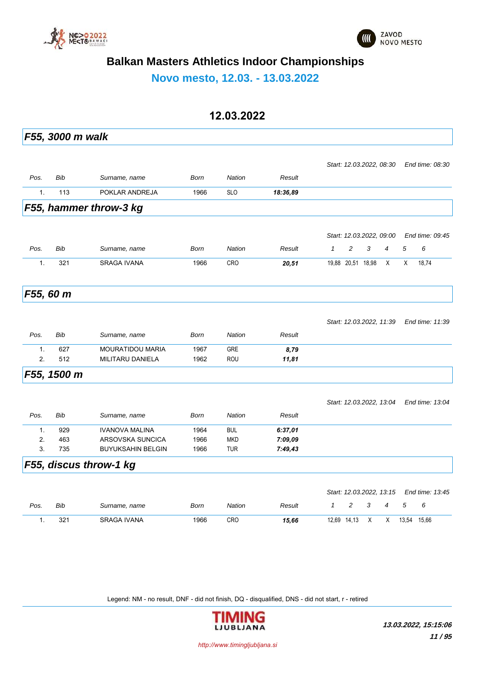



**Novo mesto, 12.03. - 13.03.2022**

### **12.03.2022**

|                | F55, 3000 m walk |                          |      |               |          |              |                          |              |                |   |                                          |
|----------------|------------------|--------------------------|------|---------------|----------|--------------|--------------------------|--------------|----------------|---|------------------------------------------|
|                |                  |                          |      |               |          |              | Start: 12.03.2022, 08:30 |              |                |   | End time: 08:30                          |
| Pos.           | Bib              | Surname, name            | Born | <b>Nation</b> | Result   |              |                          |              |                |   |                                          |
| $\mathbf{1}$ . | 113              | POKLAR ANDREJA           | 1966 | <b>SLO</b>    | 18:36,89 |              |                          |              |                |   |                                          |
|                |                  | F55, hammer throw-3 kg   |      |               |          |              |                          |              |                |   |                                          |
|                |                  |                          |      |               |          |              |                          |              |                |   |                                          |
|                |                  |                          |      |               |          |              | Start: 12.03.2022, 09:00 |              |                |   | End time: 09:45                          |
| Pos.           | <b>Bib</b>       | Surname, name            | Born | <b>Nation</b> | Result   | $\mathcal I$ | 2                        | 3            | 4              | 5 | 6                                        |
| 1.             | 321              | <b>SRAGA IVANA</b>       | 1966 | <b>CRO</b>    | 20,51    |              | 19,88 20,51 18,98        |              | X              | Χ | 18,74                                    |
|                | F55, 60 m        |                          |      |               |          |              |                          |              |                |   |                                          |
|                |                  |                          |      |               |          |              |                          |              |                |   |                                          |
|                |                  |                          |      |               |          |              | Start: 12.03.2022, 11:39 |              |                |   | End time: 11:39                          |
| Pos.           | Bib              | Surname, name            | Born | <b>Nation</b> | Result   |              |                          |              |                |   |                                          |
| $\mathbf{1}$ . | 627              | <b>MOURATIDOU MARIA</b>  | 1967 | <b>GRE</b>    | 8,79     |              |                          |              |                |   |                                          |
| 2.             | 512              | <b>MILITARU DANIELA</b>  | 1962 | <b>ROU</b>    | 11,81    |              |                          |              |                |   |                                          |
|                | F55, 1500 m      |                          |      |               |          |              |                          |              |                |   |                                          |
|                |                  |                          |      |               |          |              | Start: 12.03.2022, 13:04 |              |                |   | End time: 13:04                          |
| Pos.           | Bib              | Surname, name            | Born | <b>Nation</b> | Result   |              |                          |              |                |   |                                          |
| $\mathbf{1}$ . | 929              | <b>IVANOVA MALINA</b>    | 1964 | <b>BUL</b>    | 6:37,01  |              |                          |              |                |   |                                          |
| 2.             | 463              | ARSOVSKA SUNCICA         | 1966 | <b>MKD</b>    | 7:09,09  |              |                          |              |                |   |                                          |
| 3.             | 735              | <b>BUYUKSAHIN BELGIN</b> | 1966 | <b>TUR</b>    | 7:49,43  |              |                          |              |                |   |                                          |
|                |                  | F55, discus throw-1 kg   |      |               |          |              |                          |              |                |   |                                          |
|                |                  |                          |      |               |          |              |                          |              |                |   |                                          |
|                |                  |                          |      |               |          |              |                          |              |                |   | Start: 12.03.2022, 13.15 End time: 13:45 |
| Pos.           | Bib              | Surname, name            | Born | <b>Nation</b> | Result   | $\mathbf{1}$ | $\overline{c}$           | 3            | $\overline{4}$ | 5 | 6                                        |
| 1.             | 321              | <b>SRAGA IVANA</b>       | 1966 | CRO           | 15,66    |              | 12,69 14,13              | $\mathsf{X}$ | Χ              |   | 13,54 15,66                              |
|                |                  |                          |      |               |          |              |                          |              |                |   |                                          |
|                |                  |                          |      |               |          |              |                          |              |                |   |                                          |

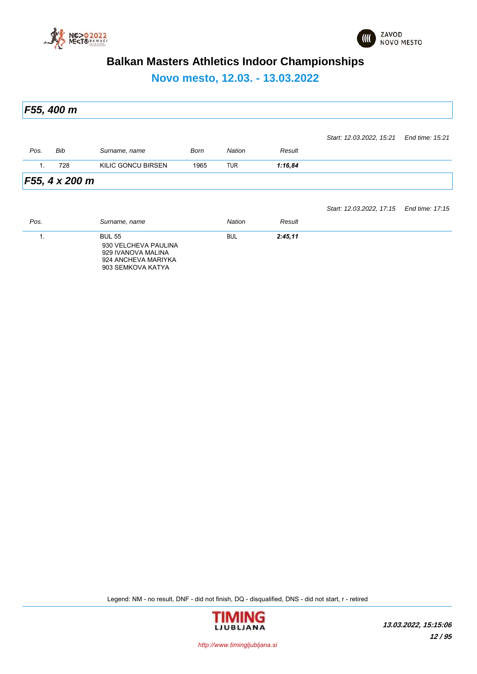



**Novo mesto, 12.03. - 13.03.2022**

*F55, 400 m Pos. Bib Surname, name Born Nation Result Start: 12.03.2022, 15:21 End time: 15:21* 1. 728 KILIC GONCU BIRSEN 1965 TUR *1:16,84 F55, 4 x 200 m Pos. Surname, name Nation Result Start: 12.03.2022, 17:15 End time: 17:15* 1. BUL 55 BUL *2:45,11* 930 VELCHEVA PAULINA 929 IVANOVA MALINA 924 ANCHEVA MARIYKA 903 SEMKOVA KATYA

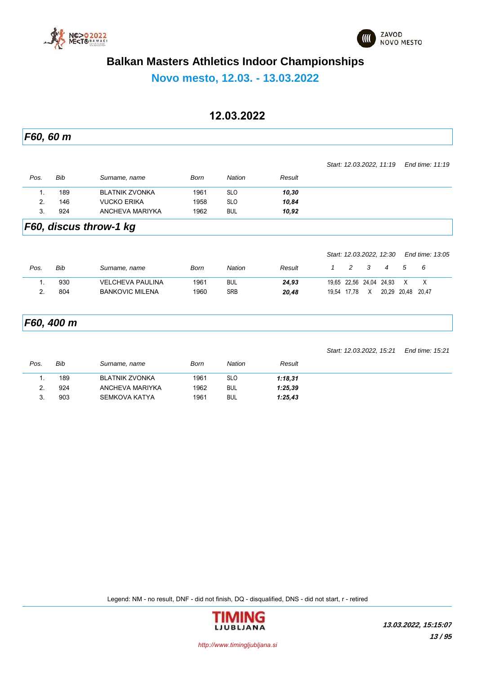



**Novo mesto, 12.03. - 13.03.2022**

### **12.03.2022**

*F60, 60 m Pos. Bib Surname, name Born Nation Result Start: 12.03.2022, 11:19 End time: 11:19* 1. 189 BLATNIK ZVONKA 1961 SLO *10,30*

2. 146 VUCKO ERIKA 1958 SLO *10,84* 3. 924 ANCHEVA MARIYKA 1962 BUL *10,92*

#### *F60, discus throw-1 kg*

|      |     |                         |      |            |        |             |   | Start: 12.03.2022, 12.30 |             | End time: 13:05 |  |
|------|-----|-------------------------|------|------------|--------|-------------|---|--------------------------|-------------|-----------------|--|
| Pos. | Bib | Surname, name           | Born | Nation     | Result |             |   |                          | .5          | - 6             |  |
|      | 930 | <b>VELCHEVA PAULINA</b> | 1961 | <b>BUL</b> | 24.93  |             |   | 19,65 22,56 24,04 24,93  |             |                 |  |
|      | 804 | <b>BANKOVIC MILENA</b>  | 1960 | SRB        | 20.48  | 19.54 17.78 | X |                          | 20.29 20.48 | 20.47           |  |

### *F60, 400 m*

*Start: 12.03.2022, 15:21 End time: 15:21*

| Pos.     | Bib | Surname, name   | Born | <b>Nation</b> | Result  |  |
|----------|-----|-----------------|------|---------------|---------|--|
|          | 189 | BLATNIK ZVONKA  | 1961 | <b>SLO</b>    | 1:18,31 |  |
| <u>.</u> | 924 | ANCHEVA MARIYKA | 1962 | <b>BUL</b>    | 1:25.39 |  |
|          | 903 | SEMKOVA KATYA   | 1961 | <b>BUL</b>    | 1:25,43 |  |

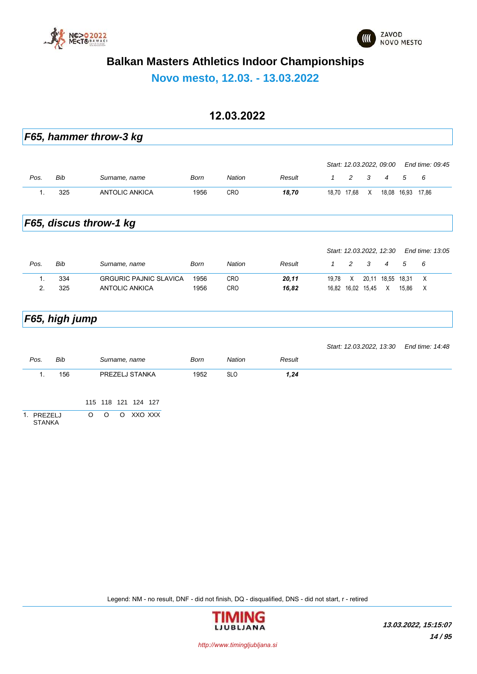

**Novo mesto, 12.03. - 13.03.2022**

#### **12.03.2022**

|                             |                | F65, hammer throw-3 kg                   |             |               |        |              |                |                   |                          |       |                  |
|-----------------------------|----------------|------------------------------------------|-------------|---------------|--------|--------------|----------------|-------------------|--------------------------|-------|------------------|
|                             |                |                                          |             |               |        |              |                |                   | Start: 12.03.2022, 09:00 |       | End time: 09:45  |
| Pos.                        | Bib            | Surname, name                            | Born        | <b>Nation</b> | Result | $\mathbf{1}$ | $\overline{c}$ | 3                 | $\overline{4}$           | 5     | 6                |
| 1.                          | 325            | <b>ANTOLIC ANKICA</b>                    | 1956        | CRO           | 18,70  |              | 18,70 17,68    | X                 | 18,08                    | 16,93 | 17.86            |
|                             |                | F65, discus throw-1 kg                   |             |               |        |              |                |                   |                          |       |                  |
|                             |                |                                          |             |               |        |              |                |                   | Start: 12.03.2022, 12:30 |       | End time: 13:05  |
| Pos.                        | Bib            | Surname, name                            | <b>Born</b> | <b>Nation</b> | Result | $\mathcal I$ | 2              | 3                 | 4                        | 5     | 6                |
| 1.                          | 334            | <b>GRGURIC PAJNIC SLAVICA</b>            | 1956        | CRO           | 20, 11 | 19,78        | X              |                   | 20,11 18,55              | 18,31 | $\boldsymbol{X}$ |
| 2.                          | 325            | <b>ANTOLIC ANKICA</b>                    | 1956        | CRO           | 16,82  |              |                | 16,82 16,02 15,45 | Χ                        | 15,86 | Χ                |
|                             | F65, high jump |                                          |             |               |        |              |                |                   |                          |       |                  |
|                             |                |                                          |             |               |        |              |                |                   | Start: 12.03.2022, 13:30 |       | End time: 14:48  |
| Pos.                        | Bib            | Surname, name                            | <b>Born</b> | <b>Nation</b> | Result |              |                |                   |                          |       |                  |
| $\mathbf{1}$ .              | 156            | PREZELJ STANKA                           | 1952        | <b>SLO</b>    | 1,24   |              |                |                   |                          |       |                  |
|                             |                | 115 118 121 124 127                      |             |               |        |              |                |                   |                          |       |                  |
| 1. PREZELJ<br><b>STANKA</b> |                | $\circ$<br>$\circ$<br>XXO XXX<br>$\circ$ |             |               |        |              |                |                   |                          |       |                  |

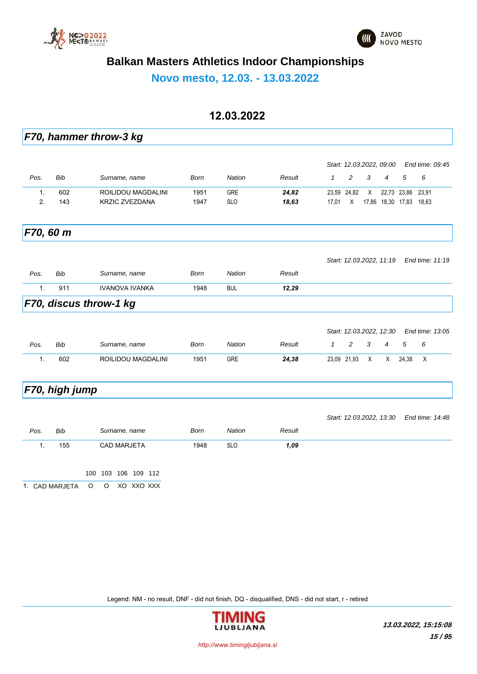



**Novo mesto, 12.03. - 13.03.2022**

#### **12.03.2022**

|      |               | F70, hammer throw-3 kg    |             |               |        |              |             |   |                          |       |                 |
|------|---------------|---------------------------|-------------|---------------|--------|--------------|-------------|---|--------------------------|-------|-----------------|
|      |               |                           |             |               |        |              |             |   | Start: 12.03.2022, 09:00 |       | End time: 09:45 |
| Pos. | <b>Bib</b>    | Surname, name             | Born        | <b>Nation</b> | Result | $\mathcal I$ | 2           | 3 | $\overline{4}$           | 5     | 6               |
| 1.   | 602           | ROILIDOU MAGDALINI        | 1951        | <b>GRE</b>    | 24,82  |              | 23,59 24,82 | X | 22,73 23,86              |       | 23,91           |
| 2.   | 143           | <b>KRZIC ZVEZDANA</b>     | 1947        | <b>SLO</b>    | 18,63  | 17,01        | X           |   | 17,86 18,30 17,83        |       | 18,63           |
|      | F70, 60 m     |                           |             |               |        |              |             |   |                          |       |                 |
|      |               |                           |             |               |        |              |             |   | Start: 12.03.2022, 11:19 |       | End time: 11:19 |
| Pos. | <b>Bib</b>    | Surname, name             | <b>Born</b> | <b>Nation</b> | Result |              |             |   |                          |       |                 |
| 1.   | 911           | <b>IVANOVA IVANKA</b>     | 1948        | <b>BUL</b>    | 12,29  |              |             |   |                          |       |                 |
|      |               | F70, discus throw-1 kg    |             |               |        |              |             |   |                          |       |                 |
|      |               |                           |             |               |        |              |             |   | Start: 12.03.2022, 12:30 |       | End time: 13:05 |
| Pos. | Bib           | Surname, name             | <b>Born</b> | <b>Nation</b> | Result | 1            | 2           | 3 | $\overline{4}$           | 5     | 6               |
| 1.   | 602           | <b>ROILIDOU MAGDALINI</b> | 1951        | <b>GRE</b>    | 24,38  |              | 23,09 21,93 | Χ | X                        | 24,38 | X               |
|      | F70 high jumn |                           |             |               |        |              |             |   |                          |       |                 |

### *F70, high jump*

|      |                |         |         |                     |            |      |            |        | Start: 12.03.2022, 13:30 End time: 14:48 |  |
|------|----------------|---------|---------|---------------------|------------|------|------------|--------|------------------------------------------|--|
| Pos. | Bib            |         |         | Surname, name       |            | Born | Nation     | Result |                                          |  |
|      | 155            |         |         | <b>CAD MARJETA</b>  |            | 1948 | <b>SLO</b> | 1,09   |                                          |  |
|      |                |         |         | 100 103 106 109 112 |            |      |            |        |                                          |  |
|      | 1. CAD MARJETA | $\circ$ | $\circ$ |                     | XO XXO XXX |      |            |        |                                          |  |

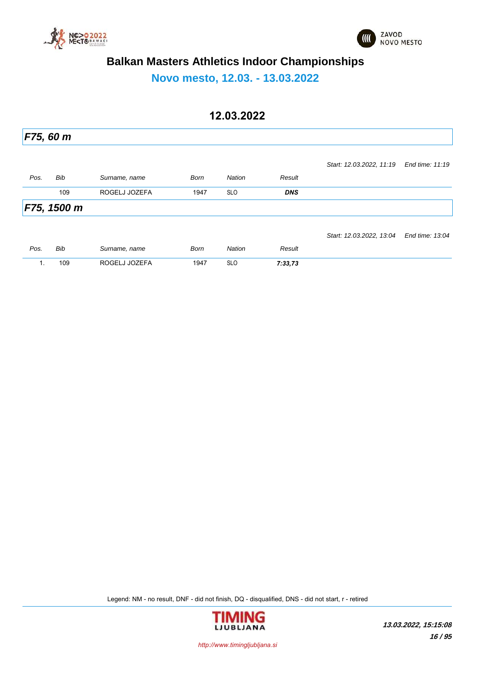



**Novo mesto, 12.03. - 13.03.2022**

### **12.03.2022**

|      | F75, 60 m   |               |      |               |            |                          |                 |
|------|-------------|---------------|------|---------------|------------|--------------------------|-----------------|
|      |             |               |      |               |            | Start: 12.03.2022, 11.19 | End time: 11:19 |
| Pos. | Bib         | Surname, name | Born | Nation        | Result     |                          |                 |
|      | 109         | ROGELJ JOZEFA | 1947 | <b>SLO</b>    | <b>DNS</b> |                          |                 |
|      | F75, 1500 m |               |      |               |            |                          |                 |
|      |             |               |      |               |            | Start: 12.03.2022, 13:04 | End time: 13:04 |
| Pos. | Bib         | Surname, name | Born | <b>Nation</b> | Result     |                          |                 |
|      | 109         | ROGELJ JOZEFA | 1947 | <b>SLO</b>    | 7:33,73    |                          |                 |

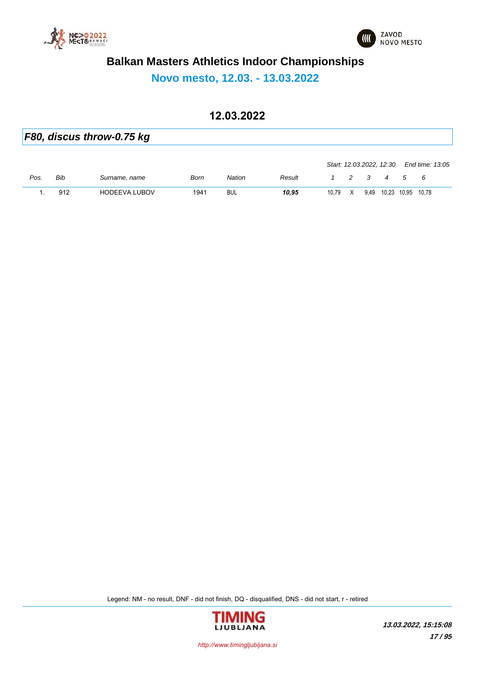



**Novo mesto, 12.03. - 13.03.2022**

### **12.03.2022**

*F80, discus throw-0.75 kg*

|      |     |               |      |            |        | Start: 12.03.2022, 12.30 |   |      |             | End time: 13:05 |
|------|-----|---------------|------|------------|--------|--------------------------|---|------|-------------|-----------------|
| Pos. | Bib | Surname, name | Born | Nation     | Result |                          |   | 2 3  | 4 5         | - 6             |
|      | 912 | HODEEVA LUBOV | 1941 | <b>BUL</b> | 10.95  | 10.79                    | X | 9,49 | 10,23 10,95 | 10.78           |

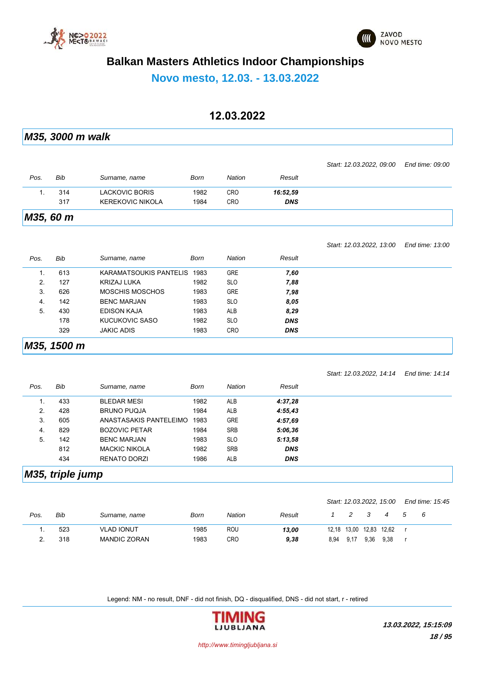



**Novo mesto, 12.03. - 13.03.2022**

#### **12.03.2022**

*M35, 3000 m walk Pos. Bib Surname, name Born Nation Result Start: 12.03.2022, 09:00 End time: 09:00* 1. 314 LACKOVIC BORIS 1982 CRO *16:52,59* 317 KEREKOVIC NIKOLA 1984 CRO *DNS*

*M35, 60 m*

*Start: 12.03.2022, 13:00 End time: 13:00*

| Pos. | <b>Bib</b>  | Surname, name               | Born | <b>Nation</b> | Result     |  |
|------|-------------|-----------------------------|------|---------------|------------|--|
| 1.   | 613         | KARAMATSOUKIS PANTELIS 1983 |      | <b>GRE</b>    | 7,60       |  |
| 2.   | 127         | KRIZAJ LUKA                 | 1982 | <b>SLO</b>    | 7,88       |  |
| 3.   | 626         | <b>MOSCHIS MOSCHOS</b>      | 1983 | <b>GRE</b>    | 7,98       |  |
| 4.   | 142         | <b>BENC MARJAN</b>          | 1983 | <b>SLO</b>    | 8,05       |  |
| 5.   | 430         | <b>EDISON KAJA</b>          | 1983 | ALB           | 8,29       |  |
|      | 178         | KUCUKOVIC SASO              | 1982 | <b>SLO</b>    | <b>DNS</b> |  |
|      | 329         | <b>JAKIC ADIS</b>           | 1983 | <b>CRO</b>    | <b>DNS</b> |  |
|      | M35, 1500 m |                             |      |               |            |  |

|      |     |                        |      |               |            | Start: 12.03.2022, 14:14 | End time: 14:14 |
|------|-----|------------------------|------|---------------|------------|--------------------------|-----------------|
| Pos. | Bib | Surname, name          | Born | <b>Nation</b> | Result     |                          |                 |
| 1.   | 433 | <b>BLEDAR MESI</b>     | 1982 | <b>ALB</b>    | 4:37,28    |                          |                 |
| 2.   | 428 | <b>BRUNO PUQJA</b>     | 1984 | <b>ALB</b>    | 4:55,43    |                          |                 |
| 3.   | 605 | ANASTASAKIS PANTELEIMO | 1983 | <b>GRE</b>    | 4:57.69    |                          |                 |
| 4.   | 829 | <b>BOZOVIC PETAR</b>   | 1984 | <b>SRB</b>    | 5:06,36    |                          |                 |
| 5.   | 142 | <b>BENC MARJAN</b>     | 1983 | <b>SLO</b>    | 5:13,58    |                          |                 |
|      | 812 | <b>MACKIC NIKOLA</b>   | 1982 | <b>SRB</b>    | <b>DNS</b> |                          |                 |
|      | 434 | RENATO DORZI           | 1986 | <b>ALB</b>    | <b>DNS</b> |                          |                 |

#### *M35, triple jump*

|      |     |                   |      |            |        |      |      |      | Start: 12.03.2022, 15.00 | End time: 15:45 |
|------|-----|-------------------|------|------------|--------|------|------|------|--------------------------|-----------------|
| Pos. | Bib | Surname, name     | Born | Nation     | Result |      | 2    | - 3  | $\overline{4}$           | - 6             |
|      | 523 | <b>VLAD IONUT</b> | 1985 | <b>ROU</b> | 13,00  |      |      |      | 12,18 13,00 12,83 12,62  |                 |
|      | 318 | MANDIC ZORAN      | 1983 | CRO        | 9,38   | 8.94 | 9.17 | 9,36 | 9.38                     |                 |

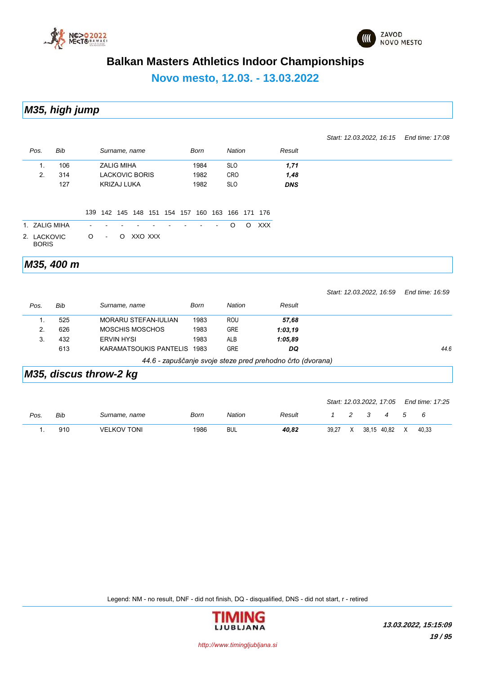



# **Novo mesto, 12.03. - 13.03.2022**

*M35, high jump*

*Start: 12.03.2022, 16:15 End time: 17:08*

| Pos.                        | <b>Bib</b>             |   |                   |                    | Surname, name               |         |  | <b>Born</b>                                     | <b>Nation</b> |         |            | Result                                                     |                          |                 |
|-----------------------------|------------------------|---|-------------------|--------------------|-----------------------------|---------|--|-------------------------------------------------|---------------|---------|------------|------------------------------------------------------------|--------------------------|-----------------|
| 1.                          | 106                    |   | <b>ZALIG MIHA</b> |                    |                             |         |  | 1984                                            | <b>SLO</b>    |         |            | 1,71                                                       |                          |                 |
| 2.                          | 314                    |   |                   |                    | <b>LACKOVIC BORIS</b>       |         |  | 1982                                            | <b>CRO</b>    |         |            | 1,48                                                       |                          |                 |
|                             | 127                    |   |                   | <b>KRIZAJ LUKA</b> |                             |         |  | 1982                                            | <b>SLO</b>    |         |            | <b>DNS</b>                                                 |                          |                 |
|                             |                        |   |                   |                    |                             |         |  | 139 142 145 148 151 154 157 160 163 166 171 176 |               |         |            |                                                            |                          |                 |
| 1. ZALIG MIHA               |                        |   |                   |                    |                             |         |  |                                                 | $\circ$       | $\circ$ | <b>XXX</b> |                                                            |                          |                 |
| 2. LACKOVIC<br><b>BORIS</b> |                        | O | $\blacksquare$    | $\circ$            |                             | XXO XXX |  |                                                 |               |         |            |                                                            |                          |                 |
|                             | M35, 400 m             |   |                   |                    |                             |         |  |                                                 |               |         |            |                                                            |                          |                 |
|                             |                        |   |                   |                    |                             |         |  |                                                 |               |         |            |                                                            | Start: 12.03.2022, 16.59 | End time: 16:59 |
| Pos.                        | <b>Bib</b>             |   |                   |                    | Surname, name               |         |  | <b>Born</b>                                     | <b>Nation</b> |         |            | Result                                                     |                          |                 |
| $\mathbf{1}$ .              | 525                    |   |                   |                    | <b>MORARU STEFAN-IULIAN</b> |         |  | 1983                                            | <b>ROU</b>    |         |            | 57,68                                                      |                          |                 |
| 2.                          | 626                    |   |                   |                    | <b>MOSCHIS MOSCHOS</b>      |         |  | 1983                                            | <b>GRE</b>    |         |            | 1:03,19                                                    |                          |                 |
| 3.                          | 432                    |   |                   | <b>ERVIN HYSI</b>  |                             |         |  | 1983                                            | <b>ALB</b>    |         |            | 1:05,89                                                    |                          |                 |
|                             | 613                    |   |                   |                    | KARAMATSOUKIS PANTELIS 1983 |         |  |                                                 | <b>GRE</b>    |         |            | DQ                                                         |                          | 44.6            |
|                             |                        |   |                   |                    |                             |         |  |                                                 |               |         |            | 44.6 - zapuščanje svoje steze pred prehodno črto (dvorana) |                          |                 |
|                             | M35, discus throw-2 kg |   |                   |                    |                             |         |  |                                                 |               |         |            |                                                            |                          |                 |

|      |     |                    |      |            |        |  |                         |                       | Start: 12.03.2022, 17:05 End time: 17:25 |  |
|------|-----|--------------------|------|------------|--------|--|-------------------------|-----------------------|------------------------------------------|--|
| Pos. | Bib | Surname, name      | Born | Nation     | Result |  | $\overline{\mathbf{3}}$ | 4 5 6                 |                                          |  |
|      | 910 | <b>VELKOV TONI</b> | 1986 | <b>BUL</b> | 40.82  |  |                         | 39,27 X 38,15 40,82 X | 40.33                                    |  |

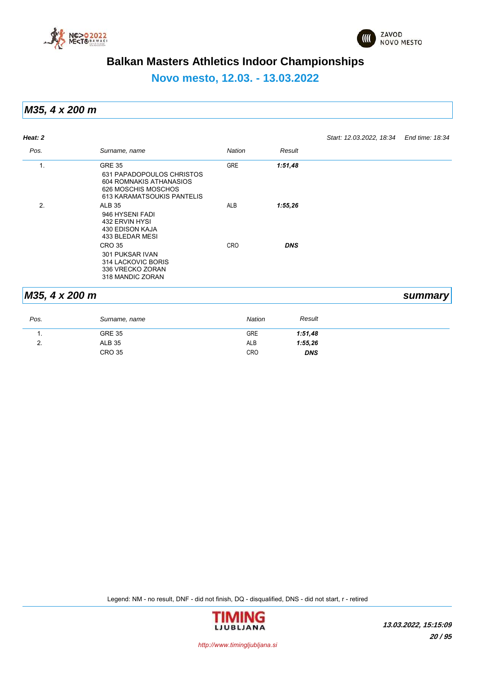



**Novo mesto, 12.03. - 13.03.2022**

*M35, 4 x 200 m*

| Heat: 2        |                                                                                                                            |            |            | Start: 12.03.2022, 18:34 End time: 18:34 |         |
|----------------|----------------------------------------------------------------------------------------------------------------------------|------------|------------|------------------------------------------|---------|
| Pos.           | Surname, name                                                                                                              | Nation     | Result     |                                          |         |
| 1.             | <b>GRE 35</b><br>631 PAPADOPOULOS CHRISTOS<br>604 ROMNAKIS ATHANASIOS<br>626 MOSCHIS MOSCHOS<br>613 KARAMATSOUKIS PANTELIS | <b>GRE</b> | 1:51,48    |                                          |         |
| 2.             | <b>ALB 35</b><br>946 HYSENI FADI<br>432 ERVIN HYSI<br>430 EDISON KAJA<br>433 BLEDAR MESI                                   | ALB        | 1:55,26    |                                          |         |
|                | <b>CRO 35</b><br>301 PUKSAR IVAN<br>314 LACKOVIC BORIS<br>336 VRECKO ZORAN<br>318 MANDIC ZORAN                             | <b>CRO</b> | <b>DNS</b> |                                          |         |
| M35, 4 x 200 m |                                                                                                                            |            |            |                                          | summary |

#### *Pos. Surname, name Nation Result* 1. GRE 35 GRE *1:51,48* 2. ALB 35 ALB *1:55,26* CRO 35 CRO *DNS*

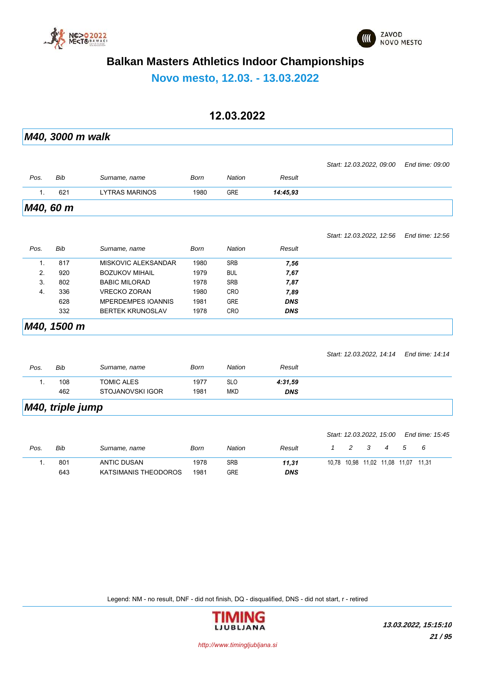



**Novo mesto, 12.03. - 13.03.2022**

### **12.03.2022**

|                  | M40, 3000 m walk |                           |             |               |            |                                                       |                 |
|------------------|------------------|---------------------------|-------------|---------------|------------|-------------------------------------------------------|-----------------|
|                  |                  |                           |             |               |            |                                                       |                 |
|                  |                  |                           |             |               |            | Start: 12.03.2022, 09:00                              | End time: 09:00 |
| Pos.             | <b>Bib</b>       | Surname, name             | <b>Born</b> | <b>Nation</b> | Result     |                                                       |                 |
| 1.               | 621              | <b>LYTRAS MARINOS</b>     | 1980        | <b>GRE</b>    | 14:45,93   |                                                       |                 |
|                  | M40, 60 m        |                           |             |               |            |                                                       |                 |
|                  |                  |                           |             |               |            | Start: 12.03.2022, 12:56                              | End time: 12:56 |
| Pos.             | Bib              | Surname, name             | <b>Born</b> | <b>Nation</b> | Result     |                                                       |                 |
| 1.               | 817              | MISKOVIC ALEKSANDAR       | 1980        | <b>SRB</b>    | 7,56       |                                                       |                 |
| 2.               | 920              | <b>BOZUKOV MIHAIL</b>     | 1979        | <b>BUL</b>    | 7,67       |                                                       |                 |
| 3.               | 802              | <b>BABIC MILORAD</b>      | 1978        | <b>SRB</b>    | 7,87       |                                                       |                 |
| $\overline{4}$ . | 336              | <b>VRECKO ZORAN</b>       | 1980        | CRO           | 7,89       |                                                       |                 |
|                  | 628              | <b>MPERDEMPES IOANNIS</b> | 1981        | <b>GRE</b>    | <b>DNS</b> |                                                       |                 |
|                  | 332              | <b>BERTEK KRUNOSLAV</b>   | 1978        | CRO           | <b>DNS</b> |                                                       |                 |
|                  | M40, 1500 m      |                           |             |               |            |                                                       |                 |
|                  |                  |                           |             |               |            | Start: 12.03.2022, 14.14                              | End time: 14:14 |
| Pos.             | Bib              | Surname, name             | <b>Born</b> | <b>Nation</b> | Result     |                                                       |                 |
| 1.               | 108              | <b>TOMIC ALES</b>         | 1977        | <b>SLO</b>    | 4:31,59    |                                                       |                 |
|                  | 462              | STOJANOVSKI IGOR          | 1981        | <b>MKD</b>    | <b>DNS</b> |                                                       |                 |
|                  | M40, triple jump |                           |             |               |            |                                                       |                 |
|                  |                  |                           |             |               |            |                                                       |                 |
|                  |                  |                           |             |               |            | Start: 12.03.2022, 15:00                              | End time: 15:45 |
| Pos.             | Bib              | Surname, name             | Born        | <b>Nation</b> | Result     | $\overline{c}$<br>3<br>$\mathbf{1}$<br>$\overline{4}$ | 5<br>6          |
| $\mathbf{1}$ .   | 801              | <b>ANTIC DUSAN</b>        | 1978        | <b>SRB</b>    | 11,31      | 10,78 10,98 11,02 11,08 11,07 11,31                   |                 |
|                  | 643              | KATSIMANIS THEODOROS      | 1981        | <b>GRE</b>    | <b>DNS</b> |                                                       |                 |

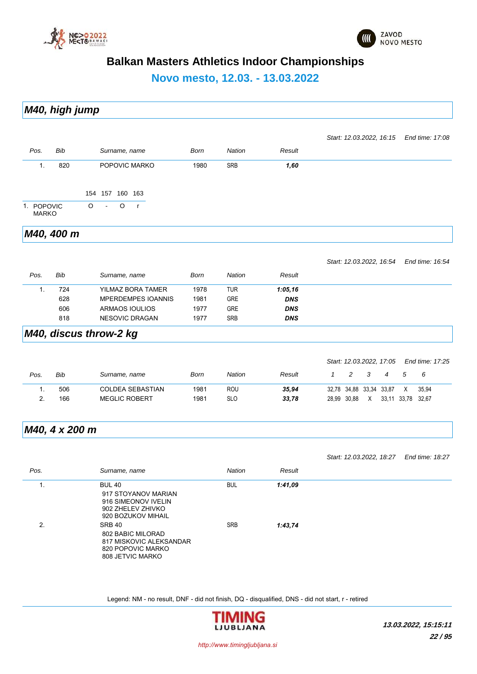



**Novo mesto, 12.03. - 13.03.2022**

|      | M40, high jump |               |      |               |        |                                          |  |
|------|----------------|---------------|------|---------------|--------|------------------------------------------|--|
|      |                |               |      |               |        | Start: 12.03.2022, 16:15 End time: 17:08 |  |
| Pos. | Bib            | Surname, name | Born | <b>Nation</b> | Result |                                          |  |

| 820<br>ъ.                  | POPOVIC MARKO           | <b>SRB</b><br>1980 | 1,60 |  |
|----------------------------|-------------------------|--------------------|------|--|
|                            | 154 157 160 163         |                    |      |  |
| 1. POPOVIC<br><b>MARKO</b> | $0 - 0$<br>$\mathsf{r}$ |                    |      |  |

*M40, 400 m*

*Start: 12.03.2022, 16:54 End time: 16:54*

| Pos. | Bib | Surname, name             | Born | Nation     | Result     |  |
|------|-----|---------------------------|------|------------|------------|--|
|      | 724 | YILMAZ BORA TAMER         | 1978 | <b>TUR</b> | 1:05,16    |  |
|      | 628 | <b>MPERDEMPES IOANNIS</b> | 1981 | <b>GRE</b> | <b>DNS</b> |  |
|      | 606 | ARMAOS IOULIOS            | 1977 | <b>GRE</b> | <b>DNS</b> |  |
|      | 818 | NESOVIC DRAGAN            | 1977 | <b>SRB</b> | <b>DNS</b> |  |
|      |     |                           |      |            |            |  |

#### *M40, discus throw-2 kg*

|      |     |                      |      |            |        |                         |               |   |                |             | Start: 12.03.2022, 17:05 End time: 17:25 |  |
|------|-----|----------------------|------|------------|--------|-------------------------|---------------|---|----------------|-------------|------------------------------------------|--|
| Pos. | Bib | Surname, name        | Born | Nation     | Result |                         | $\mathcal{P}$ | 3 | $\overline{4}$ | - 5         | - 6                                      |  |
|      | 506 | COLDEA SEBASTIAN     | 1981 | ROU        | 35.94  | 32.78 34.88 33.34 33.87 |               |   |                | X           | 35.94                                    |  |
|      | 166 | <b>MEGLIC ROBERT</b> | 1981 | <b>SLO</b> | 33.78  |                         | 28.99 30.88   | X |                | 33.11 33.78 | 32.67                                    |  |

### *M40, 4 x 200 m*

|      |                                                                                                        |               |         | Start: 12.03.2022, 18:27 | End time: 18:27 |
|------|--------------------------------------------------------------------------------------------------------|---------------|---------|--------------------------|-----------------|
| Pos. | Surname, name                                                                                          | <b>Nation</b> | Result  |                          |                 |
| ι.   | <b>BUL 40</b><br>917 STOYANOV MARIAN<br>916 SIMEONOV IVELIN<br>902 ZHELEV ZHIVKO<br>920 BOZUKOV MIHAIL | <b>BUL</b>    | 1:41,09 |                          |                 |
| 2.   | <b>SRB 40</b><br>802 BABIC MILORAD<br>817 MISKOVIC ALEKSANDAR<br>820 POPOVIC MARKO<br>808 JETVIC MARKO | <b>SRB</b>    | 1:43,74 |                          |                 |

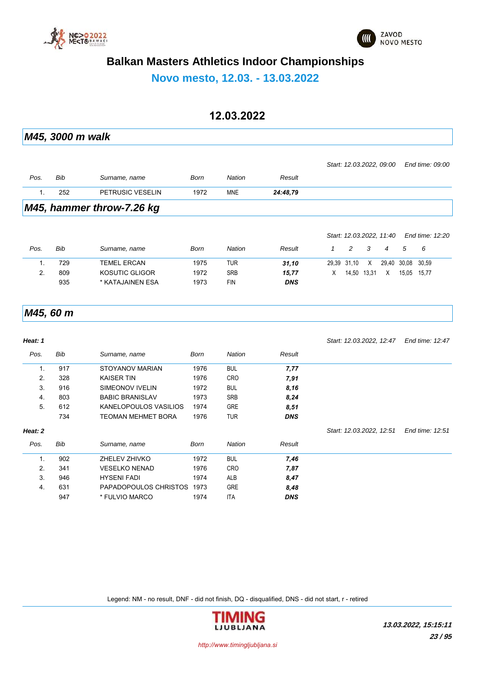



**Novo mesto, 12.03. - 13.03.2022**

#### **12.03.2022**

*M45, 3000 m walk*

|      |     | $MAE$ beneficial through $7.96$ im |      |            |          |                                          |  |
|------|-----|------------------------------------|------|------------|----------|------------------------------------------|--|
|      | 252 | PETRUSIC VESELIN                   | 1972 | <b>MNE</b> | 24:48.79 |                                          |  |
| Pos. | Bib | Surname, name                      | Born | Nation     | Result   |                                          |  |
|      |     |                                    |      |            |          | Start: 12.03.2022, 09:00 End time: 09:00 |  |

*M45, hammer throw-7.26 kg*

|          |     |                    |      |            |            |             |             |     | Start: 12.03.2022, 11:40 |             | End time: 12:20 |
|----------|-----|--------------------|------|------------|------------|-------------|-------------|-----|--------------------------|-------------|-----------------|
| Pos.     | Bib | Surname, name      | Born | Nation     | Result     |             | 2           | - 3 | 4                        | .5          | - 6             |
|          | 729 | <b>TEMEL ERCAN</b> | 1975 | TUR        | 31.10      | 29.39 31.10 |             | X   |                          | 29,40 30,08 | 30.59           |
| <u>.</u> | 809 | KOSUTIC GLIGOR     | 1972 | <b>SRB</b> | 15,77      | X           | 14,50 13,31 |     | $\times$                 | 15.05       | 15.77           |
|          | 935 | * KATAJAINEN ESA   | 1973 | <b>FIN</b> | <b>DNS</b> |             |             |     |                          |             |                 |

#### *M45, 60 m*

| Heat: 1 |     |                           |      |               |            | Start: 12.03.2022, 12:47 | End time: 12:47 |
|---------|-----|---------------------------|------|---------------|------------|--------------------------|-----------------|
| Pos.    | Bib | Surname, name             | Born | <b>Nation</b> | Result     |                          |                 |
| 1.      | 917 | STOYANOV MARIAN           | 1976 | <b>BUL</b>    | 7,77       |                          |                 |
| 2.      | 328 | <b>KAISER TIN</b>         | 1976 | <b>CRO</b>    | 7,91       |                          |                 |
| 3.      | 916 | SIMEONOV IVELIN           | 1972 | <b>BUL</b>    | 8,16       |                          |                 |
| 4.      | 803 | <b>BABIC BRANISLAV</b>    | 1973 | <b>SRB</b>    | 8,24       |                          |                 |
| 5.      | 612 | KANELOPOULOS VASILIOS     | 1974 | <b>GRE</b>    | 8,51       |                          |                 |
|         | 734 | <b>TEOMAN MEHMET BORA</b> | 1976 | <b>TUR</b>    | <b>DNS</b> |                          |                 |
| Heat: 2 |     |                           |      |               |            | Start: 12.03.2022, 12:51 | End time: 12:51 |
| Pos.    | Bib | Surname, name             | Born | Nation        | Result     |                          |                 |
| 1.      | 902 | ZHELEV ZHIVKO             | 1972 | <b>BUL</b>    | 7,46       |                          |                 |
| 2.      | 341 | <b>VESELKO NENAD</b>      | 1976 | <b>CRO</b>    | 7,87       |                          |                 |
| 3.      | 946 | <b>HYSENI FADI</b>        | 1974 | ALB           | 8,47       |                          |                 |
| 4.      | 631 | PAPADOPOULOS CHRISTOS     | 1973 | <b>GRE</b>    | 8,48       |                          |                 |
|         | 947 | * FULVIO MARCO            | 1974 | <b>ITA</b>    | <b>DNS</b> |                          |                 |

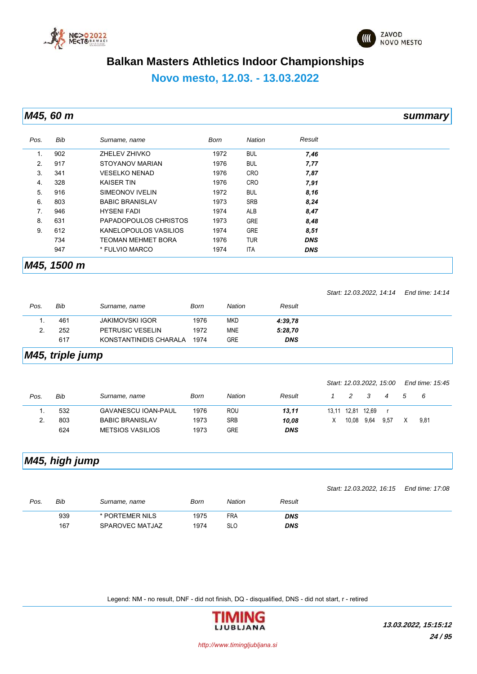



### **Novo mesto, 12.03. - 13.03.2022**

*M45, 60 m summary*

| Pos. | <b>Bib</b>  | Surname, name             | Born | Nation     | Result     |  |
|------|-------------|---------------------------|------|------------|------------|--|
| 1.   | 902         | ZHELEV ZHIVKO             | 1972 | <b>BUL</b> | 7,46       |  |
| 2.   | 917         | STOYANOV MARIAN           | 1976 | <b>BUL</b> | 7,77       |  |
| 3.   | 341         | <b>VESELKO NENAD</b>      | 1976 | <b>CRO</b> | 7,87       |  |
| 4.   | 328         | <b>KAISER TIN</b>         | 1976 | <b>CRO</b> | 7,91       |  |
| 5.   | 916         | SIMEONOV IVELIN           | 1972 | <b>BUL</b> | 8,16       |  |
| 6.   | 803         | <b>BABIC BRANISLAV</b>    | 1973 | <b>SRB</b> | 8,24       |  |
| 7.   | 946         | <b>HYSENI FADI</b>        | 1974 | ALB        | 8,47       |  |
| 8.   | 631         | PAPADOPOULOS CHRISTOS     | 1973 | <b>GRE</b> | 8,48       |  |
| 9.   | 612         | KANELOPOULOS VASILIOS     | 1974 | <b>GRE</b> | 8,51       |  |
|      | 734         | <b>TEOMAN MEHMET BORA</b> | 1976 | <b>TUR</b> | <b>DNS</b> |  |
|      | 947         | * FULVIO MARCO            | 1974 | <b>ITA</b> | <b>DNS</b> |  |
|      | M45, 1500 m |                           |      |            |            |  |

|      |     |                        |      |            |            | Start: 12.03.2022, 14:14 End time: 14:14 |  |
|------|-----|------------------------|------|------------|------------|------------------------------------------|--|
| Pos. | Bib | Surname, name          | Born | Nation     | Result     |                                          |  |
|      | 461 | <b>JAKIMOVSKI IGOR</b> | 1976 | <b>MKD</b> | 4:39.78    |                                          |  |
|      | 252 | PETRUSIC VESELIN       | 1972 | <b>MNE</b> | 5:28,70    |                                          |  |
|      | 617 | KONSTANTINIDIS CHARALA | 1974 | <b>GRE</b> | <b>DNS</b> |                                          |  |
|      |     |                        |      |            |            |                                          |  |

### *M45, triple jump*

|      |     |                            |      |               |            |       |               |       | Start: 12.03.2022, 15:00 |    | End time: 15:45 |
|------|-----|----------------------------|------|---------------|------------|-------|---------------|-------|--------------------------|----|-----------------|
| Pos. | Bib | Surname, name              | Born | <b>Nation</b> | Result     |       | $\mathcal{P}$ | - 3   | 4                        | -5 | - 6             |
|      | 532 | <b>GAVANESCU IOAN-PAUL</b> | 1976 | ROU           | 13,11      | 13.11 | 12.81         | 12.69 |                          |    |                 |
|      | 803 | <b>BABIC BRANISLAV</b>     | 1973 | <b>SRB</b>    | 10.08      | X     | 10.08         | 9.64  | 9.57                     | X  | 9.81            |
|      | 624 | <b>METSIOS VASILIOS</b>    | 1973 | GRE           | <b>DNS</b> |       |               |       |                          |    |                 |

### *M45, high jump*

|      |     |                 |      |               |            | Start: 12.03.2022, 16:15    End time: 17:08 |  |
|------|-----|-----------------|------|---------------|------------|---------------------------------------------|--|
| Pos. | Bib | Surname, name   | Born | <b>Nation</b> | Result     |                                             |  |
|      | 939 | * PORTEMER NILS | 1975 | <b>FRA</b>    | <b>DNS</b> |                                             |  |
|      | 167 | SPAROVEC MATJAZ | 1974 | <b>SLO</b>    | <b>DNS</b> |                                             |  |

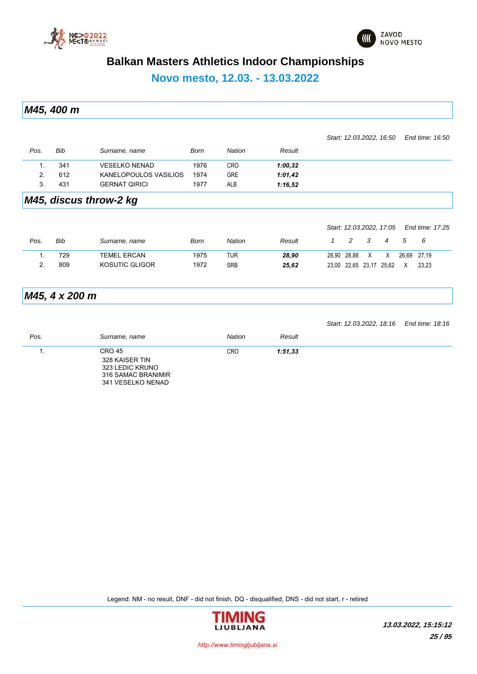



*Start: 12.03.2022, 16:50 End time: 16:50*

### **Balkan Masters Athletics Indoor Championships**

**Novo mesto, 12.03. - 13.03.2022**

*M45, 400 m*

| Pos. | Bib | Surname, name         | Born | <b>Nation</b> | Result  |  |
|------|-----|-----------------------|------|---------------|---------|--|
|      | 341 | <b>VESELKO NENAD</b>  | 1976 | <b>CRO</b>    | 1:00,32 |  |
| 2.   | 612 | KANELOPOULOS VASILIOS | 1974 | <b>GRE</b>    | 1:01,42 |  |
|      | 431 | <b>GERNAT QIRICI</b>  | 1977 | ALB           | 1:16,52 |  |
| ---- | .   | - -<br>. .            |      |               |         |  |

#### *M45, discus throw-2 kg*

| Bib | Surname, name      | Born | Nation     | Result | $\mathcal{P}$ |   | 4                  | $\mathcal{L}$           |                          |                                       |
|-----|--------------------|------|------------|--------|---------------|---|--------------------|-------------------------|--------------------------|---------------------------------------|
| 729 | <b>TEMEL ERCAN</b> | 1975 | TUR        | 28.90  |               | X | X                  |                         |                          |                                       |
| 809 | KOSUTIC GLIGOR     | 1972 | <b>SRB</b> | 25.62  |               |   |                    | X                       | 23.23                    |                                       |
|     |                    |      |            |        |               |   | - 3<br>28.90 28.88 | 23,00 22,65 23,17 25,62 | Start: 12.03.2022, 17:05 | End time: 17:25<br>- 6<br>26.69 27.19 |

### *M45, 4 x 200 m*

|      |                                                                                               |            |         | Start: 12.03.2022, 18:16 End time: 18:16 |  |
|------|-----------------------------------------------------------------------------------------------|------------|---------|------------------------------------------|--|
| Pos. | Surname, name                                                                                 | Nation     | Result  |                                          |  |
|      | <b>CRO 45</b><br>328 KAISER TIN<br>323 LEDIC KRUNO<br>316 SAMAC BRANIMIR<br>341 VESELKO NENAD | <b>CRO</b> | 1:51,33 |                                          |  |

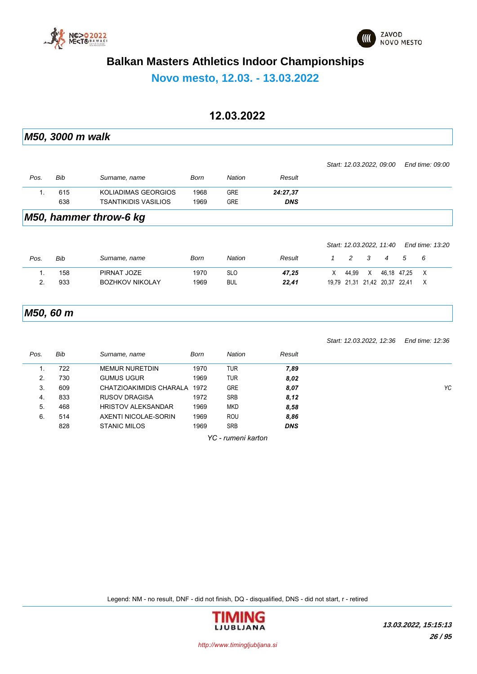



**Novo mesto, 12.03. - 13.03.2022**

#### **12.03.2022**

*M50, 3000 m walk Pos. Bib Surname, name Born Nation Result Start: 12.03.2022, 09:00 End time: 09:00* 1. 615 KOLIADIMAS GEORGIOS 1968 GRE *24:27,37* 638 TSANTIKIDIS VASILIOS 1969 GRE *DNS M50, hammer throw-6 kg*

|      |     |                        |      |            |        |   |       |   | Start: 12.03.2022, 11.40      |               | End time: 13:20 |  |
|------|-----|------------------------|------|------------|--------|---|-------|---|-------------------------------|---------------|-----------------|--|
| Pos. | Bib | Surname, name          | Born | Nation     | Result |   |       |   | 4                             | $\mathcal{D}$ |                 |  |
|      | 158 | PIRNAT JOZE            | 1970 | <b>SLO</b> | 47.25  | X | 44.99 | X |                               | 46.18 47.25   |                 |  |
|      | 933 | <b>BOZHKOV NIKOLAY</b> | 1969 | <b>BUL</b> | 22.41  |   |       |   | 19.79 21.31 21.42 20.37 22.41 |               |                 |  |
|      |     |                        |      |            |        |   |       |   |                               |               |                 |  |

*M50, 60 m*

|      |     |                           |      |               |            | Start: 12.03.2022, 12:36 | End time: 12:36 |
|------|-----|---------------------------|------|---------------|------------|--------------------------|-----------------|
| Pos. | Bib | Surname, name             | Born | <b>Nation</b> | Result     |                          |                 |
| 1.   | 722 | <b>MEMUR NURETDIN</b>     | 1970 | <b>TUR</b>    | 7,89       |                          |                 |
| 2.   | 730 | <b>GUMUS UGUR</b>         | 1969 | <b>TUR</b>    | 8,02       |                          |                 |
| 3.   | 609 | CHATZIOAKIMIDIS CHARALA   | 1972 | <b>GRE</b>    | 8,07       |                          | Y               |
| 4.   | 833 | <b>RUSOV DRAGISA</b>      | 1972 | <b>SRB</b>    | 8.12       |                          |                 |
| 5.   | 468 | <b>HRISTOV ALEKSANDAR</b> | 1969 | <b>MKD</b>    | 8,58       |                          |                 |
| 6.   | 514 | AXENTI NICOLAE-SORIN      | 1969 | <b>ROU</b>    | 8,86       |                          |                 |
|      | 828 | <b>STANIC MILOS</b>       | 1969 | <b>SRB</b>    | <b>DNS</b> |                          |                 |
|      |     |                           |      |               |            |                          |                 |

*YC - rumeni karton*

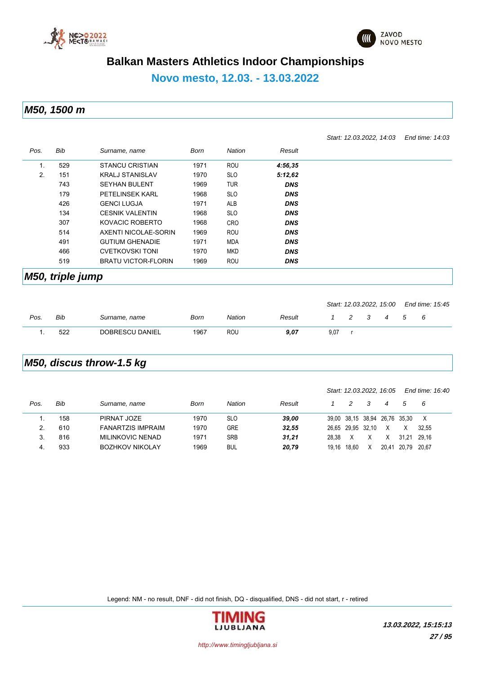



*Start: 12.03.2022, 14:03 End time: 14:03*

### **Balkan Masters Athletics Indoor Championships**

#### **Novo mesto, 12.03. - 13.03.2022**

*M50, 1500 m*

| Pos. | Bib | Surname, name              | <b>Born</b> | Nation     | Result     |
|------|-----|----------------------------|-------------|------------|------------|
| Ι.   | 529 | <b>STANCU CRISTIAN</b>     | 1971        | <b>ROU</b> | 4:56,35    |
| 2.   | 151 | <b>KRALJ STANISLAV</b>     | 1970        | <b>SLO</b> | 5:12,62    |
|      | 743 | <b>SEYHAN BULENT</b>       | 1969        | <b>TUR</b> | <b>DNS</b> |
|      | 179 | <b>PETELINSEK KARL</b>     | 1968        | <b>SLO</b> | <b>DNS</b> |
|      | 426 | <b>GENCI LUGJA</b>         | 1971        | <b>ALB</b> | <b>DNS</b> |
|      | 134 | <b>CESNIK VALENTIN</b>     | 1968        | <b>SLO</b> | <b>DNS</b> |
|      | 307 | KOVACIC ROBERTO            | 1968        | <b>CRO</b> | <b>DNS</b> |
|      | 514 | AXENTI NICOLAE-SORIN       | 1969        | ROU        | <b>DNS</b> |
|      | 491 | <b>GUTIUM GHENADIE</b>     | 1971        | <b>MDA</b> | <b>DNS</b> |
|      | 466 | <b>CVETKOVSKI TONI</b>     | 1970        | MKD        | <b>DNS</b> |
|      | 519 | <b>BRATU VICTOR-FLORIN</b> | 1969        | ROU        | <b>DNS</b> |

#### *M50, triple jump*

|      |     |                 |      |        |        |      |     |   |             | Start: 12.03.2022, 15:00 End time: 15:45 |  |
|------|-----|-----------------|------|--------|--------|------|-----|---|-------------|------------------------------------------|--|
| Pos. | Bib | Surname, name   | Born | Nation | Result |      | - 3 | 4 | $\mathbf b$ | - 6                                      |  |
|      | 522 | DOBRESCU DANIEL | 1967 | ROU    | 9.07   | 9.07 |     |   |             |                                          |  |

#### *M50, discus throw-1.5 kg*

|      |     |                          |      |            |        |       |                   |   | Start: 12.03.2022, 16.05      |       | End time: 16:40 |
|------|-----|--------------------------|------|------------|--------|-------|-------------------|---|-------------------------------|-------|-----------------|
| Pos. | Bib | Surname, name            | Born | Nation     | Result |       | 2                 |   | 4                             | 5     | - 6             |
|      | 158 | PIRNAT JOZE              | 1970 | <b>SLO</b> | 39.00  |       |                   |   | 39,00 38,15 38,94 26,76 35,30 |       |                 |
|      | 610 | <b>FANARTZIS IMPRAIM</b> | 1970 | <b>GRE</b> | 32.55  |       | 26.65 29.95 32.10 |   | X                             | X     | 32.55           |
|      | 816 | <b>MILINKOVIC NENAD</b>  | 1971 | <b>SRB</b> | 31,21  | 28.38 |                   | Х | X                             | 31.21 | 29.16           |
| 4.   | 933 | <b>BOZHKOV NIKOLAY</b>   | 1969 | <b>BUL</b> | 20,79  | 19.16 | 18.60             | x | 20.41                         | 20.79 | 20.67           |

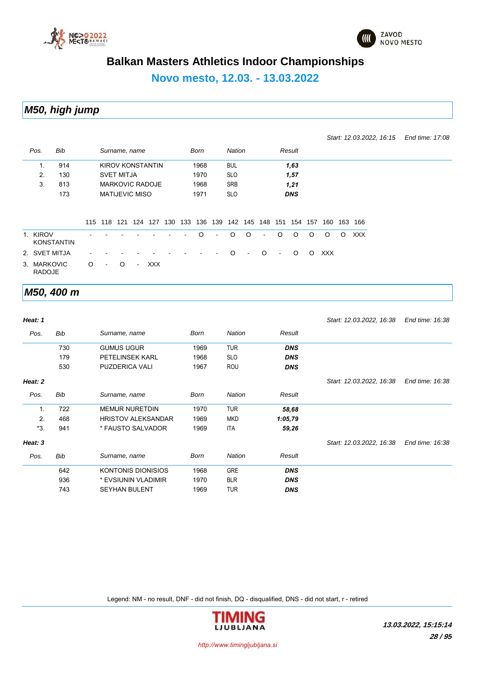



*Start: 12.03.2022, 16:15 End time: 17:08*

### **Balkan Masters Athletics Indoor Championships**

# **Novo mesto, 12.03. - 13.03.2022**

#### *M50, high jump*

| Pos.                         | Bib               |         |                | Surname, name         |         |                  |     |     | Born    |                | <b>Nation</b> |                |     |                | Result     |         |            |         |            |
|------------------------------|-------------------|---------|----------------|-----------------------|---------|------------------|-----|-----|---------|----------------|---------------|----------------|-----|----------------|------------|---------|------------|---------|------------|
| 1.                           | 914               |         |                |                       |         | KIROV KONSTANTIN |     |     | 1968    |                | <b>BUL</b>    |                |     |                | 1,63       |         |            |         |            |
| 2.                           | 130               |         |                | <b>SVET MITJA</b>     |         |                  |     |     | 1970    |                | <b>SLO</b>    |                |     |                | 1,57       |         |            |         |            |
| 3.                           | 813               |         |                |                       |         | MARKOVIC RADOJE  |     |     | 1968    |                | SRB           |                |     |                | 1,21       |         |            |         |            |
|                              | 173               |         |                | <b>MATIJEVIC MISO</b> |         |                  |     |     | 1971    |                | <b>SLO</b>    |                |     |                | <b>DNS</b> |         |            |         |            |
|                              |                   |         | 115 118        |                       | 121 124 | 127              | 130 | 133 | 136     | 139            | 142           | 145            | 148 | 151            | 154        | 157     | 160        | 163     | 166        |
| 1. KIROV                     | <b>KONSTANTIN</b> |         |                |                       |         |                  |     |     | $\circ$ | $\blacksquare$ | $\circ$       | $\circ$        | ۰   | $\circ$        | $\circ$    | $\circ$ | $\circ$    | $\circ$ | <b>XXX</b> |
| 2. SVET MITJA                |                   |         |                |                       |         |                  |     |     |         |                | $\Omega$      | $\blacksquare$ | O   | $\blacksquare$ | $\circ$    | $\circ$ | <b>XXX</b> |         |            |
| 3. MARKOVIC<br><b>RADOJE</b> |                   | $\circ$ | $\blacksquare$ | $\Omega$              | $\sim$  | XXX              |     |     |         |                |               |                |     |                |            |         |            |         |            |

#### *M50, 400 m*

| Heat: 1 |     |                           |      |               |            | Start: 12.03.2022, 16:38 | End time: 16:38 |
|---------|-----|---------------------------|------|---------------|------------|--------------------------|-----------------|
| Pos.    | Bib | Surname, name             | Born | <b>Nation</b> | Result     |                          |                 |
|         | 730 | <b>GUMUS UGUR</b>         | 1969 | <b>TUR</b>    | <b>DNS</b> |                          |                 |
|         | 179 | <b>PETELINSEK KARL</b>    | 1968 | <b>SLO</b>    | <b>DNS</b> |                          |                 |
|         | 530 | <b>PUZDERICA VALI</b>     | 1967 | ROU           | <b>DNS</b> |                          |                 |
| Heat: 2 |     |                           |      |               |            | Start: 12.03.2022, 16:38 | End time: 16:38 |
| Pos.    | Bib | Surname, name             | Born | <b>Nation</b> | Result     |                          |                 |
| 1.      | 722 | <b>MEMUR NURETDIN</b>     | 1970 | <b>TUR</b>    | 58,68      |                          |                 |
| 2.      | 468 | <b>HRISTOV ALEKSANDAR</b> | 1969 | <b>MKD</b>    | 1:05,79    |                          |                 |
| *3.     | 941 | * FAUSTO SALVADOR         | 1969 | ITA           | 59,26      |                          |                 |
| Heat: 3 |     |                           |      |               |            | Start: 12.03.2022, 16:38 | End time: 16:38 |
| Pos.    | Bib | Surname, name             | Born | <b>Nation</b> | Result     |                          |                 |
|         | 642 | <b>KONTONIS DIONISIOS</b> | 1968 | <b>GRE</b>    | <b>DNS</b> |                          |                 |
|         | 936 | * EVSIUNIN VLADIMIR       | 1970 | <b>BLR</b>    | <b>DNS</b> |                          |                 |
|         | 743 | <b>SEYHAN BULENT</b>      | 1969 | <b>TUR</b>    | <b>DNS</b> |                          |                 |

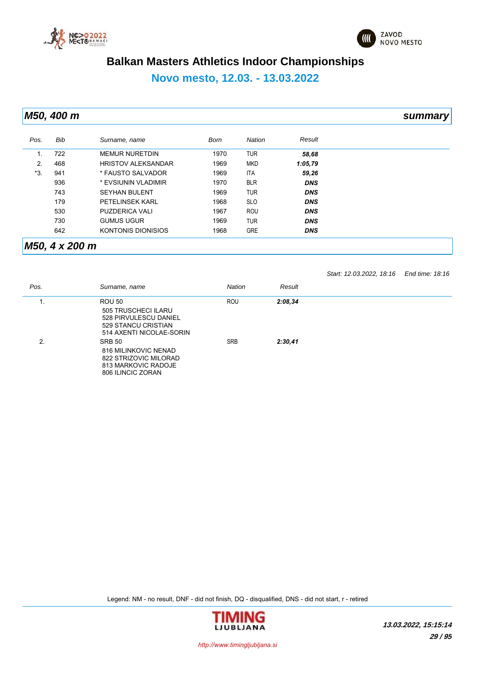



### **Novo mesto, 12.03. - 13.03.2022**

*M50, 400 m summary*

| Pos.      | Bib | Surname, name             | Born | Nation     | Result     |
|-----------|-----|---------------------------|------|------------|------------|
| <b>L.</b> | 722 | <b>MEMUR NURETDIN</b>     | 1970 | <b>TUR</b> | 58,68      |
| 2.        | 468 | <b>HRISTOV ALEKSANDAR</b> | 1969 | <b>MKD</b> | 1:05,79    |
| *3.       | 941 | * FAUSTO SALVADOR         | 1969 | <b>ITA</b> | 59,26      |
|           | 936 | * EVSIUNIN VLADIMIR       | 1970 | <b>BLR</b> | <b>DNS</b> |
|           | 743 | <b>SEYHAN BULENT</b>      | 1969 | <b>TUR</b> | <b>DNS</b> |
|           | 179 | <b>PETELINSEK KARL</b>    | 1968 | <b>SLO</b> | <b>DNS</b> |
|           | 530 | <b>PUZDERICA VALI</b>     | 1967 | <b>ROU</b> | <b>DNS</b> |
|           | 730 | <b>GUMUS UGUR</b>         | 1969 | <b>TUR</b> | <b>DNS</b> |
|           | 642 | KONTONIS DIONISIOS        | 1968 | <b>GRE</b> | <b>DNS</b> |

#### *M50, 4 x 200 m*

*Start: 12.03.2022, 18:16 End time: 18:16*

| Pos. | Surname, name                                                                                              | Nation     | Result  |
|------|------------------------------------------------------------------------------------------------------------|------------|---------|
| . .  | <b>ROU 50</b>                                                                                              | <b>ROU</b> | 2:08,34 |
|      | 505 TRUSCHECI ILARU<br>528 PIRVULESCU DANIEL<br>529 STANCU CRISTIAN<br>514 AXENTI NICOLAE-SORIN            |            |         |
| 2.   | <b>SRB 50</b><br>816 MILINKOVIC NENAD<br>822 STRIZOVIC MILORAD<br>813 MARKOVIC RADOJE<br>806 ILINCIC ZORAN | <b>SRB</b> | 2:30,41 |

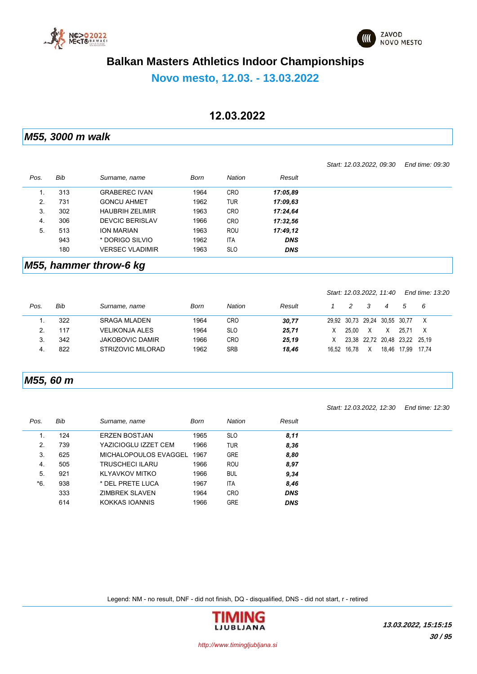



#### **Novo mesto, 12.03. - 13.03.2022**

#### **12.03.2022**

*M55, 3000 m walk*

|      |     |                        |      |            |            | Start: 12.03.2022, 09:30 | End time: 09:30 |
|------|-----|------------------------|------|------------|------------|--------------------------|-----------------|
| Pos. | Bib | Surname, name          | Born | Nation     | Result     |                          |                 |
| 1.   | 313 | <b>GRABEREC IVAN</b>   | 1964 | <b>CRO</b> | 17:05.89   |                          |                 |
| 2.   | 731 | <b>GONCU AHMET</b>     | 1962 | <b>TUR</b> | 17:09.63   |                          |                 |
| 3.   | 302 | <b>HAUBRIH ZELIMIR</b> | 1963 | <b>CRO</b> | 17:24.64   |                          |                 |
| 4.   | 306 | <b>DEVCIC BERISLAV</b> | 1966 | <b>CRO</b> | 17:32.56   |                          |                 |
| 5.   | 513 | <b>ION MARIAN</b>      | 1963 | <b>ROU</b> | 17:49.12   |                          |                 |
|      | 943 | * DORIGO SILVIO        | 1962 | <b>ITA</b> | <b>DNS</b> |                          |                 |
|      | 180 | <b>VERSEC VLADIMIR</b> | 1963 | <b>SLO</b> | <b>DNS</b> |                          |                 |
|      |     |                        |      |            |            |                          |                 |

#### *M55, hammer throw-6 kg*

|      |     |                        |      |            |        |       |       | Start: 12.03.2022, 11:40 |             |                         | End time: 13:20 |
|------|-----|------------------------|------|------------|--------|-------|-------|--------------------------|-------------|-------------------------|-----------------|
| Pos. | Bib | Surname, name          | Born | Nation     | Result |       | 2     |                          | 4           | 5                       | - 6             |
|      | 322 | <b>SRAGA MLADEN</b>    | 1964 | <b>CRO</b> | 30,77  |       |       | 29,92 30,73 29,24        | 30,55 30,77 |                         |                 |
|      | 117 | <b>VELIKONJA ALES</b>  | 1964 | <b>SLO</b> | 25,71  | X     | 25.00 | X                        |             | 25.71                   | X               |
| 3.   | 342 | <b>JAKOBOVIC DAMIR</b> | 1966 | <b>CRO</b> | 25.19  | X     |       |                          |             | 23.38 22.72 20.48 23.22 | 25.19           |
| 4.   | 822 | STRIZOVIC MILORAD      | 1962 | <b>SRB</b> | 18,46  | 16.52 | 16.78 | X                        | 18.46       | 17.99                   | 17.74           |

#### *M55, 60 m*

|      |     |                        |      |               |            | Start: 12.03.2022, 12:30 | End time: 12:30 |
|------|-----|------------------------|------|---------------|------------|--------------------------|-----------------|
| Pos. | Bib | Surname, name          | Born | <b>Nation</b> | Result     |                          |                 |
| 1.   | 124 | <b>ERZEN BOSTJAN</b>   | 1965 | <b>SLO</b>    | 8,11       |                          |                 |
| 2.   | 739 | YAZICIOGLU IZZET CEM   | 1966 | <b>TUR</b>    | 8,36       |                          |                 |
| 3.   | 625 | MICHALOPOULOS EVAGGEL  | 1967 | <b>GRE</b>    | 8,80       |                          |                 |
| 4.   | 505 | <b>TRUSCHECI ILARU</b> | 1966 | ROU           | 8,97       |                          |                 |
| 5.   | 921 | KLYAVKOV MITKO         | 1966 | <b>BUL</b>    | 9,34       |                          |                 |
| *6.  | 938 | * DEL PRETE LUCA       | 1967 | <b>ITA</b>    | 8,46       |                          |                 |
|      | 333 | ZIMBREK SLAVEN         | 1964 | <b>CRO</b>    | <b>DNS</b> |                          |                 |
|      | 614 | KOKKAS IOANNIS         | 1966 | <b>GRE</b>    | <b>DNS</b> |                          |                 |

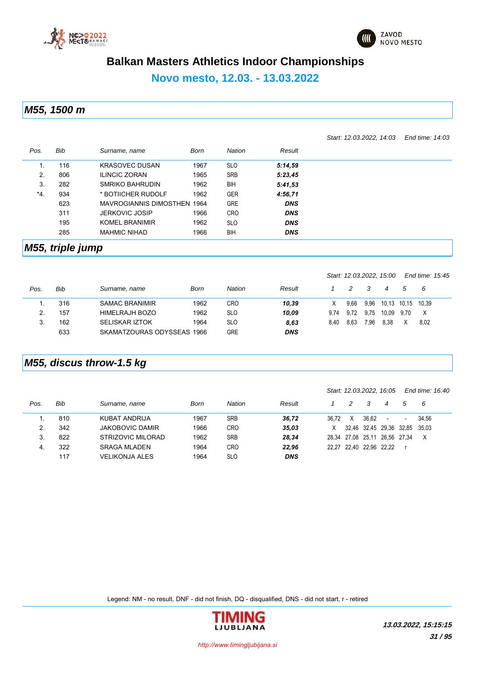



*Start: 12.03.2022, 14:03 End time: 14:03*

### **Balkan Masters Athletics Indoor Championships**

#### **Novo mesto, 12.03. - 13.03.2022**

*M55, 1500 m*

*Pos. Bib Surname, name Born Nation Result* 1. 116 KRASOVEC DUSAN 1967 SLO *5:14,59* 2. 806 ILINCIC ZORAN 1965 SRB *5:23,45* 3. 282 SMRIKO BAHRUDIN 1962 BIH *5:41,53* \*4. 934 \* BOTIICHER RUDOLF 1962 GER *4:56,71* 623 MAVROGIANNIS DIMOSTHEN 1964 GRE *DNS* 311 JERKOVIC JOSIP 1966 CRO *DNS* 195 KOMEL BRANIMIR 1962 SLO *DNS* 285 MAHMIC NIHAD 1966 BIH *DNS*

#### *M55, triple jump*

|      |     |                            |      |            |            |      | Start: 12.03.2022, 15.00 |      |             | End time: 15:45 |       |  |
|------|-----|----------------------------|------|------------|------------|------|--------------------------|------|-------------|-----------------|-------|--|
| Pos. | Bib | Surname, name              | Born | Nation     | Result     |      |                          | 3    |             | .5              | - 6   |  |
|      | 316 | <b>SAMAC BRANIMIR</b>      | 1962 | <b>CRO</b> | 10,39      | X.   | 9.66                     | 9,96 | 10,13 10,15 |                 | 10.39 |  |
|      | 157 | HIMELRAJH BOZO             | 1962 | <b>SLO</b> | 10,09      | 9.74 | 9.72                     | 9.75 | 10.09       | 9.70            | X     |  |
| 3.   | 162 | <b>SELISKAR IZTOK</b>      | 1964 | <b>SLO</b> | 8,63       | 8.40 | 8.63                     | 7,96 | 8.38        |                 | 8,02  |  |
|      | 633 | SKAMATZOURAS ODYSSEAS 1966 |      | <b>GRE</b> | <b>DNS</b> |      |                          |      |             |                 |       |  |

#### *M55, discus throw-1.5 kg*

|      |     |                        |      |               |            |       |   | Start: 12.03.2022, 16:05 |                         | End time: 16:40          |       |
|------|-----|------------------------|------|---------------|------------|-------|---|--------------------------|-------------------------|--------------------------|-------|
| Pos. | Bib | Surname, name          | Born | <b>Nation</b> | Result     |       | 2 | -3                       | 4                       | 5                        | - 6   |
|      | 810 | KUBAT ANDRIJA          | 1967 | <b>SRB</b>    | 36.72      | 36.72 | X | 36.62                    | $\blacksquare$          | $\overline{\phantom{a}}$ | 34.56 |
| 2.   | 342 | <b>JAKOBOVIC DAMIR</b> | 1966 | <b>CRO</b>    | 35,03      | X     |   |                          | 32,46 32,45 29,36 32,85 |                          | 35.03 |
| 3.   | 822 | STRIZOVIC MILORAD      | 1962 | <b>SRB</b>    | 28,34      |       |   | 28.34 27.08 25.11        | 26.56 27.34             |                          | X     |
| 4.   | 322 | <b>SRAGA MLADEN</b>    | 1964 | <b>CRO</b>    | 22.96      |       |   | 22.27 22.40 22.96 22.22  |                         |                          |       |
|      | 117 | <b>VELIKONJA ALES</b>  | 1964 | <b>SLO</b>    | <b>DNS</b> |       |   |                          |                         |                          |       |

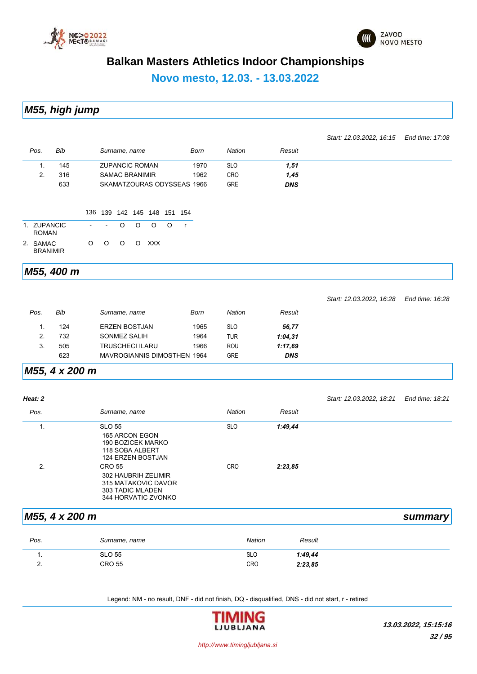



#### **Novo mesto, 12.03. - 13.03.2022**

*M55, high jump*

*Start: 12.03.2022, 16:15 End time: 17:08*

| Pos.                        | Bib |                |         | Surname, name         |         |                     |         | Born                       | <b>Nation</b> | Result     |  |
|-----------------------------|-----|----------------|---------|-----------------------|---------|---------------------|---------|----------------------------|---------------|------------|--|
| 1.                          | 145 |                |         | <b>ZUPANCIC ROMAN</b> |         |                     |         | 1970                       | <b>SLO</b>    | 1,51       |  |
| 2.                          | 316 |                |         | <b>SAMAC BRANIMIR</b> |         |                     |         | 1962                       | <b>CRO</b>    | 1,45       |  |
|                             | 633 |                |         |                       |         |                     |         | SKAMATZOURAS ODYSSEAS 1966 | <b>GRE</b>    | <b>DNS</b> |  |
|                             |     |                | 136 139 |                       |         | 142 145 148 151 154 |         |                            |               |            |  |
| 1. ZUPANCIC<br><b>ROMAN</b> |     | $\blacksquare$ | $\sim$  | $\circ$               | $\circ$ | $\circ$             | $\circ$ | $\mathsf{r}$               |               |            |  |
| 2. SAMAC<br><b>BRANIMIR</b> |     | $\circ$        | $\circ$ | $\circ$               | $\circ$ | <b>XXX</b>          |         |                            |               |            |  |

#### *M55, 400 m*

|      |     |                                    |      |            |            | Start: 12.03.2022, 16:28 | End time: $16.28$ |
|------|-----|------------------------------------|------|------------|------------|--------------------------|-------------------|
| Pos. | Bib | Surname, name                      | Born | Nation     | Result     |                          |                   |
|      | 124 | <b>ERZEN BOSTJAN</b>               | 1965 | <b>SLO</b> | 56,77      |                          |                   |
|      | 732 | SONMEZ SALIH                       | 1964 | <b>TUR</b> | 1:04,31    |                          |                   |
|      | 505 | <b>TRUSCHECI ILARU</b>             | 1966 | <b>ROU</b> | 1:17.69    |                          |                   |
|      | 623 | <b>MAVROGIANNIS DIMOSTHEN 1964</b> |      | <b>GRE</b> | <b>DNS</b> |                          |                   |

#### *M55, 4 x 200 m*

| Heat: 2 |                                                                                                            |               |         | Start: 12.03.2022, 18:21 | End time: 18:21 |
|---------|------------------------------------------------------------------------------------------------------------|---------------|---------|--------------------------|-----------------|
| Pos.    | Surname, name                                                                                              | <b>Nation</b> | Result  |                          |                 |
| 1.      | <b>SLO 55</b><br>165 ARCON EGON<br><b>190 BOZICEK MARKO</b><br>118 SOBA ALBERT<br><b>124 ERZEN BOSTJAN</b> | <b>SLO</b>    | 1:49,44 |                          |                 |
| 2.      | CRO 55<br>302 HAUBRIH ZELIMIR<br>315 MATAKOVIC DAVOR<br>303 TADIC MLADEN<br>344 HORVATIC ZVONKO            | <b>CRO</b>    | 2:23.85 |                          |                 |

#### *M55, 4 x 200 m summary*

| Pos.          | Surname, name | <b>Nation</b> | Result  |
|---------------|---------------|---------------|---------|
| . .           | <b>SLO 55</b> | <b>SLO</b>    | 1:49,44 |
| ∽<br><u>.</u> | <b>CRO 55</b> | <b>CRO</b>    | 2:23.85 |

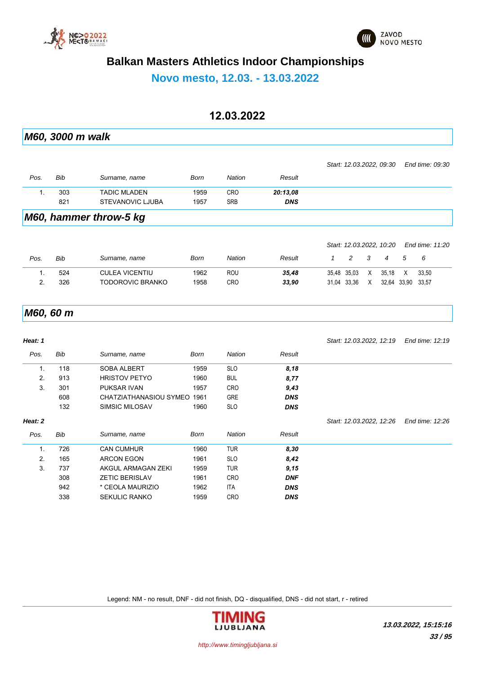



**Novo mesto, 12.03. - 13.03.2022**

#### **12.03.2022**

*M60, 3000 m walk*

|      |     |                     |      |            |            | Start: 12.03.2022, 09:30 End time: 09:30 |  |
|------|-----|---------------------|------|------------|------------|------------------------------------------|--|
| Pos. | Bib | Surname, name       | Born | Nation     | Result     |                                          |  |
|      | 303 | <b>TADIC MLADEN</b> | 1959 | <b>CRO</b> | 20:13.08   |                                          |  |
|      | 821 | STEVANOVIC LJUBA    | 1957 | <b>SRB</b> | <b>DNS</b> |                                          |  |
|      |     |                     |      |            |            |                                          |  |

#### *M60, hammer throw-5 kg*

|      |     |                       |      |        |        |               |               | Start: 12.03.2022, 10.20 |             | End time: 11:20 |  |
|------|-----|-----------------------|------|--------|--------|---------------|---------------|--------------------------|-------------|-----------------|--|
| Pos. | Bib | Surname, name         | Born | Nation | Result | $\mathcal{P}$ | $\mathcal{R}$ | $\boldsymbol{4}$         | -5          | - 6             |  |
|      | 524 | <b>CULEA VICENTIU</b> | 1962 | ROU    | 35.48  | 35.48 35.03   | X             | 35.18                    | X           | 33.50           |  |
|      | 326 | TODOROVIC BRANKO      | 1958 | CRO    | 33.90  | 31.04 33.36   | X             |                          | 32,64 33,90 | 33.57           |  |
|      |     |                       |      |        |        |               |               |                          |             |                 |  |

#### *M60, 60 m*

| Heat: 1        |     |                        |      |               |            | Start: 12.03.2022, 12:19 | End time: 12:19 |
|----------------|-----|------------------------|------|---------------|------------|--------------------------|-----------------|
| Pos.           | Bib | Surname, name          | Born | <b>Nation</b> | Result     |                          |                 |
| $\mathbf{1}$ . | 118 | <b>SOBA ALBERT</b>     | 1959 | <b>SLO</b>    | 8,18       |                          |                 |
| 2.             | 913 | <b>HRISTOV PETYO</b>   | 1960 | <b>BUL</b>    | 8,77       |                          |                 |
| 3.             | 301 | <b>PUKSAR IVAN</b>     | 1957 | <b>CRO</b>    | 9,43       |                          |                 |
|                | 608 | CHATZIATHANASIOU SYMEO | 1961 | <b>GRE</b>    | <b>DNS</b> |                          |                 |
|                | 132 | SIMSIC MILOSAV         | 1960 | <b>SLO</b>    | <b>DNS</b> |                          |                 |
| Heat: 2        |     |                        |      |               |            | Start: 12.03.2022, 12:26 | End time: 12:26 |
| Pos.           | Bib | Surname, name          | Born | <b>Nation</b> | Result     |                          |                 |
| $\mathbf{1}$ . | 726 | <b>CAN CUMHUR</b>      | 1960 | <b>TUR</b>    | 8,30       |                          |                 |
| 2.             | 165 | <b>ARCON EGON</b>      | 1961 | <b>SLO</b>    | 8,42       |                          |                 |
| 3.             | 737 | AKGUL ARMAGAN ZEKI     | 1959 | <b>TUR</b>    | 9,15       |                          |                 |
|                | 308 | <b>ZETIC BERISLAV</b>  | 1961 | <b>CRO</b>    | <b>DNF</b> |                          |                 |
|                | 942 | * CEOLA MAURIZIO       | 1962 | <b>ITA</b>    | <b>DNS</b> |                          |                 |
|                | 338 | <b>SEKULIC RANKO</b>   | 1959 | <b>CRO</b>    | <b>DNS</b> |                          |                 |

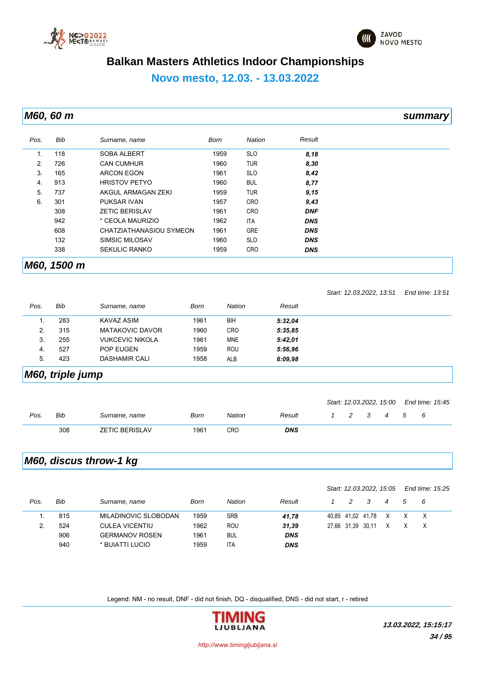



### **Novo mesto, 12.03. - 13.03.2022**

*M60, 60 m summary*

| Pos. | <b>Bib</b>  | Surname, name           | Born | Nation     | Result     |  |
|------|-------------|-------------------------|------|------------|------------|--|
| 1.   | 118         | <b>SOBA ALBERT</b>      | 1959 | <b>SLO</b> | 8,18       |  |
| 2.   | 726         | <b>CAN CUMHUR</b>       | 1960 | <b>TUR</b> | 8,30       |  |
| 3.   | 165         | <b>ARCON EGON</b>       | 1961 | <b>SLO</b> | 8,42       |  |
| 4.   | 913         | <b>HRISTOV PETYO</b>    | 1960 | <b>BUL</b> | 8,77       |  |
| 5.   | 737         | AKGUL ARMAGAN ZEKI      | 1959 | <b>TUR</b> | 9,15       |  |
| 6.   | 301         | <b>PUKSAR IVAN</b>      | 1957 | <b>CRO</b> | 9,43       |  |
|      | 308         | <b>ZETIC BERISLAV</b>   | 1961 | <b>CRO</b> | <b>DNF</b> |  |
|      | 942         | * CEOLA MAURIZIO        | 1962 | <b>ITA</b> | <b>DNS</b> |  |
|      | 608         | CHATZIATHANASIOU SYMEON | 1961 | <b>GRE</b> | <b>DNS</b> |  |
|      | 132         | <b>SIMSIC MILOSAV</b>   | 1960 | <b>SLO</b> | <b>DNS</b> |  |
|      | 338         | <b>SEKULIC RANKO</b>    | 1959 | <b>CRO</b> | <b>DNS</b> |  |
|      | M60, 1500 m |                         |      |            |            |  |

|      |     |                        |      |            |         | Start: 12.03.2022, 13:51 | End time: 13:51 |
|------|-----|------------------------|------|------------|---------|--------------------------|-----------------|
| Pos. | Bib | Surname, name          | Born | Nation     | Result  |                          |                 |
| .,   | 283 | KAVAZ ASIM             | 1961 | BIH        | 5:32.04 |                          |                 |
| 2.   | 315 | <b>MATAKOVIC DAVOR</b> | 1960 | <b>CRO</b> | 5:35.85 |                          |                 |
| 3.   | 255 | <b>VUKCEVIC NIKOLA</b> | 1961 | <b>MNE</b> | 5:42,01 |                          |                 |
| -4.  | 527 | <b>POP EUGEN</b>       | 1959 | ROU        | 5:56.96 |                          |                 |
| 5.   | 423 | DASHAMIR CALI          | 1958 | <b>ALB</b> | 6:09,98 |                          |                 |

#### *M60, triple jump*

|      |     |                       |      |        |        |  |   |                |   | Start: 12.03.2022, 15:00 End time: 15:45 |
|------|-----|-----------------------|------|--------|--------|--|---|----------------|---|------------------------------------------|
| Pos. | Bib | Surname, name         | Born | Nation | Result |  | 3 | $\overline{4}$ | 5 | - 6                                      |
|      | 308 | <b>ZETIC BERISLAV</b> | 1961 | CRO    | DNS    |  |   |                |   |                                          |

### *M60, discus throw-1 kg*

|      |     |                       |      |               |            |   | Start: 12.03.2022, 15.05 |   |   | End time: 15:25 |
|------|-----|-----------------------|------|---------------|------------|---|--------------------------|---|---|-----------------|
| Pos. | Bib | Surname, name         | Born | <b>Nation</b> | Result     | 2 | -3                       | 4 | 5 | - 6             |
|      | 815 | MILADINOVIC SLOBODAN  | 1959 | <b>SRB</b>    | 41.78      |   | 40,85 41,02 41,78        | X |   | X               |
|      | 524 | <b>CULEA VICENTIU</b> | 1962 | ROU           | 31.39      |   | 27,66 31,39 30,11        | X |   | X               |
|      | 906 | <b>GERMANOV ROSEN</b> | 1961 | <b>BUL</b>    | <b>DNS</b> |   |                          |   |   |                 |
|      | 940 | * BUIATTI LUCIO       | 1959 | <b>ITA</b>    | <b>DNS</b> |   |                          |   |   |                 |

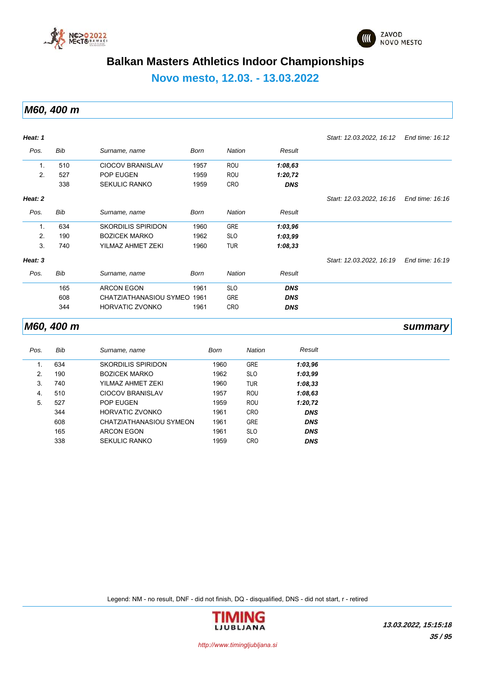



**Novo mesto, 12.03. - 13.03.2022**

*M60, 400 m*

| Heat: 1        |     |                           |             |               |            | Start: 12.03.2022, 16:12 | End time: 16:12 |
|----------------|-----|---------------------------|-------------|---------------|------------|--------------------------|-----------------|
| Pos.           | Bib | Surname, name             | Born        | <b>Nation</b> | Result     |                          |                 |
| 1.             | 510 | <b>CIOCOV BRANISLAV</b>   | 1957        | ROU           | 1:08,63    |                          |                 |
| 2.             | 527 | POP EUGEN                 | 1959        | ROU           | 1:20,72    |                          |                 |
|                | 338 | <b>SEKULIC RANKO</b>      | 1959        | <b>CRO</b>    | <b>DNS</b> |                          |                 |
| Heat: 2        |     |                           |             |               |            | Start: 12.03.2022, 16.16 | End time: 16:16 |
| Pos.           | Bib | Surname, name             | <b>Born</b> | Nation        | Result     |                          |                 |
| $\mathbf{1}$ . | 634 | <b>SKORDILIS SPIRIDON</b> | 1960        | <b>GRE</b>    | 1:03,96    |                          |                 |
| 2.             | 190 | <b>BOZICEK MARKO</b>      | 1962        | <b>SLO</b>    | 1:03,99    |                          |                 |
| 3.             | 740 | YILMAZ AHMET ZEKI         | 1960        | <b>TUR</b>    | 1:08,33    |                          |                 |
| Heat: 3        |     |                           |             |               |            | Start: 12.03.2022, 16.19 | End time: 16:19 |
| Pos.           | Bib | Surname, name             | <b>Born</b> | <b>Nation</b> | Result     |                          |                 |
|                | 165 | <b>ARCON EGON</b>         | 1961        | <b>SLO</b>    | <b>DNS</b> |                          |                 |
|                | 608 | CHATZIATHANASIOU SYMEO    | 1961        | <b>GRE</b>    | <b>DNS</b> |                          |                 |
|                | 344 | <b>HORVATIC ZVONKO</b>    | 1961        | <b>CRO</b>    | <b>DNS</b> |                          |                 |

#### *M60, 400 m summary*

| Pos. | Bib | Surname, name           | Born | <b>Nation</b> | Result     |
|------|-----|-------------------------|------|---------------|------------|
|      | 634 | SKORDILIS SPIRIDON      | 1960 | <b>GRE</b>    | 1:03,96    |
| 2.   | 190 | <b>BOZICEK MARKO</b>    | 1962 | <b>SLO</b>    | 1:03,99    |
| 3.   | 740 | YILMAZ AHMET ZEKI       | 1960 | <b>TUR</b>    | 1:08,33    |
| 4.   | 510 | <b>CIOCOV BRANISLAV</b> | 1957 | <b>ROU</b>    | 1:08,63    |
| 5.   | 527 | <b>POP EUGEN</b>        | 1959 | <b>ROU</b>    | 1:20,72    |
|      | 344 | HORVATIC ZVONKO         | 1961 | <b>CRO</b>    | <b>DNS</b> |
|      | 608 | CHATZIATHANASIOU SYMEON | 1961 | <b>GRE</b>    | <b>DNS</b> |
|      | 165 | ARCON EGON              | 1961 | <b>SLO</b>    | <b>DNS</b> |
|      | 338 | <b>SEKULIC RANKO</b>    | 1959 | <b>CRO</b>    | <b>DNS</b> |

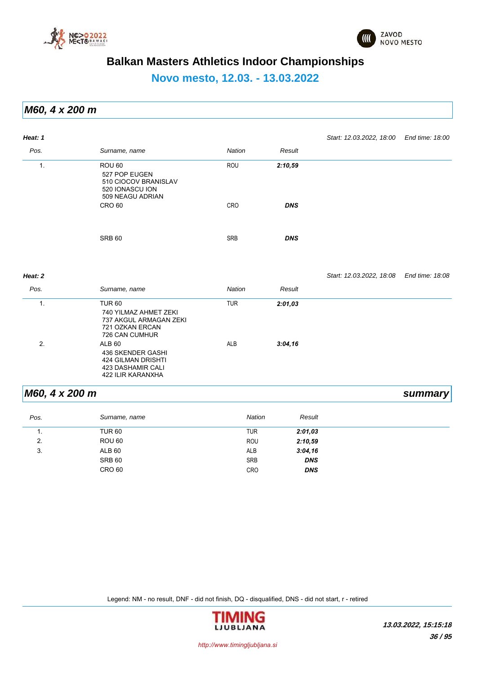



**Novo mesto, 12.03. - 13.03.2022**

*M60, 4 x 200 m*

| Heat: 1        |                                                                                                                  |               |            | Start: 12.03.2022, 18:00 End time: 18:00 |                 |
|----------------|------------------------------------------------------------------------------------------------------------------|---------------|------------|------------------------------------------|-----------------|
| Pos.           | Surname, name                                                                                                    | <b>Nation</b> | Result     |                                          |                 |
| 1.             | ROU <sub>60</sub><br>527 POP EUGEN<br>510 CIOCOV BRANISLAV<br>520 IONASCU ION<br>509 NEAGU ADRIAN                | ROU           | 2:10,59    |                                          |                 |
|                | <b>CRO 60</b>                                                                                                    | CRO           | <b>DNS</b> |                                          |                 |
|                | <b>SRB 60</b>                                                                                                    | <b>SRB</b>    | <b>DNS</b> |                                          |                 |
| Heat: 2        |                                                                                                                  |               |            | Start: 12.03.2022, 18:08                 | End time: 18:08 |
| Pos.           | Surname, name                                                                                                    | <b>Nation</b> | Result     |                                          |                 |
| $\mathbf{1}$ . | <b>TUR 60</b><br>740 YILMAZ AHMET ZEKI<br>737 AKGUL ARMAGAN ZEKI<br>721 OZKAN ERCAN<br>726 CAN CUMHUR            | <b>TUR</b>    | 2:01,03    |                                          |                 |
| 2.             | <b>ALB 60</b><br><b>436 SKENDER GASHI</b><br>424 GILMAN DRISHTI<br>423 DASHAMIR CALI<br><b>422 ILIR KARANXHA</b> | ALB           | 3:04,16    |                                          |                 |

#### *M60, 4 x 200 m summary*

| Pos. | Surname, name     | <b>Nation</b> | Result     |
|------|-------------------|---------------|------------|
| . .  | <b>TUR 60</b>     | <b>TUR</b>    | 2:01,03    |
| 2.   | ROU 60            | ROU           | 2:10,59    |
| 3.   | ALB 60            | ALB           | 3:04,16    |
|      | SRB 60            | <b>SRB</b>    | <b>DNS</b> |
|      | CRO <sub>60</sub> | <b>CRO</b>    | <b>DNS</b> |

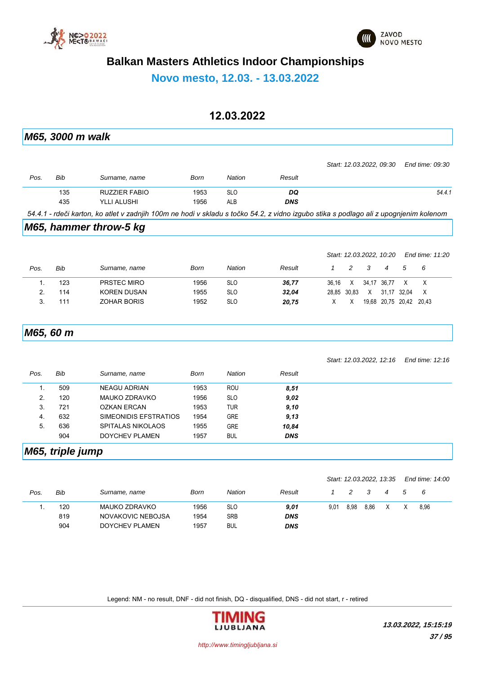



**Novo mesto, 12.03. - 13.03.2022**

## **12.03.2022**

|      | M65, 3000 m walk |                                                                                                                                       |      |               |            |              |             |      |                          |             |                 |
|------|------------------|---------------------------------------------------------------------------------------------------------------------------------------|------|---------------|------------|--------------|-------------|------|--------------------------|-------------|-----------------|
|      |                  |                                                                                                                                       |      |               |            |              |             |      | Start: 12.03.2022, 09.30 |             | End time: 09:30 |
| Pos. | Bib              | Surname, name                                                                                                                         | Born | <b>Nation</b> | Result     |              |             |      |                          |             |                 |
|      | 135              | <b>RUZZIER FABIO</b>                                                                                                                  | 1953 | <b>SLO</b>    | DQ         |              |             |      |                          |             | 54.4.1          |
|      | 435              | YLLI ALUSHI                                                                                                                           | 1956 | ALB           | <b>DNS</b> |              |             |      |                          |             |                 |
|      |                  | 54.4.1 - rdeči karton, ko atlet v zadnjih 100m ne hodi v skladu s točko 54.2, z vidno izgubo stika s podlago ali z upognjenim kolenom |      |               |            |              |             |      |                          |             |                 |
|      |                  | M65, hammer throw-5 kg                                                                                                                |      |               |            |              |             |      |                          |             |                 |
|      |                  |                                                                                                                                       |      |               |            |              |             |      | Start: 12.03.2022, 10:20 |             | End time: 11:20 |
| Pos. | <b>Bib</b>       | Surname, name                                                                                                                         | Born | Nation        | Result     | $\mathcal I$ | 2           | 3    | 4                        | 5           | 6               |
| 1.   | 123              | PRSTEC MIRO                                                                                                                           | 1956 | <b>SLO</b>    | 36,77      | 36,16        | X           |      | 34,17 36,77              | X           | X               |
| 2.   | 114              | <b>KOREN DUSAN</b>                                                                                                                    | 1955 | <b>SLO</b>    | 32,04      |              | 28,85 30,83 | X    |                          | 31,17 32,04 | X               |
| 3.   | 111              | <b>ZOHAR BORIS</b>                                                                                                                    | 1952 | <b>SLO</b>    | 20,75      | X            | X           |      | 19,68 20,75 20,42 20,43  |             |                 |
|      | M65, 60 m        |                                                                                                                                       |      |               |            |              |             |      |                          |             |                 |
|      |                  |                                                                                                                                       |      |               |            |              |             |      | Start: 12.03.2022, 12:16 |             | End time: 12:16 |
| Pos. | Bib              | Surname, name                                                                                                                         | Born | <b>Nation</b> | Result     |              |             |      |                          |             |                 |
| 1.   | 509              | <b>NEAGU ADRIAN</b>                                                                                                                   | 1953 | <b>ROU</b>    | 8,51       |              |             |      |                          |             |                 |
| 2.   | 120              | MAUKO ZDRAVKO                                                                                                                         | 1956 | <b>SLO</b>    | 9,02       |              |             |      |                          |             |                 |
| 3.   | 721              | <b>OZKAN ERCAN</b>                                                                                                                    | 1953 | <b>TUR</b>    | 9,10       |              |             |      |                          |             |                 |
| 4.   | 632              | SIMEONIDIS EFSTRATIOS                                                                                                                 | 1954 | <b>GRE</b>    | 9,13       |              |             |      |                          |             |                 |
| 5.   | 636              | SPITALAS NIKOLAOS                                                                                                                     | 1955 | <b>GRE</b>    | 10,84      |              |             |      |                          |             |                 |
|      | 904              | <b>DOYCHEV PLAMEN</b>                                                                                                                 | 1957 | BUL           | <b>DNS</b> |              |             |      |                          |             |                 |
|      | M65, triple jump |                                                                                                                                       |      |               |            |              |             |      |                          |             |                 |
|      |                  |                                                                                                                                       |      |               |            |              |             |      | Start: 12.03.2022, 13.35 |             | End time: 14:00 |
| Pos. | Bib              | Surname, name                                                                                                                         | Born | Nation        | Result     | 1            | 2           | 3    | 4                        | 5           | 6               |
| 1.   | 120              | MAUKO ZDRAVKO                                                                                                                         | 1956 | <b>SLO</b>    | 9,01       | 9,01         | 8,98        | 8,86 | X                        | $\mathsf X$ | 8,96            |
|      | 819              | NOVAKOVIC NEBOJSA                                                                                                                     | 1954 | SRB           | <b>DNS</b> |              |             |      |                          |             |                 |
|      | 904              | <b>DOYCHEV PLAMEN</b>                                                                                                                 | 1957 | <b>BUL</b>    | <b>DNS</b> |              |             |      |                          |             |                 |

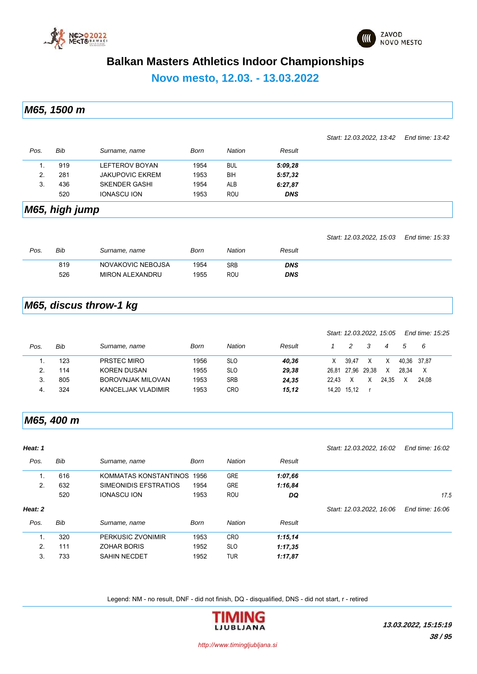



#### **Novo mesto, 12.03. - 13.03.2022**

*M65, 1500 m*

|      |     |                        |      |            |            | Start: 12.03.2022, 13:42 End time: 13:42 |  |
|------|-----|------------------------|------|------------|------------|------------------------------------------|--|
| Pos. | Bib | Surname, name          | Born | Nation     | Result     |                                          |  |
|      | 919 | LEFTEROV BOYAN         | 1954 | <b>BUL</b> | 5:09,28    |                                          |  |
| 2.   | 281 | <b>JAKUPOVIC EKREM</b> | 1953 | BIH        | 5:57,32    |                                          |  |
| 3.   | 436 | <b>SKENDER GASHI</b>   | 1954 | ALB        | 6:27,87    |                                          |  |
|      | 520 | <b>IONASCU ION</b>     | 1953 | ROU        | <b>DNS</b> |                                          |  |
|      |     |                        |      |            |            |                                          |  |

*M65, high jump*

|      |     |                        |      |            |            | Start: 12.03.2022, 15.03 End time: 15:33 |  |
|------|-----|------------------------|------|------------|------------|------------------------------------------|--|
| Pos. | Bib | Surname, name          | Born | Nation     | Result     |                                          |  |
|      | 819 | NOVAKOVIC NEBOJSA      | 1954 | <b>SRB</b> | <b>DNS</b> |                                          |  |
|      | 526 | <b>MIRON ALEXANDRU</b> | 1955 | ROU        | <b>DNS</b> |                                          |  |

### *M65, discus throw-1 kg*

|      |     |                          |      |            |        |       |                   |    | Start: 12.03.2022, 15.05 |             | End time: 15:25 |  |
|------|-----|--------------------------|------|------------|--------|-------|-------------------|----|--------------------------|-------------|-----------------|--|
| Pos. | Bib | Surname, name            | Born | Nation     | Result |       |                   | -3 | 4                        | $\sqrt{5}$  | - 6             |  |
|      | 123 | PRSTEC MIRO              | 1956 | <b>SLO</b> | 40.36  | Χ     | 39.47             | X  |                          | 40.36 37.87 |                 |  |
| 2.   | 114 | <b>KOREN DUSAN</b>       | 1955 | <b>SLO</b> | 29.38  |       | 26,81 27,96 29,38 |    |                          | 28.34       | X               |  |
| -3.  | 805 | <b>BOROVNJAK MILOVAN</b> | 1953 | <b>SRB</b> | 24.35  | 22.43 |                   |    | 24.35                    |             | 24.08           |  |
|      | 324 | KANCELJAK VLADIMIR       | 1953 | CRO        | 15,12  |       | 14,20 15,12       |    |                          |             |                 |  |
|      |     |                          |      |            |        |       |                   |    |                          |             |                 |  |

#### *M65, 400 m*

| Heat: 1 |     |                       |             |               |         | Start: 12.03.2022, 16.02 | End time: 16:02 |
|---------|-----|-----------------------|-------------|---------------|---------|--------------------------|-----------------|
| Pos.    | Bib | Surname, name         | Born        | <b>Nation</b> | Result  |                          |                 |
| 1.      | 616 | KOMMATAS KONSTANTINOS | 1956        | <b>GRE</b>    | 1:07,66 |                          |                 |
| 2.      | 632 | SIMEONIDIS EFSTRATIOS | 1954        | <b>GRE</b>    | 1:16,84 |                          |                 |
|         | 520 | <b>IONASCU ION</b>    | 1953        | ROU           | DQ      |                          | 17.5            |
| Heat: 2 |     |                       |             |               |         | Start: 12.03.2022, 16:06 | End time: 16:06 |
| Pos.    | Bib | Surname, name         | <b>Born</b> | <b>Nation</b> | Result  |                          |                 |
| 1.      | 320 | PERKUSIC ZVONIMIR     | 1953        | <b>CRO</b>    | 1:15,14 |                          |                 |
| 2.      | 111 | <b>ZOHAR BORIS</b>    | 1952        | <b>SLO</b>    | 1:17,35 |                          |                 |
| 3.      | 733 | <b>SAHIN NECDET</b>   | 1952        | <b>TUR</b>    | 1:17,87 |                          |                 |

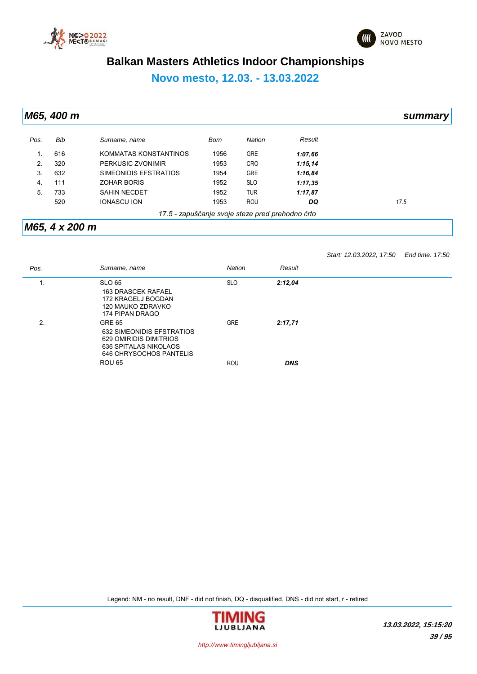



*Start: 12.03.2022, 17:50 End time: 17:50*

# **Balkan Masters Athletics Indoor Championships**

# **Novo mesto, 12.03. - 13.03.2022**

*M65, 400 m summary*

| Pos. | Bib                                              | Surname, name         | Born | Nation     | Result  |      |  |  |  |  |
|------|--------------------------------------------------|-----------------------|------|------------|---------|------|--|--|--|--|
|      | 616                                              | KOMMATAS KONSTANTINOS | 1956 | <b>GRE</b> | 1:07,66 |      |  |  |  |  |
| 2.   | 320                                              | PERKUSIC ZVONIMIR     | 1953 | <b>CRO</b> | 1:15,14 |      |  |  |  |  |
| 3.   | 632                                              | SIMEONIDIS EFSTRATIOS | 1954 | <b>GRE</b> | 1:16,84 |      |  |  |  |  |
| 4.   | 111                                              | <b>ZOHAR BORIS</b>    | 1952 | <b>SLO</b> | 1:17,35 |      |  |  |  |  |
| 5.   | 733                                              | <b>SAHIN NECDET</b>   | 1952 | <b>TUR</b> | 1:17,87 |      |  |  |  |  |
|      | 520                                              | <b>IONASCU ION</b>    | 1953 | <b>ROU</b> | DQ      | 17.5 |  |  |  |  |
|      | 17.5 - zapuščanje svoje steze pred prehodno črto |                       |      |            |         |      |  |  |  |  |

#### *M65, 4 x 200 m*

*Pos. Surname, name Nation Result* 1. SLO 65 SLO *2:12,04* 163 DRASCEK RAFAEL 172 KRAGELJ BOGDAN

|    | 120 MAUKO ZDRAVKO<br>174 PIPAN DRAGO                                 |            |            |
|----|----------------------------------------------------------------------|------------|------------|
| 2. | <b>GRE 65</b><br>632 SIMEONIDIS EFSTRATIOS<br>629 OMIRIDIS DIMITRIOS | <b>GRE</b> | 2:17.71    |
|    | 636 SPITALAS NIKOLAOS<br>646 CHRYSOCHOS PANTELIS                     |            |            |
|    | <b>ROU 65</b>                                                        | ROU        | <b>DNS</b> |

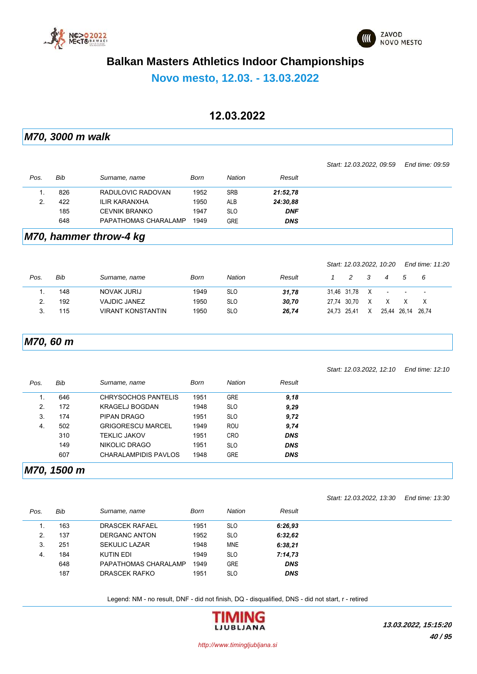



# **Novo mesto, 12.03. - 13.03.2022**

## **12.03.2022**

*M70, 3000 m walk*

|                |             |                             |      |               |            |              |             |         | Start: 12.03.2022, 09:59 |                   | End time: 09:59 |
|----------------|-------------|-----------------------------|------|---------------|------------|--------------|-------------|---------|--------------------------|-------------------|-----------------|
| Pos.           | <b>Bib</b>  | Surname, name               | Born | <b>Nation</b> | Result     |              |             |         |                          |                   |                 |
| $\mathbf{1}$ . | 826         | RADULOVIC RADOVAN           | 1952 | <b>SRB</b>    | 21:52,78   |              |             |         |                          |                   |                 |
| 2.             | 422         | <b>ILIR KARANXHA</b>        | 1950 | ALB           | 24:30,88   |              |             |         |                          |                   |                 |
|                | 185         | <b>CEVNIK BRANKO</b>        | 1947 | <b>SLO</b>    | <b>DNF</b> |              |             |         |                          |                   |                 |
|                | 648         | PAPATHOMAS CHARALAMP        | 1949 | <b>GRE</b>    | <b>DNS</b> |              |             |         |                          |                   |                 |
|                |             | M70, hammer throw-4 kg      |      |               |            |              |             |         |                          |                   |                 |
|                |             |                             |      |               |            |              |             |         | Start: 12.03.2022, 10.20 |                   | End time: 11:20 |
| Pos.           | <b>Bib</b>  | Surname, name               | Born | <b>Nation</b> | Result     | $\mathbf{1}$ | 2           | 3       | $\overline{4}$           | 5                 | 6               |
| 1.             | 148         | <b>NOVAK JURIJ</b>          | 1949 | <b>SLO</b>    | 31,78      |              | 31,46 31,78 | $\sf X$ | $\overline{\phantom{a}}$ |                   | $\overline{a}$  |
| 2.             | 192         | <b>VAJDIC JANEZ</b>         | 1950 | <b>SLO</b>    | 30,70      | 27,74        | 30,70       | Χ       | Χ                        | X                 | X               |
| 3.             | 115         | <b>VIRANT KONSTANTIN</b>    | 1950 | <b>SLO</b>    | 26,74      |              | 24,73 25,41 | X       |                          | 25,44 26,14 26,74 |                 |
|                | M70, 60 m   |                             |      |               |            |              |             |         |                          |                   |                 |
|                |             |                             |      |               |            |              |             |         | Start: 12.03.2022, 12:10 |                   | End time: 12:10 |
| Pos.           | Bib         | Surname, name               | Born | <b>Nation</b> | Result     |              |             |         |                          |                   |                 |
| 1.             | 646         | <b>CHRYSOCHOS PANTELIS</b>  | 1951 | <b>GRE</b>    | 9,18       |              |             |         |                          |                   |                 |
| 2.             | 172         | <b>KRAGELJ BOGDAN</b>       | 1948 | <b>SLO</b>    | 9,29       |              |             |         |                          |                   |                 |
| 3.             | 174         | PIPAN DRAGO                 | 1951 | <b>SLO</b>    | 9,72       |              |             |         |                          |                   |                 |
| 4.             | 502         | <b>GRIGORESCU MARCEL</b>    | 1949 | ROU           | 9,74       |              |             |         |                          |                   |                 |
|                | 310         | <b>TEKLIC JAKOV</b>         | 1951 | CRO           | <b>DNS</b> |              |             |         |                          |                   |                 |
|                | 149         | <b>NIKOLIC DRAGO</b>        | 1951 | <b>SLO</b>    | <b>DNS</b> |              |             |         |                          |                   |                 |
|                | 607         | <b>CHARALAMPIDIS PAVLOS</b> | 1948 | <b>GRE</b>    | <b>DNS</b> |              |             |         |                          |                   |                 |
|                | M70, 1500 m |                             |      |               |            |              |             |         |                          |                   |                 |
|                |             |                             |      |               |            |              |             |         |                          |                   |                 |
|                |             |                             |      |               |            |              |             |         | Start: 12.03.2022, 13:30 |                   | End time: 13:30 |

| Pos. | Bib | Surname, name         | Born | <b>Nation</b> | Result     |
|------|-----|-----------------------|------|---------------|------------|
|      | 163 | <b>DRASCEK RAFAEL</b> | 1951 | <b>SLO</b>    | 6:26.93    |
| 2.   | 137 | <b>DERGANC ANTON</b>  | 1952 | <b>SLO</b>    | 6:32,62    |
| 3.   | 251 | <b>SEKULIC LAZAR</b>  | 1948 | <b>MNE</b>    | 6:38,21    |
| -4.  | 184 | KUTIN EDI             | 1949 | <b>SLO</b>    | 7:14,73    |
|      | 648 | PAPATHOMAS CHARALAMP  | 1949 | <b>GRE</b>    | <b>DNS</b> |
|      | 187 | DRASCEK RAFKO         | 1951 | <b>SLO</b>    | <b>DNS</b> |

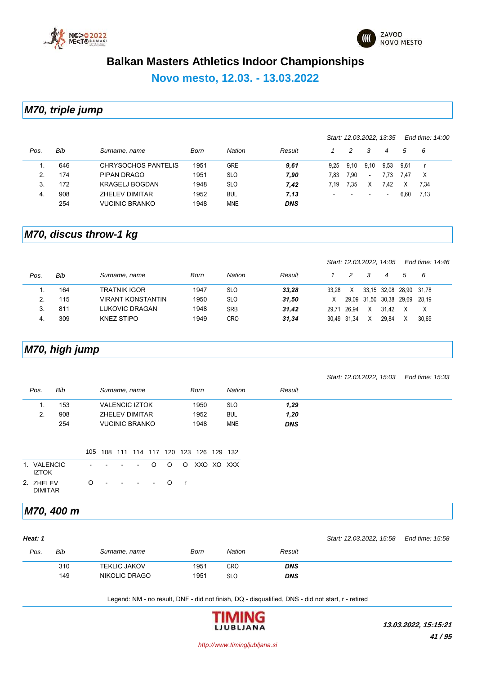



**Novo mesto, 12.03. - 13.03.2022**

*M70, triple jump*

|      |     |                       |      |               |            |                          |      | Start: 12.03.2022, 13:35 |      |      | End time: 14:00 |
|------|-----|-----------------------|------|---------------|------------|--------------------------|------|--------------------------|------|------|-----------------|
| Pos. | Bib | Surname, name         | Born | <b>Nation</b> | Result     |                          | 2    | 3                        | 4    | 5    | - 6             |
|      | 646 | CHRYSOCHOS PANTELIS   | 1951 | <b>GRE</b>    | 9,61       | 9.25                     | 9.10 | 9,10                     | 9,53 | 9.61 | - r             |
| 2.   | 174 | PIPAN DRAGO           | 1951 | <b>SLO</b>    | 7,90       | 7.83                     | 7.90 | $\overline{\phantom{a}}$ | 7.73 | 7.47 | X               |
| 3.   | 172 | <b>KRAGELJ BOGDAN</b> | 1948 | <b>SLO</b>    | 7,42       | 7.19                     | 7.35 | Χ                        | 7.42 |      | 7,34            |
| 4.   | 908 | ZHELEV DIMITAR        | 1952 | <b>BUL</b>    | 7,13       | $\overline{\phantom{0}}$ |      | $\overline{\phantom{0}}$ | $\,$ | 6.60 | 7.13            |
|      | 254 | <b>VUCINIC BRANKO</b> | 1948 | <b>MNE</b>    | <b>DNS</b> |                          |      |                          |      |      |                 |

#### *M70, discus throw-1 kg*

|      |     |                          |      |               |        |             |       | Start: 12.03.2022, 14:05 |       |                         | End time: 14:46 |  |
|------|-----|--------------------------|------|---------------|--------|-------------|-------|--------------------------|-------|-------------------------|-----------------|--|
| Pos. | Bib | Surname, name            | Born | <b>Nation</b> | Result |             | 2     | 3                        | 4     | 5                       | - 6             |  |
|      | 164 | <b>TRATNIK IGOR</b>      | 1947 | <b>SLO</b>    | 33.28  | 33.28       | X     |                          |       | 33,15 32,08 28,90 31,78 |                 |  |
|      | 115 | <b>VIRANT KONSTANTIN</b> | 1950 | <b>SLO</b>    | 31,50  | X.          |       | 29.09 31.50 30.38 29.69  |       |                         | 28.19           |  |
|      | 811 | LUKOVIC DRAGAN           | 1948 | <b>SRB</b>    | 31.42  | 29.71       | 26.94 | X                        | 31.42 |                         | X               |  |
| 4.   | 309 | KNEZ STIPO               | 1949 | <b>CRO</b>    | 31,34  | 30,49 31,34 |       | Χ                        | 29.84 |                         | 30.69           |  |

# *M70, high jump*

| Start: 12.03.2022, 15.03 End time: 15:33 |  |  |
|------------------------------------------|--|--|
|                                          |  |  |

| Pos.     | Bib | Surname, name         | Born | Nation     | Result     |  |
|----------|-----|-----------------------|------|------------|------------|--|
|          | 153 | <b>VALENCIC IZTOK</b> | 1950 | <b>SLO</b> | 1,29       |  |
| <u>.</u> | 908 | <b>ZHELEV DIMITAR</b> | 1952 | <b>BUL</b> | 1,20       |  |
|          | 254 | <b>VUCINIC BRANKO</b> | 1948 | MNE        | <b>DNS</b> |  |

|                             |  |                               |  | 105 108 111 114 117 120 123 126 129 132 |  |
|-----------------------------|--|-------------------------------|--|-----------------------------------------|--|
| 1. VALENCIC<br>IZTOK.       |  |                               |  | $\sim$ $\sim$ $\sim$ 0 0 0 0 XXO XO XXX |  |
| 2. ZHELEV<br><b>DIMITAR</b> |  | $0 \cdot \cdot \cdot \cdot 0$ |  |                                         |  |

### *M70, 400 m*

|      |                             |      |            |            | Start: 12.03.2022, 15:58 | End time: 15:58 |
|------|-----------------------------|------|------------|------------|--------------------------|-----------------|
| Pos. | Bib<br>Surname, name        | Born | Nation     | Result     |                          |                 |
|      | 310<br><b>TEKLIC JAKOV</b>  | 1951 | CRO        | <b>DNS</b> |                          |                 |
|      | <b>NIKOLIC DRAGO</b><br>149 | 1951 | <b>SLO</b> | <b>DNS</b> |                          |                 |
|      |                             |      |            |            |                          |                 |

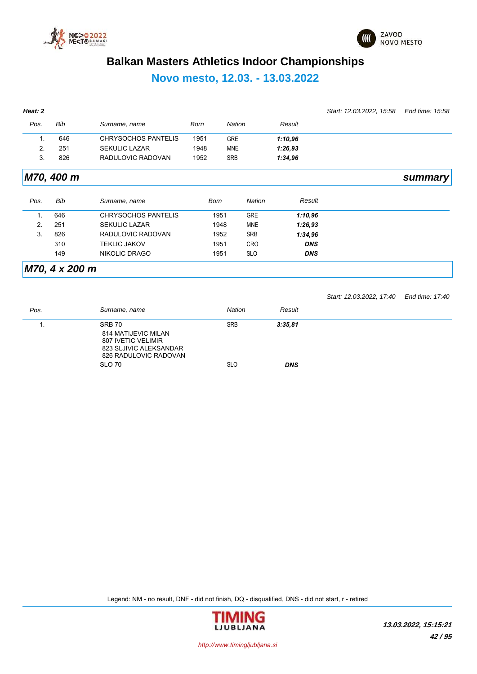



# **Novo mesto, 12.03. - 13.03.2022**

| Heat: 2 |            |                            |             |               |               |            | Start: 12.03.2022, 15.58 | End time: 15:58 |
|---------|------------|----------------------------|-------------|---------------|---------------|------------|--------------------------|-----------------|
| Pos.    | <b>Bib</b> | Surname, name              | <b>Born</b> | <b>Nation</b> |               | Result     |                          |                 |
| 1.      | 646        | <b>CHRYSOCHOS PANTELIS</b> | 1951        | <b>GRE</b>    |               | 1:10,96    |                          |                 |
| 2.      | 251        | <b>SEKULIC LAZAR</b>       | 1948        | <b>MNE</b>    |               | 1:26,93    |                          |                 |
| 3.      | 826        | RADULOVIC RADOVAN          | 1952        | <b>SRB</b>    |               | 1:34,96    |                          |                 |
|         | M70, 400 m |                            |             |               |               |            |                          | summary         |
| Pos.    | Bib        | Surname, name              | <b>Born</b> |               | <b>Nation</b> | Result     |                          |                 |
| 1.      | 646        | <b>CHRYSOCHOS PANTELIS</b> |             | 1951          | <b>GRE</b>    | 1:10,96    |                          |                 |
| 2.      | 251        | <b>SEKULIC LAZAR</b>       |             | 1948          | <b>MNE</b>    | 1:26,93    |                          |                 |
| 3.      | 826        | RADULOVIC RADOVAN          |             | 1952          | <b>SRB</b>    | 1:34,96    |                          |                 |
|         | 310        | <b>TEKLIC JAKOV</b>        |             | 1951          | <b>CRO</b>    | <b>DNS</b> |                          |                 |
|         | 149        | NIKOLIC DRAGO              |             | 1951          | <b>SLO</b>    | <b>DNS</b> |                          |                 |

*Start: 12.03.2022, 17:40 End time: 17:40*

| Pos. | Surname, name                                                                                          | <b>Nation</b> | Result     |
|------|--------------------------------------------------------------------------------------------------------|---------------|------------|
|      | SRB 70<br>814 MATIJEVIC MILAN<br>807 IVETIC VELIMIR<br>823 SLJIVIC ALEKSANDAR<br>826 RADULOVIC RADOVAN | <b>SRB</b>    | 3:35,81    |
|      | SLO 70                                                                                                 | <b>SLO</b>    | <b>DNS</b> |

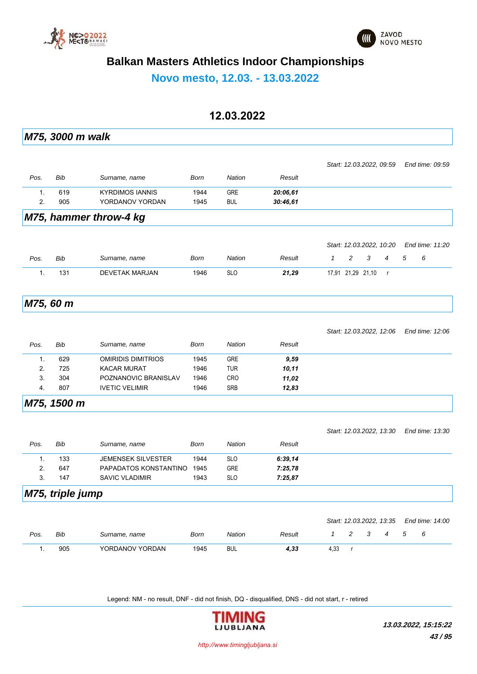



**Novo mesto, 12.03. - 13.03.2022**

### **12.03.2022**

|               | M75, 3000 m walk |                           |      |               |          |              |                   |   |                          |   |                 |  |
|---------------|------------------|---------------------------|------|---------------|----------|--------------|-------------------|---|--------------------------|---|-----------------|--|
|               |                  |                           |      |               |          |              |                   |   |                          |   |                 |  |
|               |                  |                           |      |               |          |              |                   |   | Start: 12.03.2022, 09:59 |   | End time: 09:59 |  |
| Pos.          | Bib              | Surname, name             | Born | Nation        | Result   |              |                   |   |                          |   |                 |  |
| 1.            | 619              | <b>KYRDIMOS IANNIS</b>    | 1944 | GRE           | 20:06,61 |              |                   |   |                          |   |                 |  |
| 2.            | 905              | YORDANOV YORDAN           | 1945 | <b>BUL</b>    | 30:46,61 |              |                   |   |                          |   |                 |  |
|               |                  | M75, hammer throw-4 kg    |      |               |          |              |                   |   |                          |   |                 |  |
|               |                  |                           |      |               |          |              |                   |   | Start: 12.03.2022, 10:20 |   | End time: 11:20 |  |
|               |                  |                           |      |               |          |              |                   |   |                          |   |                 |  |
| Pos.          | <b>Bib</b>       | Surname, name             | Born | <b>Nation</b> | Result   | $\mathcal I$ | 2                 | 3 | 4                        | 5 | 6               |  |
| 1.            | 131              | <b>DEVETAK MARJAN</b>     | 1946 | <b>SLO</b>    | 21,29    |              | 17,91 21,29 21,10 |   | $\mathsf{r}$             |   |                 |  |
|               | M75, 60 m        |                           |      |               |          |              |                   |   |                          |   |                 |  |
|               |                  |                           |      |               |          |              |                   |   |                          |   |                 |  |
|               |                  |                           |      |               |          |              |                   |   |                          |   | End time: 12:06 |  |
|               |                  |                           |      |               |          |              |                   |   | Start: 12.03.2022, 12:06 |   |                 |  |
| Pos.          | Bib              | Surname, name             | Born | <b>Nation</b> | Result   |              |                   |   |                          |   |                 |  |
| 1.            | 629              | OMIRIDIS DIMITRIOS        | 1945 | GRE           | 9,59     |              |                   |   |                          |   |                 |  |
| 2.            | 725              | <b>KACAR MURAT</b>        | 1946 | <b>TUR</b>    | 10,11    |              |                   |   |                          |   |                 |  |
| 3.            | 304              | POZNANOVIC BRANISLAV      | 1946 | <b>CRO</b>    | 11,02    |              |                   |   |                          |   |                 |  |
| 4.            | 807              | <b>IVETIC VELIMIR</b>     | 1946 | <b>SRB</b>    | 12,83    |              |                   |   |                          |   |                 |  |
|               | M75, 1500 m      |                           |      |               |          |              |                   |   |                          |   |                 |  |
|               |                  |                           |      |               |          |              |                   |   | Start: 12.03.2022, 13.30 |   | End time: 13:30 |  |
| Pos.          | <b>Bib</b>       | Surname, name             | Born | Nation        | Result   |              |                   |   |                          |   |                 |  |
| 1.            | 133              | <b>JEMENSEK SILVESTER</b> | 1944 | <b>SLO</b>    | 6:39,14  |              |                   |   |                          |   |                 |  |
| 2.            | 647              | PAPADATOS KONSTANTINO     | 1945 | GRE           | 7:25,78  |              |                   |   |                          |   |                 |  |
| 3.            | 147              | <b>SAVIC VLADIMIR</b>     | 1943 | <b>SLO</b>    | 7:25,87  |              |                   |   |                          |   |                 |  |
|               | M75, triple jump |                           |      |               |          |              |                   |   |                          |   |                 |  |
|               |                  |                           |      |               |          |              |                   |   | Start: 12.03.2022, 13:35 |   | End time: 14:00 |  |
| Pos.          | Bib              | Surname, name             | Born | Nation        | Result   | $\mathcal I$ | 2                 | 3 | 4                        | 5 | 6               |  |
| $\mathbf 1$ . | 905              | YORDANOV YORDAN           | 1945 | <b>BUL</b>    | 4,33     | 4,33         | $\mathbf r$       |   |                          |   |                 |  |
|               |                  |                           |      |               |          |              |                   |   |                          |   |                 |  |

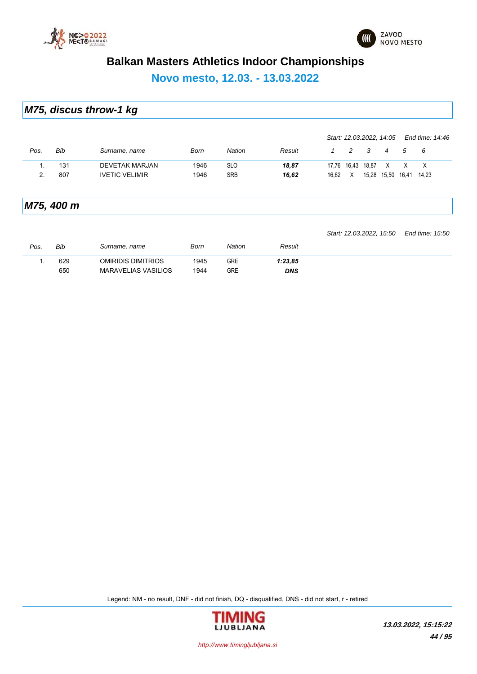



**Novo mesto, 12.03. - 13.03.2022**

|  |  | M75, discus throw-1 kg |  |
|--|--|------------------------|--|
|--|--|------------------------|--|

|               |     |                       |      |            |        | Start: 12.03.2022, 14:05 |   |   |                   |   | End time: 14:46 |  |
|---------------|-----|-----------------------|------|------------|--------|--------------------------|---|---|-------------------|---|-----------------|--|
| Pos.          | Bib | Surname, name         | Born | Nation     | Result |                          | 2 | 3 | $\overline{4}$    | 5 | - 6             |  |
|               | 131 | <b>DEVETAK MARJAN</b> | 1946 | <b>SLO</b> | 18,87  | 17,76 16,43 18,87        |   |   | X X               |   | $\mathsf{X}$    |  |
| $\mathcal{P}$ | 807 | <b>IVETIC VELIMIR</b> | 1946 | <b>SRB</b> | 16.62  | 16.62                    | X |   | 15,28 15,50 16,41 |   | 14.23           |  |
|               |     |                       |      |            |        |                          |   |   |                   |   |                 |  |

### *M75, 400 m*

*Start: 12.03.2022, 15:50 End time: 15:50*

| Pos. | Bib        | Surname, name                                           | Born         | Nation     | Result         |  |
|------|------------|---------------------------------------------------------|--------------|------------|----------------|--|
|      | 629<br>650 | <b>OMIRIDIS DIMITRIOS</b><br><b>MARAVELIAS VASILIOS</b> | 1945<br>1944 | GRE<br>GRE | 1:23.85<br>DNS |  |

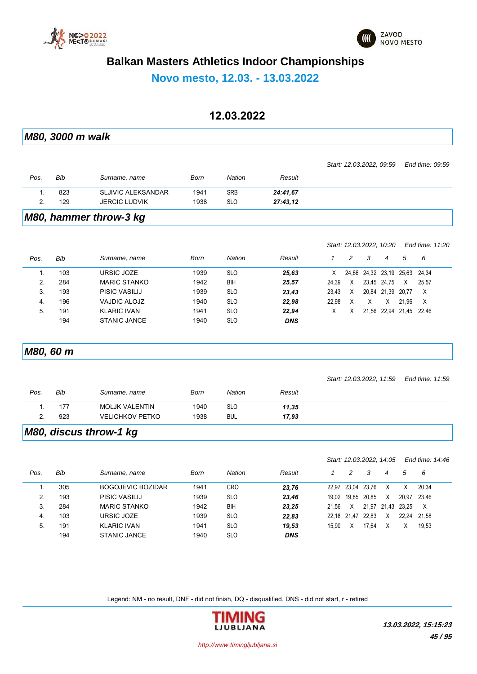



**Novo mesto, 12.03. - 13.03.2022**

### **12.03.2022**

|      | M80, 3000 m walk |                           |             |               |            |              |                   |       |                          |       |                 |  |
|------|------------------|---------------------------|-------------|---------------|------------|--------------|-------------------|-------|--------------------------|-------|-----------------|--|
|      |                  |                           |             |               |            |              |                   |       |                          |       |                 |  |
|      |                  |                           |             |               |            |              |                   |       | Start: 12.03.2022, 09:59 |       | End time: 09:59 |  |
| Pos. | Bib              | Surname, name             | <b>Born</b> | <b>Nation</b> | Result     |              |                   |       |                          |       |                 |  |
| 1.   | 823              | <b>SLJIVIC ALEKSANDAR</b> | 1941        | <b>SRB</b>    | 24:41,67   |              |                   |       |                          |       |                 |  |
| 2.   | 129              | <b>JERCIC LUDVIK</b>      | 1938        | <b>SLO</b>    | 27:43,12   |              |                   |       |                          |       |                 |  |
|      |                  | M80, hammer throw-3 kg    |             |               |            |              |                   |       |                          |       |                 |  |
|      |                  |                           |             |               |            |              |                   |       |                          |       |                 |  |
|      |                  |                           |             |               |            |              |                   |       | Start: 12.03.2022, 10:20 |       | End time: 11:20 |  |
| Pos. | <b>Bib</b>       | Surname, name             | Born        | <b>Nation</b> | Result     | $\mathcal I$ | $\overline{c}$    | 3     | $\overline{4}$           | 5     | 6               |  |
| 1.   | 103              | URSIC JOZE                | 1939        | <b>SLO</b>    | 25,63      | Χ            | 24,66             |       | 24,32 23,19 25,63        |       | 24,34           |  |
| 2.   | 284              | <b>MARIC STANKO</b>       | 1942        | BIH           | 25,57      | 24,39        | Χ                 |       | 23,45 24,75              | Χ     | 25,57           |  |
| 3.   | 193              | PISIC VASILIJ             | 1939        | <b>SLO</b>    | 23,43      | 23,43        | Χ                 |       | 20,84 21,39 20,77        |       | X               |  |
| 4.   | 196              | <b>VAJDIC ALOJZ</b>       | 1940        | <b>SLO</b>    | 22,98      | 22,98        | Χ                 | Χ     | X                        | 21,96 | Χ               |  |
| 5.   | 191              | <b>KLARIC IVAN</b>        | 1941        | <b>SLO</b>    | 22,94      | X            | X                 |       | 21,56 22,94 21,45 22,46  |       |                 |  |
|      | 194              | <b>STANIC JANCE</b>       | 1940        | <b>SLO</b>    | <b>DNS</b> |              |                   |       |                          |       |                 |  |
|      | M80, 60 m        |                           |             |               |            |              |                   |       |                          |       |                 |  |
|      |                  |                           |             |               |            |              |                   |       |                          |       |                 |  |
|      |                  |                           |             |               |            |              |                   |       | Start: 12.03.2022, 11:59 |       | End time: 11:59 |  |
| Pos. | Bib              | Surname, name             | Born        | <b>Nation</b> | Result     |              |                   |       |                          |       |                 |  |
| 1.   | 177              | <b>MOLJK VALENTIN</b>     | 1940        | <b>SLO</b>    | 11,35      |              |                   |       |                          |       |                 |  |
| 2.   | 923              | <b>VELICHKOV PETKO</b>    | 1938        | <b>BUL</b>    | 17,93      |              |                   |       |                          |       |                 |  |
|      |                  | M80, discus throw-1 kg    |             |               |            |              |                   |       |                          |       |                 |  |
|      |                  |                           |             |               |            |              |                   |       |                          |       |                 |  |
|      |                  |                           |             |               |            |              |                   |       | Start: 12.03.2022, 14:05 |       | End time: 14:46 |  |
| Pos. | Bib              | Surname, name             | <b>Born</b> | <b>Nation</b> | Result     | $\mathbf{1}$ | $\overline{c}$    | 3     | $\overline{4}$           | 5     | 6               |  |
| 1.   | 305              | <b>BOGOJEVIC BOZIDAR</b>  | 1941        | <b>CRO</b>    | 23,76      | 22,97        | 23,04             | 23,76 | Χ                        | Χ     | 20,34           |  |
| 2.   | 193              | PISIC VASILIJ             | 1939        | <b>SLO</b>    | 23,46      |              | 19,02 19,85 20,85 |       | Χ                        | 20,97 | 23,46           |  |
| 3.   | 284              | <b>MARIC STANKO</b>       | 1942        | BIH           | 23,25      | 21,56        | Χ                 |       | 21,97 21,43              | 23,25 | X               |  |
| 4.   | 103              | URSIC JOZE                | 1939        | <b>SLO</b>    | 22,83      |              | 22,18 21,47 22,83 |       | Χ                        | 22,24 | 21,58           |  |
| 5.   | 191              | <b>KLARIC IVAN</b>        | 1941        | <b>SLO</b>    | 19,53      | 15,90        | X                 | 17,64 | X                        | X     | 19,53           |  |
|      | 194              | <b>STANIC JANCE</b>       | 1940        | <b>SLO</b>    | <b>DNS</b> |              |                   |       |                          |       |                 |  |

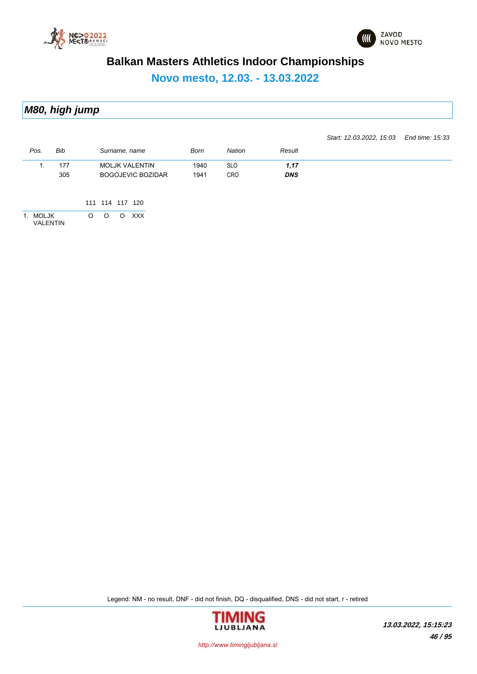



**Novo mesto, 12.03. - 13.03.2022**

*M80, high jump*

*Pos. Bib Surname, name Born Nation Result Start: 12.03.2022, 15:03 End time: 15:33* 1. 177 MOLJK VALENTIN 1940 SLO *1,17* 305 BOGOJEVIC BOZIDAR 1941 CRO *DNS* 111 114 117 120 1. MOLJK O O O XXX VALENTIN

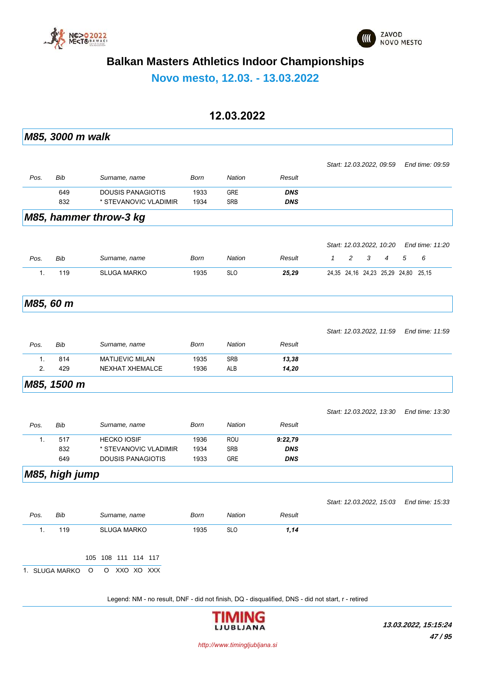



**Novo mesto, 12.03. - 13.03.2022**

### **12.03.2022**

*M85, 3000 m walk Pos. Bib Surname, name Born Nation Result Start: 12.03.2022, 09:59 End time: 09:59* 649 DOUSIS PANAGIOTIS 1933 GRE *DNS* 832 \* STEVANOVIC VLADIMIR 1934 SRB *DNS M85, hammer throw-3 kg Pos. Bib Surname, name Born Nation Result Start: 12.03.2022, 10:20 End time: 11:20 1 2 3 4 5 6* 1. 119 SLUGA MARKO 1935 SLO *25,29* 24,35 24,16 24,23 25,29 24,80 25,15 *M85, 60 m Pos. Bib Surname, name Born Nation Result Start: 12.03.2022, 11:59 End time: 11:59* 1. 814 MATIJEVIC MILAN 1935 SRB *13,38* 2. 429 NEXHAT XHEMALCE 1936 ALB *14,20 M85, 1500 m Pos. Bib Surname, name Born Nation Result Start: 12.03.2022, 13:30 End time: 13:30* 1. 517 HECKO IOSIF 1936 ROU *9:22,79* 832 \* STEVANOVIC VLADIMIR 1934 SRB *DNS* 649 DOUSIS PANAGIOTIS 1933 GRE *DNS M85, high jump Pos. Bib Surname, name Born Nation Result Start: 12.03.2022, 15:03 End time: 15:33* 1. 119 SLUGA MARKO 1935 SLO *1,14* 105 108 111 114 117 1. SLUGA MARKO O O XXO XO XXX Legend: NM - no result, DNF - did not finish, DQ - disqualified, DNS - did not start, r - retired

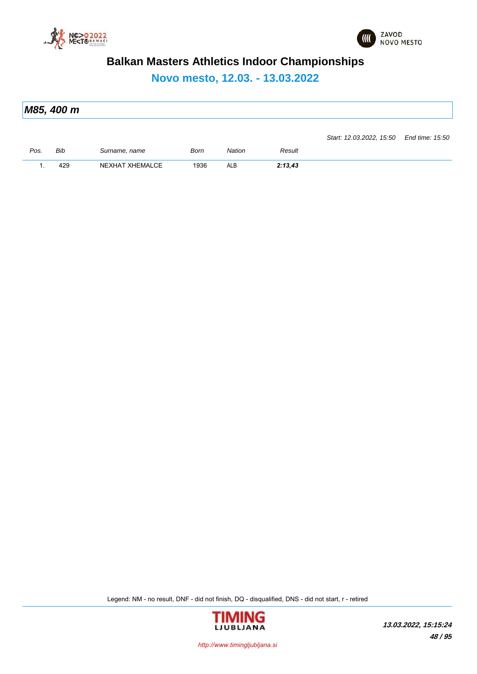



**Novo mesto, 12.03. - 13.03.2022**

| M85, 400 m                               |  |
|------------------------------------------|--|
|                                          |  |
| Start: 12.03.2022, 15.50 End time: 15.50 |  |

| Pos. | Bib    | <sup>∶</sup> urname. name | Born | Nation | Result                      |
|------|--------|---------------------------|------|--------|-----------------------------|
| . .  | $\sim$ | <b>XHEMALCE</b><br>(HAT   | 1936 | ALB    | <b>2.42 12</b><br>2. IJ, TJ |

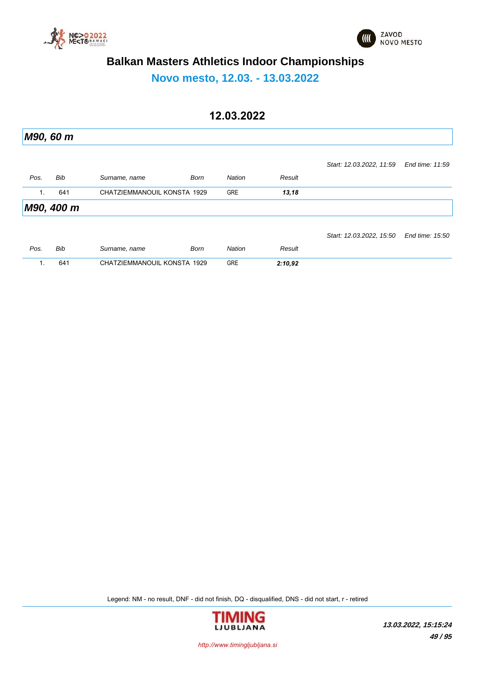



**Novo mesto, 12.03. - 13.03.2022**

## **12.03.2022**

|                | M90, 60 m  |                             |             |               |         |                          |                 |
|----------------|------------|-----------------------------|-------------|---------------|---------|--------------------------|-----------------|
|                |            |                             |             |               |         | Start: 12.03.2022, 11:59 | End time: 11:59 |
| Pos.           | Bib        | Surname, name               | <b>Born</b> | <b>Nation</b> | Result  |                          |                 |
| $\mathbf{1}$ . | 641        | CHATZIEMMANOUIL KONSTA 1929 |             | <b>GRE</b>    | 13,18   |                          |                 |
|                | M90, 400 m |                             |             |               |         |                          |                 |
|                |            |                             |             |               |         | Start: 12.03.2022, 15:50 | End time: 15:50 |
| Pos.           | Bib        | Surname, name               | <b>Born</b> | <b>Nation</b> | Result  |                          |                 |
| 1.             | 641        | CHATZIEMMANOUIL KONSTA 1929 |             | <b>GRE</b>    | 2:10,92 |                          |                 |

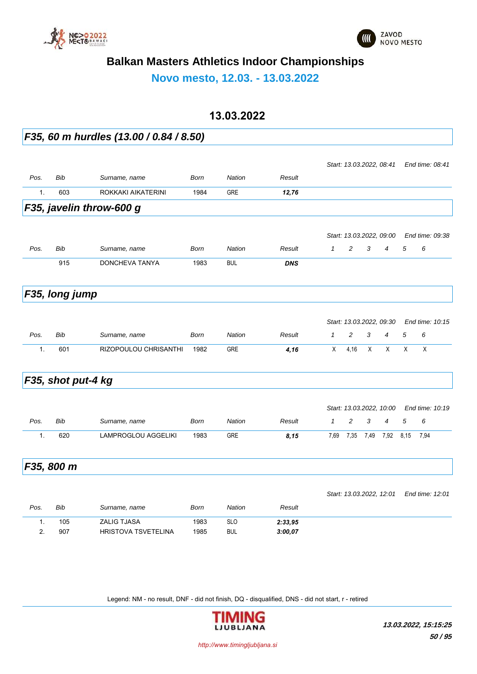



**Novo mesto, 12.03. - 13.03.2022**

#### **13.03.2022**

*F35, 60 m hurdles (13.00 / 0.84 / 8.50) Pos. Bib Surname, name Born Nation Result Start: 13.03.2022, 08:41 End time: 08:41* 1. 603 ROKKAKI AIKATERINI 1984 GRE *12,76 F35, javelin throw-600 g Pos. Bib Surname, name Born Nation Result Start: 13.03.2022, 09:00 End time: 09:38 1 2 3 4 5 6* 915 DONCHEVA TANYA 1983 BUL *DNS F35, long jump Pos. Bib Surname, name Born Nation Result Start: 13.03.2022, 09:30 End time: 10:15 1 2 3 4 5 6* 1. 601 RIZOPOULOU CHRISANTHI 1982 GRE *4,16* X 4,16 X X X X *F35, shot put-4 kg Pos. Bib Surname, name Born Nation Result Start: 13.03.2022, 10:00 End time: 10:19 1 2 3 4 5 6* 1. 620 LAMPROGLOU AGGELIKI 1983 GRE *8,15* 7,69 7,35 7,49 7,92 8,15 7,94 *F35, 800 m Pos. Bib Surname, name Born Nation Result Start: 13.03.2022, 12:01 End time: 12:01* 1. 105 ZALIG TJASA 1983 SLO *2:33,95* 2. 907 HRISTOVA TSVETELINA 1985 BUL *3:00,07*

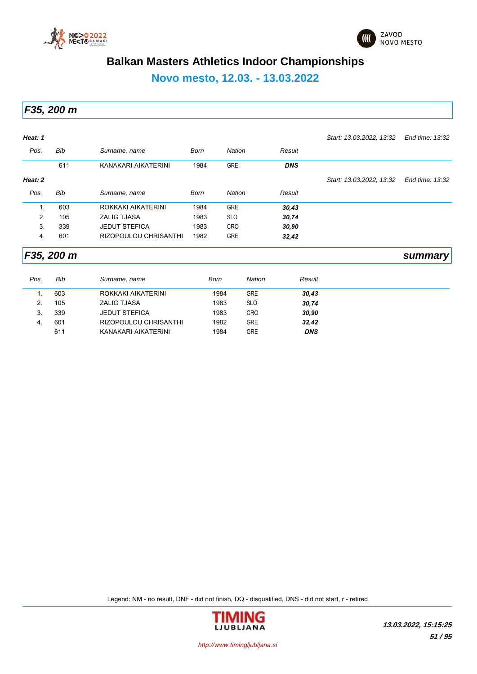



**Novo mesto, 12.03. - 13.03.2022**

*F35, 200 m*

| Heat: 1 |            |                       |             |               |            | Start: 13.03.2022, 13:32 | End time: 13:32 |
|---------|------------|-----------------------|-------------|---------------|------------|--------------------------|-----------------|
| Pos.    | Bib        | Surname, name         | <b>Born</b> | <b>Nation</b> | Result     |                          |                 |
|         | 611        | KANAKARI AIKATERINI   | 1984        | <b>GRE</b>    | <b>DNS</b> |                          |                 |
| Heat: 2 |            |                       |             |               |            | Start: 13.03.2022, 13:32 | End time: 13:32 |
| Pos.    | Bib        | Surname, name         | Born        | <b>Nation</b> | Result     |                          |                 |
| 1.      | 603        | ROKKAKI AIKATERINI    | 1984        | <b>GRE</b>    | 30,43      |                          |                 |
| 2.      | 105        | <b>ZALIG TJASA</b>    | 1983        | <b>SLO</b>    | 30,74      |                          |                 |
| 3.      | 339        | <b>JEDUT STEFICA</b>  | 1983        | <b>CRO</b>    | 30,90      |                          |                 |
| 4.      | 601        | RIZOPOULOU CHRISANTHI | 1982        | <b>GRE</b>    | 32,42      |                          |                 |
|         | F35, 200 m |                       |             |               |            |                          | summary         |

| Pos. | Bib | Surname, name         | Born | Nation     | Result     |
|------|-----|-----------------------|------|------------|------------|
|      | 603 | ROKKAKI AIKATERINI    | 1984 | <b>GRE</b> | 30,43      |
| 2.   | 105 | <b>ZALIG TJASA</b>    | 1983 | <b>SLO</b> | 30,74      |
| 3.   | 339 | <b>JEDUT STEFICA</b>  | 1983 | <b>CRO</b> | 30,90      |
| 4.   | 601 | RIZOPOULOU CHRISANTHI | 1982 | <b>GRE</b> | 32,42      |
|      | 611 | KANAKARI AIKATERINI   | 1984 | <b>GRE</b> | <b>DNS</b> |

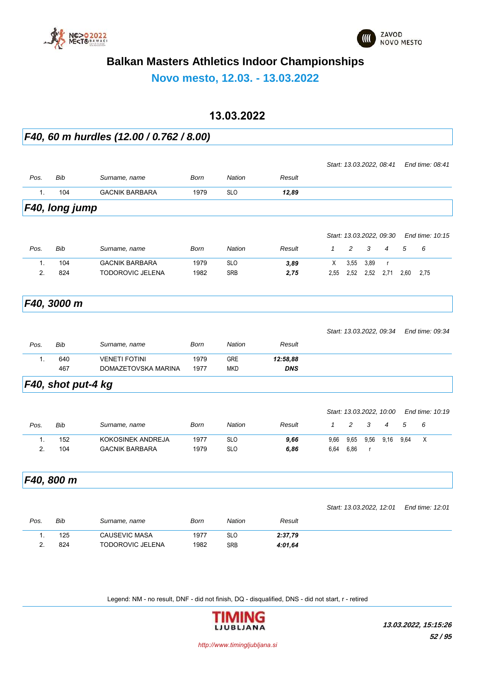



**Novo mesto, 12.03. - 13.03.2022**

#### **13.03.2022**

*F40, 60 m hurdles (12.00 / 0.762 / 8.00)*

|      | F40, long jump |                       |      |            |        |                          |                 |
|------|----------------|-----------------------|------|------------|--------|--------------------------|-----------------|
|      | 104            | <b>GACNIK BARBARA</b> | 1979 | <b>SLO</b> | 12,89  |                          |                 |
| Pos. | Bib            | Surname, name         | Born | Nation     | Result |                          |                 |
|      |                |                       |      |            |        | Start: 13.03.2022, 08.41 | End time: 08:41 |

|      |     |                       |      |            |        | Start: 13.03.2022, 09:30 |      |        |      |               | End time: 10:15 |  |  |
|------|-----|-----------------------|------|------------|--------|--------------------------|------|--------|------|---------------|-----------------|--|--|
| Pos. | Bib | Surname, name         | Born | Nation     | Result |                          |      |        | 4    | $\mathcal{D}$ | - 6             |  |  |
|      | 104 | <b>GACNIK BARBARA</b> | 1979 | <b>SLO</b> | 3,89   | X                        | 3,55 | - 3.89 |      |               |                 |  |  |
|      | 824 | TODOROVIC JELENA      | 1982 | SRB        | 2,75   | 2.55                     | 2.52 | 2,52   | 2.71 | 2.60          | 2.75            |  |  |

#### *F40, 3000 m*

|      |     |                      |      |            |            | Start: 13.03.2022, 09.34 | End time: 09:34 |
|------|-----|----------------------|------|------------|------------|--------------------------|-----------------|
| Pos. | Bib | Surname, name        | Born | Nation     | Result     |                          |                 |
|      | 640 | <b>VENETI FOTINI</b> | 1979 | <b>GRE</b> | 12:58.88   |                          |                 |
|      | 467 | DOMAZETOVSKA MARINA  | 1977 | <b>MKD</b> | <b>DNS</b> |                          |                 |

### *F40, shot put-4 kg*

|      |     |                       |      |            |        |      |                | Start: 13.03.2022, 10.00 |                |      | End time: 10:19 |
|------|-----|-----------------------|------|------------|--------|------|----------------|--------------------------|----------------|------|-----------------|
| Pos. | Bib | Surname, name         | Born | Nation     | Result |      | $\overline{2}$ | 3                        | $\overline{4}$ | 5    | - 6             |
|      | 152 | KOKOSINEK ANDREJA     | 1977 | <b>SLO</b> | 9,66   | 9,66 | 9,65           | 9,56                     | 9,16           | 9.64 | X               |
|      | 104 | <b>GACNIK BARBARA</b> | 1979 | <b>SLO</b> | 6,86   | 6.64 | 6.86           |                          |                |      |                 |
|      |     |                       |      |            |        |      |                |                          |                |      |                 |

*F40, 800 m*

|      |     |                      |      |            |         | Oldil. 19.09.2022, IZ.01 | LIIU UIII <del>C</del> . 12.01 |
|------|-----|----------------------|------|------------|---------|--------------------------|--------------------------------|
| Pos. | Bib | Surname, name        | Born | Nation     | Result  |                          |                                |
|      | 125 | <b>CAUSEVIC MASA</b> | 1977 | <b>SLO</b> | 2:37.79 |                          |                                |
|      | 824 | TODOROVIC JELENA     | 1982 | <b>SRB</b> | 4:01.64 |                          |                                |

Legend: NM - no result, DNF - did not finish, DQ - disqualified, DNS - did not start, r - retired



*Start: 13.03.2022, 12:01 End time: 12:01*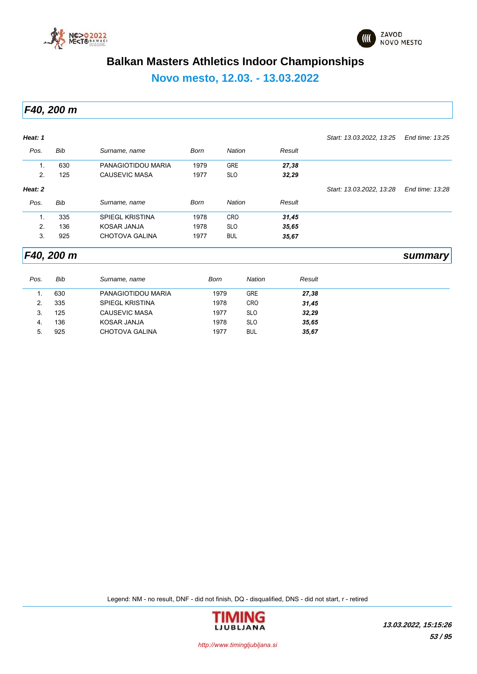



**Novo mesto, 12.03. - 13.03.2022**

*F40, 200 m*

| Heat: 1 |     |                        |      |            |        | Start: 13.03.2022, 13.25 | End time: 13:25 |
|---------|-----|------------------------|------|------------|--------|--------------------------|-----------------|
| Pos.    | Bib | Surname, name          | Born | Nation     | Result |                          |                 |
| 1.      | 630 | PANAGIOTIDOU MARIA     | 1979 | <b>GRE</b> | 27,38  |                          |                 |
| 2.      | 125 | CAUSEVIC MASA          | 1977 | <b>SLO</b> | 32,29  |                          |                 |
| Heat: 2 |     |                        |      |            |        | Start: 13.03.2022, 13.28 | End time: 13:28 |
| Pos.    | Bib | Surname, name          | Born | Nation     | Result |                          |                 |
| 1.      | 335 | <b>SPIEGL KRISTINA</b> | 1978 | <b>CRO</b> | 31,45  |                          |                 |
| 2.      | 136 | KOSAR JANJA            | 1978 | <b>SLO</b> | 35,65  |                          |                 |
| 3.      | 925 | CHOTOVA GALINA         | 1977 | <b>BUL</b> | 35,67  |                          |                 |

*F40, 200 m summary*

| Pos. | Bib | Surname, name          | Born | <b>Nation</b> | Result |  |
|------|-----|------------------------|------|---------------|--------|--|
|      | 630 | PANAGIOTIDOU MARIA     | 1979 | <b>GRE</b>    | 27,38  |  |
|      | 335 | <b>SPIEGL KRISTINA</b> | 1978 | <b>CRO</b>    | 31,45  |  |
| 3.   | 125 | CAUSEVIC MASA          | 1977 | <b>SLO</b>    | 32,29  |  |
| -4.  | 136 | KOSAR JANJA            | 1978 | <b>SLO</b>    | 35,65  |  |
| 5.   | 925 | <b>CHOTOVA GALINA</b>  | 1977 | <b>BUL</b>    | 35,67  |  |

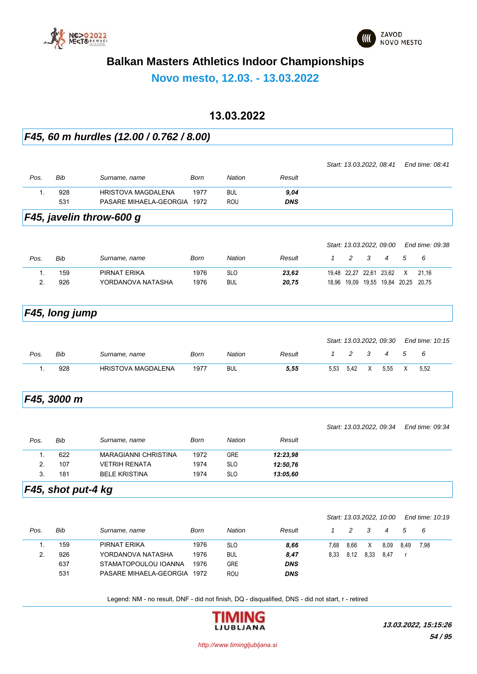



**Novo mesto, 12.03. - 13.03.2022**

### **13.03.2022**

#### *F45, 60 m hurdles (12.00 / 0.762 / 8.00)*

|                |                |                             |             |               |            |              |                         |   | Start: 13.03.2022, 08:41            |   | End time: 08:41 |
|----------------|----------------|-----------------------------|-------------|---------------|------------|--------------|-------------------------|---|-------------------------------------|---|-----------------|
| Pos.           | <b>Bib</b>     | Surname, name               | <b>Born</b> | Nation        | Result     |              |                         |   |                                     |   |                 |
| 1.             | 928            | <b>HRISTOVA MAGDALENA</b>   | 1977        | <b>BUL</b>    | 9,04       |              |                         |   |                                     |   |                 |
|                | 531            | PASARE MIHAELA-GEORGIA 1972 |             | ROU           | <b>DNS</b> |              |                         |   |                                     |   |                 |
|                |                | F45, javelin throw-600 g    |             |               |            |              |                         |   |                                     |   |                 |
|                |                |                             |             |               |            |              |                         |   | Start: 13.03.2022, 09:00            |   | End time: 09:38 |
| Pos.           | <b>Bib</b>     | Surname, name               | Born        | <b>Nation</b> | Result     | $\mathcal I$ | $\overline{c}$          | 3 | $\overline{4}$                      | 5 | 6               |
| $\mathbf{1}$ . | 159            | PIRNAT ERIKA                | 1976        | <b>SLO</b>    | 23,62      |              | 19,48 22,27 22,61 23,62 |   |                                     | X | 21,16           |
| 2.             | 926            | YORDANOVA NATASHA           | 1976        | <b>BUL</b>    | 20,75      |              |                         |   | 18,96 19,09 19,55 19,84 20,25 20,75 |   |                 |
|                | F45, long jump |                             |             |               |            |              |                         |   |                                     |   |                 |
|                |                |                             |             |               |            |              |                         |   | Start: 13.03.2022, 09:30            |   | End time: 10:15 |
| Pos.           | Bib            | Surname, name               | Born        | <b>Nation</b> | Result     | $\mathbf{1}$ | 2                       | 3 | 4                                   | 5 | 6               |
| $\mathbf{1}$ . | 928            | <b>HRISTOVA MAGDALENA</b>   | 1977        | <b>BUL</b>    | 5,55       | 5,53         | 5.42                    | X | 5,55                                | X | 5,52            |
|                | F45, 3000 m    |                             |             |               |            |              |                         |   |                                     |   |                 |
|                |                |                             |             |               |            |              |                         |   | Start: 13.03.2022, 09:34            |   | End time: 09:34 |
|                | Bib            | Surname, name               | Born        | <b>Nation</b> | Result     |              |                         |   |                                     |   |                 |
| Pos.           |                |                             |             |               |            |              |                         |   |                                     |   |                 |
| $\mathbf{1}$ . | 622            | <b>MARAGIANNI CHRISTINA</b> | 1972        | <b>GRE</b>    | 12:23,98   |              |                         |   |                                     |   |                 |
| 2.<br>3.       | 107            | <b>VETRIH RENATA</b>        | 1974        | <b>SLO</b>    | 12:50,76   |              |                         |   |                                     |   |                 |

|      |     |                        |      |            |            | Start: 13.03.2022, 10.00 |      | End time: 10:19 |      |      |      |
|------|-----|------------------------|------|------------|------------|--------------------------|------|-----------------|------|------|------|
| Pos. | Bib | Surname, name          | Born | Nation     | Result     |                          | 2    | - 3             | 4    | 5    | - 6  |
|      | 159 | PIRNAT ERIKA           | 1976 | <b>SLO</b> | 8,66       | 7.68                     | 8,66 | X               | 8.09 | 8.49 | 7,98 |
| 2.   | 926 | YORDANOVA NATASHA      | 1976 | <b>BUL</b> | 8,47       | 8.33                     | 8.12 | 8.33            | 8.47 |      |      |
|      | 637 | STAMATOPOULOU IOANNA   | 1976 | <b>GRE</b> | <b>DNS</b> |                          |      |                 |      |      |      |
|      | 531 | PASARE MIHAELA-GEORGIA | 1972 | <b>ROU</b> | <b>DNS</b> |                          |      |                 |      |      |      |
|      |     |                        |      |            |            |                          |      |                 |      |      |      |

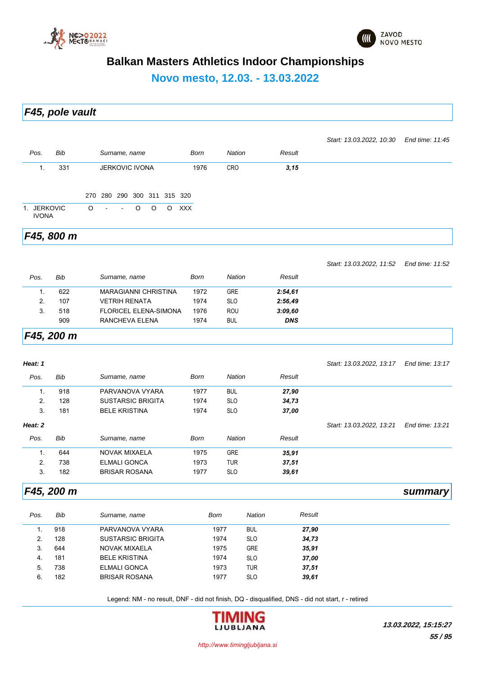



**Novo mesto, 12.03. - 13.03.2022**

*F45, pole vault*

|                             |     |         |        |        |                       |         |         |                             |             |            |        | Start: 13.03.2022, 10:30 End time: 11:45 |  |
|-----------------------------|-----|---------|--------|--------|-----------------------|---------|---------|-----------------------------|-------------|------------|--------|------------------------------------------|--|
| Pos.                        | Bib |         |        |        | Surname, name         |         |         |                             | <b>Born</b> | Nation     | Result |                                          |  |
| 1.                          | 331 |         |        |        | <b>JERKOVIC IVONA</b> |         |         |                             | 1976        | <b>CRO</b> | 3, 15  |                                          |  |
|                             |     |         |        |        |                       |         |         | 270 280 290 300 311 315 320 |             |            |        |                                          |  |
| 1. JERKOVIC<br><b>IVONA</b> |     | $\circ$ | $\sim$ | $\sim$ | $\circ$               | $\circ$ | $\circ$ | <b>XXX</b>                  |             |            |        |                                          |  |
|                             |     |         |        |        |                       |         |         |                             |             |            |        |                                          |  |

*F45, 800 m*

*Start: 13.03.2022, 11:52 End time: 11:52*

| Pos. | Bib | Surname, name                | Born | Nation     | Result     |  |
|------|-----|------------------------------|------|------------|------------|--|
|      | 622 | <b>MARAGIANNI CHRISTINA</b>  | 1972 | <b>GRE</b> | 2:54,61    |  |
|      | 107 | <b>VETRIH RENATA</b>         | 1974 | <b>SLO</b> | 2:56,49    |  |
| 3.   | 518 | <b>FLORICEL ELENA-SIMONA</b> | 1976 | <b>ROU</b> | 3:09,60    |  |
|      | 909 | RANCHEVA ELENA               | 1974 | <b>BUL</b> | <b>DNS</b> |  |
|      |     |                              |      |            |            |  |

#### *F45, 200 m*

| Heat: 1        |            |                          |             |               |        | Start: 13.03.2022, 13.17 | End time: 13:17 |
|----------------|------------|--------------------------|-------------|---------------|--------|--------------------------|-----------------|
| Pos.           | <b>Bib</b> | Surname, name            | <b>Born</b> | <b>Nation</b> | Result |                          |                 |
| 1.             | 918        | PARVANOVA VYARA          | 1977        | <b>BUL</b>    | 27,90  |                          |                 |
| 2.             | 128        | <b>SUSTARSIC BRIGITA</b> | 1974        | <b>SLO</b>    | 34,73  |                          |                 |
| 3.             | 181        | <b>BELE KRISTINA</b>     | 1974        | <b>SLO</b>    | 37,00  |                          |                 |
| Heat: 2        |            |                          |             |               |        | Start: 13.03.2022, 13:21 | End time: 13:21 |
| Pos.           | <b>Bib</b> | Surname, name            | <b>Born</b> | <b>Nation</b> | Result |                          |                 |
| $\mathbf{1}$ . | 644        | NOVAK MIXAELA            | 1975        | <b>GRE</b>    | 35,91  |                          |                 |
| 2.             | 738        | <b>ELMALI GONCA</b>      | 1973        | <b>TUR</b>    | 37,51  |                          |                 |
| 3.             | 182        | <b>BRISAR ROSANA</b>     | 1977        | <b>SLO</b>    | 39,61  |                          |                 |

#### *F45, 200 m summary*

| 1977<br>918<br>PARVANOVA VYARA<br><b>BUL</b><br>27,90<br>128<br><b>SLO</b><br><b>SUSTARSIC BRIGITA</b><br>1974<br>2.<br>34,73<br><b>GRE</b><br>644<br>NOVAK MIXAELA<br>1975<br>3.<br>35,91<br><b>SLO</b><br>37,00<br>181<br><b>BELE KRISTINA</b><br>1974<br>4.<br>738<br><b>TUR</b><br><b>ELMALI GONCA</b><br>1973<br>37,51<br>5.<br><b>BRISAR ROSANA</b><br>182<br>1977<br><b>SLO</b><br>39,61<br>6. | Pos. | Bib | Surname, name | Born | <b>Nation</b> | Result |
|-------------------------------------------------------------------------------------------------------------------------------------------------------------------------------------------------------------------------------------------------------------------------------------------------------------------------------------------------------------------------------------------------------|------|-----|---------------|------|---------------|--------|
|                                                                                                                                                                                                                                                                                                                                                                                                       |      |     |               |      |               |        |
|                                                                                                                                                                                                                                                                                                                                                                                                       |      |     |               |      |               |        |
|                                                                                                                                                                                                                                                                                                                                                                                                       |      |     |               |      |               |        |
|                                                                                                                                                                                                                                                                                                                                                                                                       |      |     |               |      |               |        |
|                                                                                                                                                                                                                                                                                                                                                                                                       |      |     |               |      |               |        |
|                                                                                                                                                                                                                                                                                                                                                                                                       |      |     |               |      |               |        |

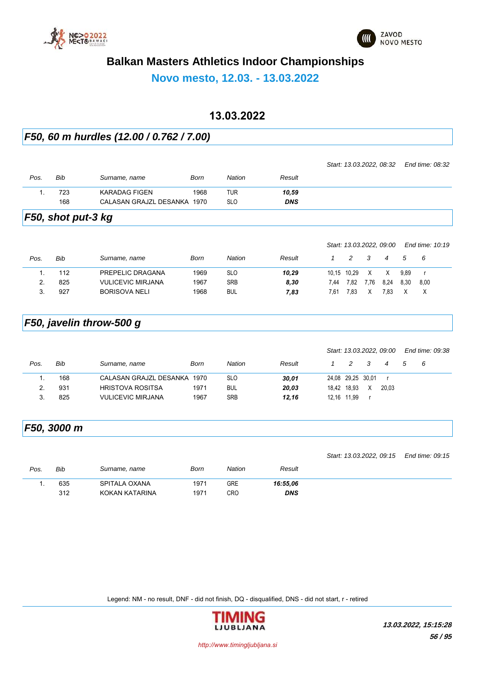



**Novo mesto, 12.03. - 13.03.2022**

### **13.03.2022**

### *F50, 60 m hurdles (12.00 / 0.762 / 7.00)*

|      |     |                             |      |            |            | Start: 13.03.2022, 08:32    End time: 08:32 |  |
|------|-----|-----------------------------|------|------------|------------|---------------------------------------------|--|
| Pos. | Bib | Surname, name               | Born | Nation     | Result     |                                             |  |
|      | 723 | KARADAG FIGEN               | 1968 | TUR        | 10,59      |                                             |  |
|      | 168 | CALASAN GRAJZL DESANKA 1970 |      | <b>SLO</b> | <b>DNS</b> |                                             |  |
|      |     |                             |      |            |            |                                             |  |

*F50, shot put-3 kg*

|      |     |                          |      |               |        |      | Start: 13.03.2022, 09:00 |      |      |      | End time: 10:19 |  |
|------|-----|--------------------------|------|---------------|--------|------|--------------------------|------|------|------|-----------------|--|
| Pos. | Bib | Surname, name            | Born | <b>Nation</b> | Result |      |                          |      |      | .5   | - 6             |  |
|      | 112 | PREPELIC DRAGANA         | 1969 | <b>SLO</b>    | 10.29  |      | 10,15 10,29              | X    | X    | 9.89 |                 |  |
|      | 825 | <b>VULICEVIC MIRJANA</b> | 1967 | <b>SRB</b>    | 8,30   | 7.44 | 7.82                     | 7.76 | 8.24 | 8.30 | 8.00            |  |
|      | 927 | <b>BORISOVA NELI</b>     | 1968 | <b>BUL</b>    | 7,83   | 7.61 | 7.83                     | X    | 7.83 |      |                 |  |
|      |     |                          |      |               |        |      |                          |      |      |      |                 |  |

## *F50, javelin throw-500 g*

|      |     |                          |      |            |        |                   | Start: 13.03.2022, 09.00 |     |       |   | End time: 09:38 |
|------|-----|--------------------------|------|------------|--------|-------------------|--------------------------|-----|-------|---|-----------------|
| Pos. | Bib | Surname, name            | Born | Nation     | Result |                   | $\mathcal{P}$            | - 3 | 4     | 5 | - 6             |
|      | 168 | CALASAN GRAJZL DESANKA   | 1970 | <b>SLO</b> | 30,01  | 24,08 29,25 30,01 |                          |     |       |   |                 |
|      | 931 | <b>HRISTOVA ROSITSA</b>  | 1971 | <b>BUL</b> | 20,03  |                   | 18,42 18,93              | X   | 20.03 |   |                 |
|      | 825 | <b>VULICEVIC MIRJANA</b> | 1967 | <b>SRB</b> | 12.16  |                   | 12.16 11.99              |     |       |   |                 |

# *F50, 3000 m*

|      |     |                |      |        |            | Start: 13.03.2022, 09:15    End time: 09:15 |  |
|------|-----|----------------|------|--------|------------|---------------------------------------------|--|
| Pos. | Bib | Surname, name  | Born | Nation | Result     |                                             |  |
|      | 635 | SPITALA OXANA  | 1971 | GRE    | 16:55.06   |                                             |  |
|      | 312 | KOKAN KATARINA | 1971 | CRO    | <b>DNS</b> |                                             |  |
|      |     |                |      |        |            |                                             |  |

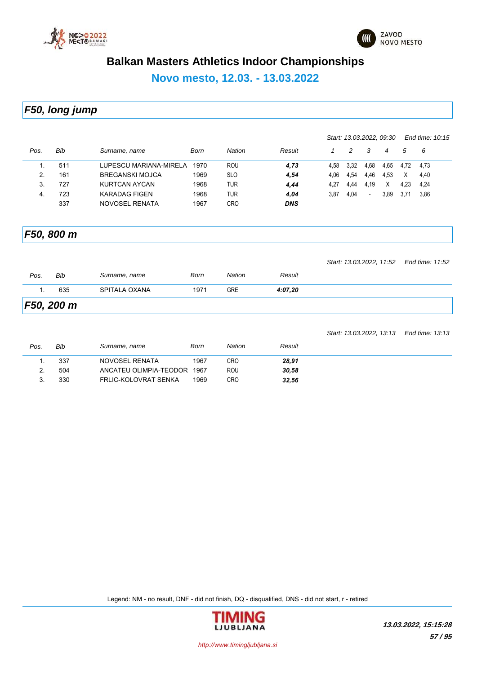



**Novo mesto, 12.03. - 13.03.2022**

*F50, long jump*

|      |     |                        |      |               | Start: 13.03.2022, 09:30 |      |      |                          |      | End time: 10:15 |      |  |
|------|-----|------------------------|------|---------------|--------------------------|------|------|--------------------------|------|-----------------|------|--|
| Pos. | Bib | Surname, name          | Born | <b>Nation</b> | Result                   |      | 2    | 3                        | 4    | 5               | - 6  |  |
|      | 511 | LUPESCU MARIANA-MIRELA | 1970 | ROU           | 4,73                     | 4.58 | 3.32 | 4,68                     | 4,65 | 4.72            | 4.73 |  |
| 2.   | 161 | <b>BREGANSKI MOJCA</b> | 1969 | <b>SLO</b>    | 4,54                     | 4.06 | 4.54 | 4,46                     | 4,53 | X               | 4,40 |  |
| 3.   | 727 | KURTCAN AYCAN          | 1968 | TUR           | 4,44                     | 4.27 | 4.44 | 4.19                     | X    | 4.23            | 4,24 |  |
| 4.   | 723 | <b>KARADAG FIGEN</b>   | 1968 | TUR           | 4,04                     | 3.87 | 4.04 | $\overline{\phantom{a}}$ | 3,89 | 3.71            | 3,86 |  |
|      | 337 | NOVOSEL RENATA         | 1967 | CRO           | <b>DNS</b>               |      |      |                          |      |                 |      |  |

*F50, 800 m*

|                   |     |               |      |               |         | Start: 13.03.2022, 11:52 End time: 11:52 |  |
|-------------------|-----|---------------|------|---------------|---------|------------------------------------------|--|
| Pos.              | Bib | Surname, name | Born | <b>Nation</b> | Result  |                                          |  |
|                   | 635 | SPITALA OXANA | 1971 | <b>GRE</b>    | 4:07.20 |                                          |  |
| <b>F50, 200 m</b> |     |               |      |               |         |                                          |  |

|      |     |                        |      |            |        | Start: 13.03.2022, 13:13 End time: 13:13 |  |
|------|-----|------------------------|------|------------|--------|------------------------------------------|--|
| Pos. | Bib | Surname, name          | Born | Nation     | Result |                                          |  |
|      | 337 | NOVOSEL RENATA         | 1967 | CRO        | 28,91  |                                          |  |
|      | 504 | ANCATEU OLIMPIA-TEODOR | 1967 | <b>ROU</b> | 30.58  |                                          |  |
|      | 330 | FRLIC-KOLOVRAT SENKA   | 1969 | CRO        | 32,56  |                                          |  |

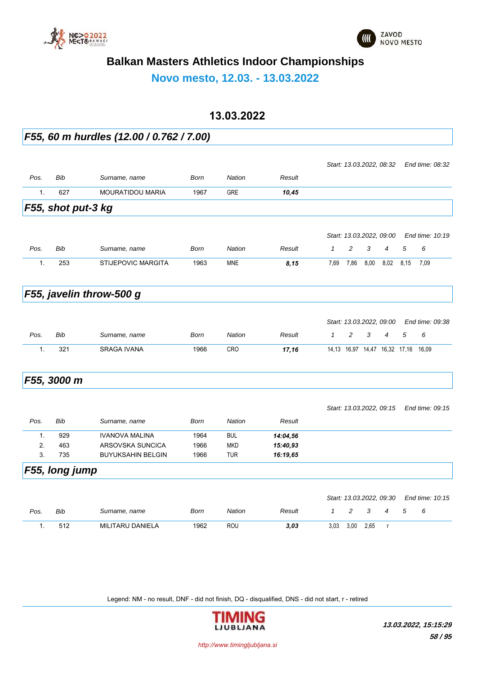



**Novo mesto, 12.03. - 13.03.2022**

#### **13.03.2022**

*F55, 60 m hurdles (12.00 / 0.762 / 7.00)*

|                |                    |                           |             |               |          |              | Start: 13.03.2022, 08:32      |      |                |      | End time: 08:32 |
|----------------|--------------------|---------------------------|-------------|---------------|----------|--------------|-------------------------------|------|----------------|------|-----------------|
| Pos.           | <b>Bib</b>         | Surname, name             | <b>Born</b> | <b>Nation</b> | Result   |              |                               |      |                |      |                 |
| 1.             | 627                | <b>MOURATIDOU MARIA</b>   | 1967        | <b>GRE</b>    | 10,45    |              |                               |      |                |      |                 |
|                | F55, shot put-3 kg |                           |             |               |          |              |                               |      |                |      |                 |
|                |                    |                           |             |               |          |              |                               |      |                |      |                 |
|                |                    |                           |             |               |          |              | Start: 13.03.2022, 09.00      |      |                |      | End time: 10:19 |
| Pos.           | Bib                | Surname, name             | Born        | <b>Nation</b> | Result   | $\mathbf{1}$ | 2                             | 3    | $\overline{4}$ | 5    | 6               |
| 1.             | 253                | <b>STIJEPOVIC MARGITA</b> | 1963        | <b>MNE</b>    | 8,15     | 7.69         | 7,86                          | 8,00 | 8,02           | 8,15 | 7,09            |
|                |                    | F55, javelin throw-500 g  |             |               |          |              |                               |      |                |      |                 |
|                |                    |                           |             |               |          |              |                               |      |                |      |                 |
|                |                    |                           |             |               |          |              | Start: 13.03.2022, 09:00      |      |                |      | End time: 09:38 |
| Pos.           | Bib                | Surname, name             | <b>Born</b> | <b>Nation</b> | Result   | $\mathcal I$ | 2                             | 3    | 4              | 5    | 6               |
| $\mathbf{1}$ . | 321                | <b>SRAGA IVANA</b>        | 1966        | <b>CRO</b>    | 17,16    |              | 14,13 16,97 14,47 16,32 17,16 |      |                |      | 16,09           |
|                | F55, 3000 m        |                           |             |               |          |              |                               |      |                |      |                 |
|                |                    |                           |             |               |          |              | Start: 13.03.2022, 09:15      |      |                |      | End time: 09:15 |
| Pos.           | <b>Bib</b>         | Surname, name             | <b>Born</b> | <b>Nation</b> | Result   |              |                               |      |                |      |                 |
| $\mathbf{1}$ . | 929                | <b>IVANOVA MALINA</b>     | 1964        | <b>BUL</b>    | 14:04,56 |              |                               |      |                |      |                 |
| 2.             | 463                | ARSOVSKA SUNCICA          | 1966        | <b>MKD</b>    | 15:40,93 |              |                               |      |                |      |                 |
| 3.             | 735                | <b>BUYUKSAHIN BELGIN</b>  | 1966        | <b>TUR</b>    | 16:19,65 |              |                               |      |                |      |                 |
|                | F55, long jump     |                           |             |               |          |              |                               |      |                |      |                 |
|                |                    |                           |             |               |          |              | Start: 13.03.2022, 09:30      |      |                |      | End time: 10:15 |
| Pos.           | <b>Bib</b>         | Surname, name             | <b>Born</b> | <b>Nation</b> | Result   | $\mathcal I$ | 2                             | 3    | 4              | 5    | 6               |
| $\mathbf{1}$ . | 512                | MILITARU DANIELA          | 1962        | <b>ROU</b>    | 3,03     | 3,03         | 3,00                          | 2,65 | $\mathsf{r}$   |      |                 |

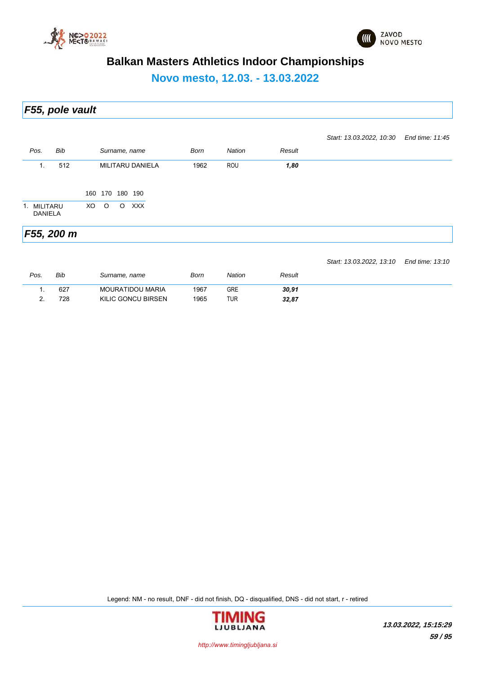



**Novo mesto, 12.03. - 13.03.2022**

*F55, pole vault*

|                               |            |     |         |         |                                |      |               |        | Start: 13.03.2022, 10:30 | End time: 11:45 |
|-------------------------------|------------|-----|---------|---------|--------------------------------|------|---------------|--------|--------------------------|-----------------|
| Pos.                          | Bib        |     |         |         | Surname, name                  | Born | <b>Nation</b> | Result |                          |                 |
| $\mathbf{1}$ .                | 512        | 160 | 170     | 180     | <b>MILITARU DANIELA</b><br>190 | 1962 | ROU           | 1,80   |                          |                 |
| 1. MILITARU<br><b>DANIELA</b> |            | XO  | $\circ$ | $\circ$ | <b>XXX</b>                     |      |               |        |                          |                 |
|                               | F55, 200 m |     |         |         |                                |      |               |        |                          |                 |

*Pos. Bib Surname, name Born Nation Result Start: 13.03.2022, 13:10 End time: 13:10* 1. 627 MOURATIDOU MARIA 1967 GRE *30,91* 2. 728 KILIC GONCU BIRSEN 1965 TUR *32,87*

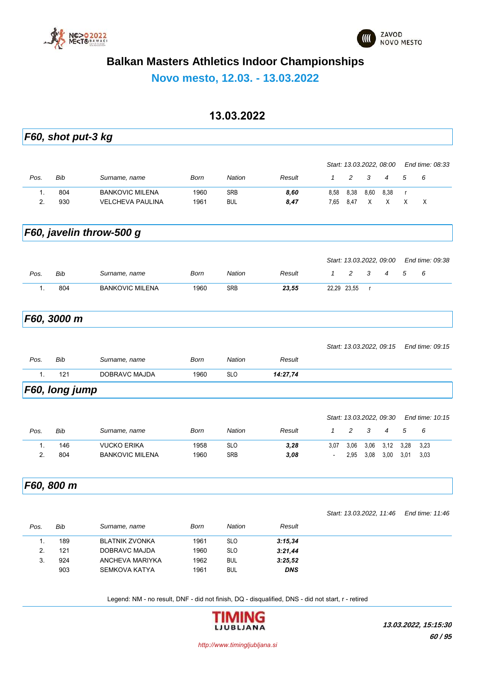



**Novo mesto, 12.03. - 13.03.2022**

### **13.03.2022**

|      | F60, shot put-3 kg |                          |      |               |            |                          |             |              |                          |              |                 |
|------|--------------------|--------------------------|------|---------------|------------|--------------------------|-------------|--------------|--------------------------|--------------|-----------------|
|      |                    |                          |      |               |            |                          |             |              | Start: 13.03.2022, 08:00 |              | End time: 08:33 |
| Pos. | Bib                | Surname, name            | Born | <b>Nation</b> | Result     | $\mathbf{1}$             | 2           | 3            | $\overline{4}$           | 5            | 6               |
| 1.   | 804                | <b>BANKOVIC MILENA</b>   | 1960 | <b>SRB</b>    | 8,60       | 8,58                     | 8,38        | 8,60         | 8,38                     | $\mathsf{r}$ |                 |
| 2.   | 930                | <b>VELCHEVA PAULINA</b>  | 1961 | <b>BUL</b>    | 8,47       | 7,65                     | 8,47        | X            | X                        | X            | Χ               |
|      |                    | F60, javelin throw-500 g |      |               |            |                          |             |              |                          |              |                 |
|      |                    |                          |      |               |            |                          |             |              | Start: 13.03.2022, 09:00 |              | End time: 09:38 |
| Pos. | Bib                | Surname, name            | Born | <b>Nation</b> | Result     | $\mathcal I$             | 2           | 3            | $\overline{4}$           | 5            | 6               |
| 1.   | 804                | <b>BANKOVIC MILENA</b>   | 1960 | SRB           | 23,55      |                          | 22,29 23,55 | $\mathsf{r}$ |                          |              |                 |
|      | F60, 3000 m        |                          |      |               |            |                          |             |              |                          |              |                 |
|      |                    |                          |      |               |            |                          |             |              |                          |              |                 |
|      |                    |                          |      |               |            |                          |             |              | Start: 13.03.2022, 09:15 |              | End time: 09:15 |
| Pos. | Bib                | Surname, name            | Born | <b>Nation</b> | Result     |                          |             |              |                          |              |                 |
| 1.   | 121                | DOBRAVC MAJDA            | 1960 | <b>SLO</b>    | 14:27,74   |                          |             |              |                          |              |                 |
|      | F60, long jump     |                          |      |               |            |                          |             |              |                          |              |                 |
|      |                    |                          |      |               |            |                          |             |              | Start: 13.03.2022, 09:30 |              | End time: 10:15 |
| Pos. | Bib                | Surname, name            | Born | <b>Nation</b> | Result     | $\mathbf{1}$             | 2           | 3            | 4                        | 5            | 6               |
| 1.   | 146                | <b>VUCKO ERIKA</b>       | 1958 | <b>SLO</b>    | 3,28       | 3,07                     | 3,06        | 3,06         | 3,12                     | 3,28         | 3,23            |
| 2.   | 804                | <b>BANKOVIC MILENA</b>   | 1960 | SRB           | 3,08       | $\overline{\phantom{a}}$ | 2,95        | 3,08         | 3,00                     | 3,01         | 3,03            |
|      | F60, 800 m         |                          |      |               |            |                          |             |              |                          |              |                 |
|      |                    |                          |      |               |            |                          |             |              | Start: 13.03.2022, 11:46 |              | End time: 11:46 |
| Pos. | Bib                | Surname, name            | Born | Nation        | Result     |                          |             |              |                          |              |                 |
| 1.   | 189                | <b>BLATNIK ZVONKA</b>    | 1961 | <b>SLO</b>    | 3:15,34    |                          |             |              |                          |              |                 |
| 2.   | 121                | DOBRAVC MAJDA            | 1960 | <b>SLO</b>    | 3:21,44    |                          |             |              |                          |              |                 |
| 3.   | 924                | ANCHEVA MARIYKA          | 1962 | <b>BUL</b>    | 3:25,52    |                          |             |              |                          |              |                 |
|      | 903                | <b>SEMKOVA KATYA</b>     | 1961 | <b>BUL</b>    | <b>DNS</b> |                          |             |              |                          |              |                 |

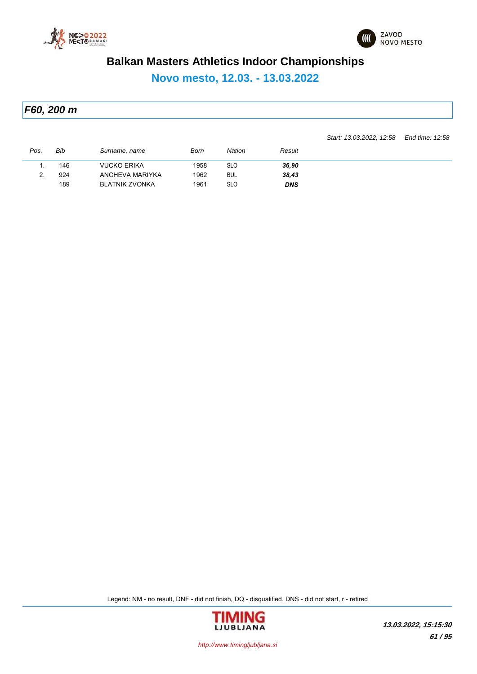



**Novo mesto, 12.03. - 13.03.2022**

*F60, 200 m*

*Start: 13.03.2022, 12:58 End time: 12:58*

| 146<br>924<br><u>.</u> | <b>VUCKO ERIKA</b>    |      |            |            |  |
|------------------------|-----------------------|------|------------|------------|--|
|                        |                       | 1958 | <b>SLO</b> | 36,90      |  |
|                        | ANCHEVA MARIYKA       | 1962 | <b>BUL</b> | 38,43      |  |
| 189                    | <b>BLATNIK ZVONKA</b> | 1961 | <b>SLO</b> | <b>DNS</b> |  |

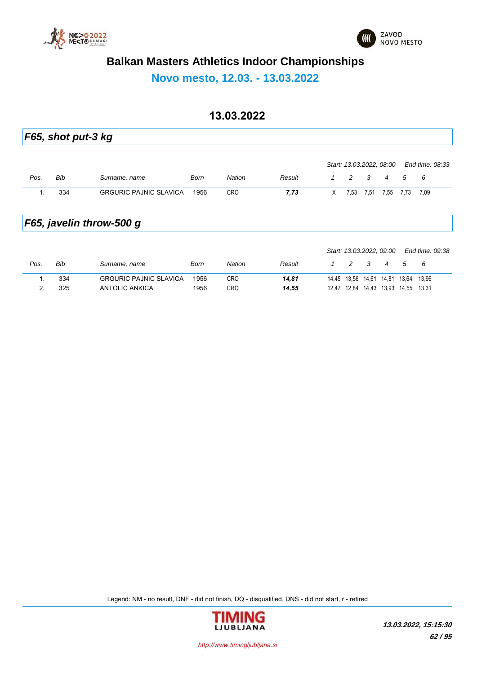



**Novo mesto, 12.03. - 13.03.2022**

### **13.03.2022**

|      | F65, shot put-3 kg |                               |             |            |        |   |                          |      |      |      |                 |
|------|--------------------|-------------------------------|-------------|------------|--------|---|--------------------------|------|------|------|-----------------|
|      |                    |                               |             |            |        |   | Start: 13.03.2022, 08.00 |      |      |      | End time: 08:33 |
| Pos. | Bib                | Surname, name                 | <b>Born</b> | Nation     | Result | 1 | 2                        | 3    | 4    | 5    | 6               |
| 1.   | 334                | <b>GRGURIC PAJNIC SLAVICA</b> | 1956        | <b>CRO</b> | 7,73   | X | 7,53                     | 7,51 | 7,55 | 7,73 | 7.09            |
|      |                    | F65, javelin throw-500 g      |             |            |        |   |                          |      |      |      |                 |
|      |                    |                               |             |            |        |   | Start: 13.03.2022, 09:00 |      |      |      | End time: 09:38 |

| Pos.     | Bib | Surname, name                 | Born | Nation | Result |       |  |                   |       |       |
|----------|-----|-------------------------------|------|--------|--------|-------|--|-------------------|-------|-------|
|          | 334 | <b>GRGURIC PAJNIC SLAVICA</b> | 1956 | CRO    | 14,81  | 14.45 |  | 13,56 14,61 14,81 | 13.64 | 13.96 |
| <u>.</u> | 325 | ANTOLIC ANKICA                | 1956 | CRO    | 14,55  | 12 47 |  | 12.84 14.43 13.93 | 14.55 | 13.31 |

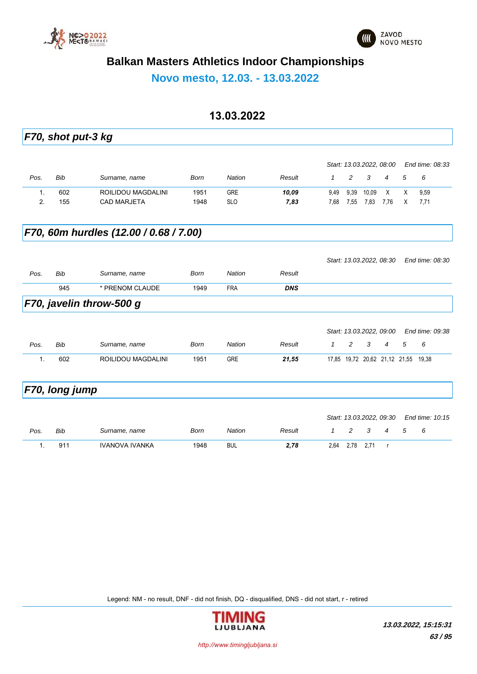



**Novo mesto, 12.03. - 13.03.2022**

### **13.03.2022**

|                | F70, shot put-3 kg |                                        |             |               |            |              |                |       |                                     |   |                 |
|----------------|--------------------|----------------------------------------|-------------|---------------|------------|--------------|----------------|-------|-------------------------------------|---|-----------------|
|                |                    |                                        |             |               |            |              |                |       |                                     |   | End time: 08:33 |
|                |                    |                                        |             |               |            |              |                |       | Start: 13.03.2022, 08:00            |   |                 |
| Pos.           | Bib                | Surname, name                          | <b>Born</b> | <b>Nation</b> | Result     | $\mathbf{1}$ | $\overline{c}$ | 3     | 4                                   | 5 | 6               |
| $\mathbf{1}$ . | 602                | ROILIDOU MAGDALINI                     | 1951        | <b>GRE</b>    | 10,09      | 9,49         | 9,39           | 10,09 | X                                   | X | 9,59            |
| 2.             | 155                | <b>CAD MARJETA</b>                     | 1948        | <b>SLO</b>    | 7,83       | 7,68         | 7,55           | 7,83  | 7,76                                | X | 7,71            |
|                |                    | F70, 60m hurdles (12.00 / 0.68 / 7.00) |             |               |            |              |                |       |                                     |   |                 |
|                |                    |                                        |             |               |            |              |                |       | Start: 13.03.2022, 08:30            |   | End time: 08:30 |
| Pos.           | <b>Bib</b>         | Surname, name                          | <b>Born</b> | <b>Nation</b> | Result     |              |                |       |                                     |   |                 |
|                | 945                | * PRENOM CLAUDE                        | 1949        | <b>FRA</b>    | <b>DNS</b> |              |                |       |                                     |   |                 |
|                |                    | F70, javelin throw-500 g               |             |               |            |              |                |       |                                     |   |                 |
|                |                    |                                        |             |               |            |              |                |       | Start: 13.03.2022, 09:00            |   | End time: 09:38 |
| Pos.           | Bib                | Surname, name                          | <b>Born</b> | <b>Nation</b> | Result     | 1            | 2              | 3     | 4                                   | 5 | 6               |
| $\mathbf{1}$ . | 602                | ROILIDOU MAGDALINI                     | 1951        | <b>GRE</b>    | 21,55      |              |                |       | 17,85 19,72 20,62 21,12 21,55 19,38 |   |                 |
|                | F70, long jump     |                                        |             |               |            |              |                |       |                                     |   |                 |
|                |                    |                                        |             |               |            |              |                |       | Start: 13.03.2022, 09:30            |   | End time: 10:15 |

|      |     |                |      |        |        |      |      | Jian. TU.UU.ZUZZ, UJ.JU |    | LIN 11116. IV.IJ |  |
|------|-----|----------------|------|--------|--------|------|------|-------------------------|----|------------------|--|
| Pos. | Bib | Surname, name  | Born | Nation | Result |      |      |                         | -5 | - 6              |  |
|      | 91' | IVANOVA IVANKA | 1948 | BUL    | 2.78   | 2,64 | 2.78 | 2.71                    |    |                  |  |

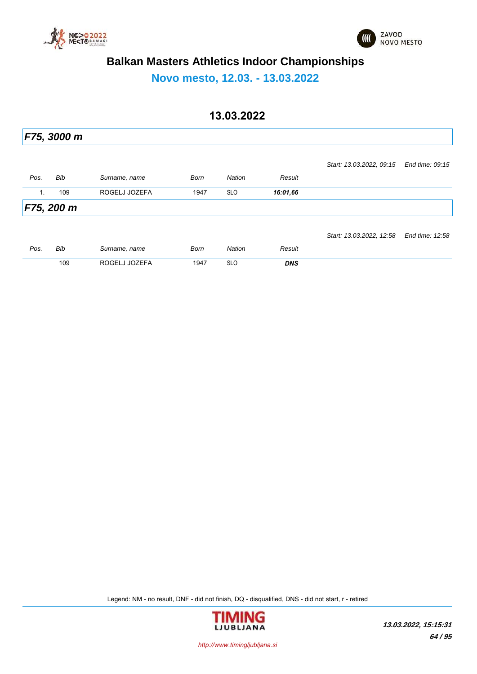



**Novo mesto, 12.03. - 13.03.2022**

## **13.03.2022**

|                | F75, 3000 m |               |             |               |            |                          |                 |
|----------------|-------------|---------------|-------------|---------------|------------|--------------------------|-----------------|
|                |             |               |             |               |            | Start: 13.03.2022, 09:15 | End time: 09:15 |
| Pos.           | Bib         | Surname, name | <b>Born</b> | <b>Nation</b> | Result     |                          |                 |
| $\mathbf{1}$ . | 109         | ROGELJ JOZEFA | 1947        | <b>SLO</b>    | 16:01,66   |                          |                 |
|                | F75, 200 m  |               |             |               |            |                          |                 |
|                |             |               |             |               |            | Start: 13.03.2022, 12:58 | End time: 12:58 |
| Pos.           | Bib         | Surname, name | <b>Born</b> | <b>Nation</b> | Result     |                          |                 |
|                | 109         | ROGELJ JOZEFA | 1947        | <b>SLO</b>    | <b>DNS</b> |                          |                 |

Legend: NM - no result, DNF - did not finish, DQ - disqualified, DNS - did not start, r - retired



*http://www.timingljubljana.si*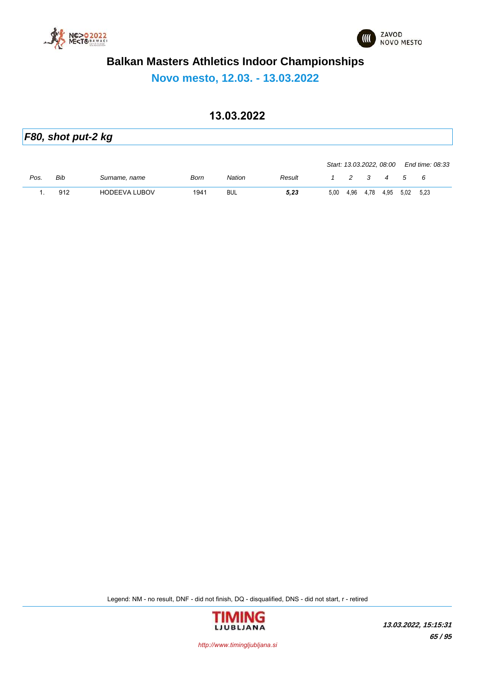



**Novo mesto, 12.03. - 13.03.2022**

### **13.03.2022**

| F80, shot put-2 kg |     |                      |      |               |        |      |      |      |                          |           |                 |  |
|--------------------|-----|----------------------|------|---------------|--------|------|------|------|--------------------------|-----------|-----------------|--|
|                    |     |                      |      |               |        |      |      |      | Start: 13.03.2022, 08:00 |           | End time: 08:33 |  |
| Pos.               | Bib | Surname, name        | Born | <b>Nation</b> | Result |      | 2 3  |      | $\overline{4}$           | 5         | 6               |  |
|                    | 912 | <b>HODEEVA LUBOV</b> | 1941 | <b>BUL</b>    | 5,23   | 5,00 | 4.96 | 4,78 | 4,95                     | 5,02 5,23 |                 |  |

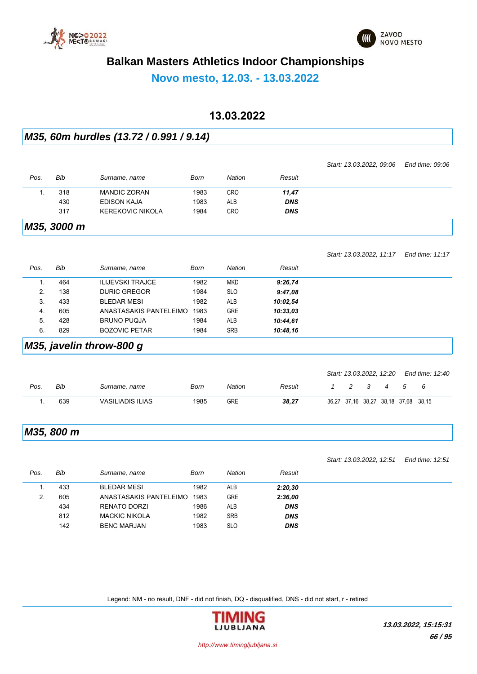



**Novo mesto, 12.03. - 13.03.2022**

#### **13.03.2022**

#### *M35, 60m hurdles (13.72 / 0.991 / 9.14)*

|      |             |                         |      |            |            | Start: 13.03.2022, 09:06 | End time: 09:06 |
|------|-------------|-------------------------|------|------------|------------|--------------------------|-----------------|
| Pos. | Bib         | Surname, name           | Born | Nation     | Result     |                          |                 |
|      | 318         | <b>MANDIC ZORAN</b>     | 1983 | <b>CRO</b> | 11,47      |                          |                 |
|      | 430         | <b>EDISON KAJA</b>      | 1983 | <b>ALB</b> | <b>DNS</b> |                          |                 |
|      | 317         | <b>KEREKOVIC NIKOLA</b> | 1984 | <b>CRO</b> | <b>DNS</b> |                          |                 |
|      | M35, 3000 m |                         |      |            |            |                          |                 |

|      |     |                         |      |            |          | Start: 13.03.2022, 11:17 | End time: 11:17 |
|------|-----|-------------------------|------|------------|----------|--------------------------|-----------------|
| Pos. | Bib | Surname, name           | Born | Nation     | Result   |                          |                 |
|      | 464 | <b>ILIJEVSKI TRAJCE</b> | 1982 | <b>MKD</b> | 9:26,74  |                          |                 |
| 2.   | 138 | <b>DURIC GREGOR</b>     | 1984 | <b>SLO</b> | 9:47,08  |                          |                 |
| 3.   | 433 | <b>BLEDAR MESI</b>      | 1982 | <b>ALB</b> | 10:02.54 |                          |                 |
| 4.   | 605 | ANASTASAKIS PANTELEIMO  | 1983 | <b>GRE</b> | 10:33.03 |                          |                 |
| 5.   | 428 | <b>BRUNO PUQJA</b>      | 1984 | <b>ALB</b> | 10:44.61 |                          |                 |
| 6.   | 829 | <b>BOZOVIC PETAR</b>    | 1984 | <b>SRB</b> | 10:48.16 |                          |                 |

#### *M35, javelin throw-800 g*

|      |     |                         |      |            |        |  |     |     | Start: 13.03.2022, 12:20 End time: 12:40 |  |
|------|-----|-------------------------|------|------------|--------|--|-----|-----|------------------------------------------|--|
| Pos. | Bib | Surname, name           | Born | Nation     | Result |  | 2 3 | 4 5 | - 6                                      |  |
|      | 639 | <b>VASILIADIS ILIAS</b> | 1985 | <b>GRE</b> | 38.27  |  |     |     | 36,27 37,16 38,27 38,18 37,68 38,15      |  |

#### *M35, 800 m*

*Start: 13.03.2022, 12:51 End time: 12:51*

| Pos. | Bib | Surname, name          | Born | Nation     | Result     |
|------|-----|------------------------|------|------------|------------|
|      | 433 | <b>BLEDAR MESI</b>     | 1982 | <b>ALB</b> | 2:20,30    |
| ۷.   | 605 | ANASTASAKIS PANTELEIMO | 1983 | <b>GRE</b> | 2:36,00    |
|      | 434 | RENATO DORZI           | 1986 | ALB        | <b>DNS</b> |
|      | 812 | <b>MACKIC NIKOLA</b>   | 1982 | <b>SRB</b> | <b>DNS</b> |
|      | 142 | <b>BENC MARJAN</b>     | 1983 | <b>SLO</b> | <b>DNS</b> |

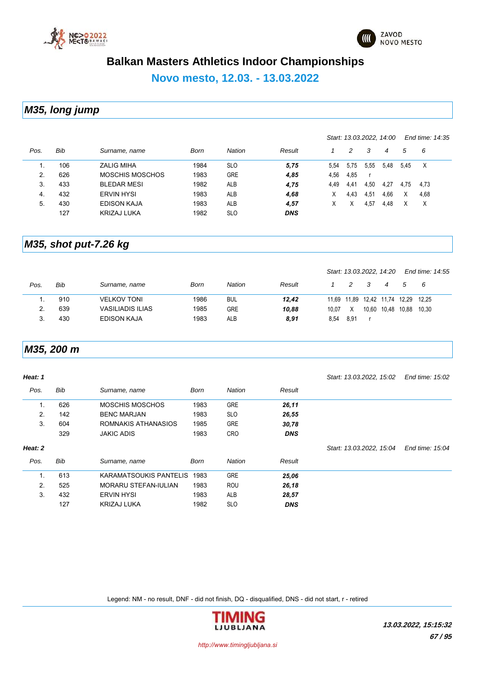



*Start: 13.03.2022, 14:00 End time: 14:35*

# **Balkan Masters Athletics Indoor Championships**

**Novo mesto, 12.03. - 13.03.2022**

*M35, long jump*

| Pos. | Bib | Surname, name      | Born | <b>Nation</b> | Result     |      | 2    | 3    | 4    | 5    | - 6      |  |
|------|-----|--------------------|------|---------------|------------|------|------|------|------|------|----------|--|
|      | 106 | <b>ZALIG MIHA</b>  | 1984 | <b>SLO</b>    | 5,75       | 5.54 | 5,75 | 5,55 | 5,48 | 5,45 | $\times$ |  |
| 2.   | 626 | MOSCHIS MOSCHOS    | 1983 | <b>GRE</b>    | 4,85       | 4,56 | 4.85 |      |      |      |          |  |
| 3.   | 433 | <b>BLEDAR MESI</b> | 1982 | <b>ALB</b>    | 4,75       | 4.49 | 4,41 | 4,50 | 4.27 | 4.75 | 4,73     |  |
| 4.   | 432 | <b>ERVIN HYSI</b>  | 1983 | <b>ALB</b>    | 4,68       | х    | 4.43 | 4,51 | 4,66 | X    | 4,68     |  |
| 5.   | 430 | <b>EDISON KAJA</b> | 1983 | <b>ALB</b>    | 4,57       | X    |      | 4.57 | 4.48 |      | Χ        |  |
|      | 127 | KRIZAJ LUKA        | 1982 | <b>SLO</b>    | <b>DNS</b> |      |      |      |      |      |          |  |

#### *M35, shot put-7.26 kg*

|      |     |                    |      |               |        |       |      | Start: 13.03.2022, 14.20          |       | End time: 14:55 |  |
|------|-----|--------------------|------|---------------|--------|-------|------|-----------------------------------|-------|-----------------|--|
| Pos. | Bib | Surname, name      | Born | <b>Nation</b> | Result |       |      |                                   |       | - 6             |  |
|      | 910 | <b>VELKOV TONI</b> | 1986 | <b>BUL</b>    | 12.42  |       |      | 11,69  11,89  12,42  11,74  12,29 |       | 12.25           |  |
|      | 639 | VASILIADIS ILIAS   | 1985 | <b>GRE</b>    | 10.88  | 10.07 | X    | 10,60 10,48                       | 10.88 | 10.30           |  |
|      | 430 | <b>EDISON KAJA</b> | 1983 | ALB           | 8,91   | 8,54  | 8.91 |                                   |       |                 |  |

#### *M35, 200 m*

| Heat: 1 |            |                        |      |            |            | Start: 13.03.2022, 15.02 | End time: 15:02 |
|---------|------------|------------------------|------|------------|------------|--------------------------|-----------------|
| Pos.    | <b>Bib</b> | Surname, name          | Born | Nation     | Result     |                          |                 |
| 1.      | 626        | <b>MOSCHIS MOSCHOS</b> | 1983 | <b>GRE</b> | 26,11      |                          |                 |
| 2.      | 142        | <b>BENC MARJAN</b>     | 1983 | <b>SLO</b> | 26,55      |                          |                 |
| 3.      | 604        | ROMNAKIS ATHANASIOS    | 1985 | <b>GRE</b> | 30,78      |                          |                 |
|         | 329        | <b>JAKIC ADIS</b>      | 1983 | <b>CRO</b> | <b>DNS</b> |                          |                 |
| Heat: 2 |            |                        |      |            |            | Start: 13.03.2022, 15.04 | End time: 15:04 |
| Pos.    | <b>Bib</b> | Surname, name          | Born | Nation     | Result     |                          |                 |
| 1.      | 613        | KARAMATSOUKIS PANTELIS | 1983 | <b>GRE</b> | 25,06      |                          |                 |
| 2.      | 525        | MORARU STEFAN-IULIAN   | 1983 | <b>ROU</b> | 26,18      |                          |                 |
| 3.      | 432        | <b>ERVIN HYSI</b>      | 1983 | ALB        | 28,57      |                          |                 |
|         | 127        | <b>KRIZAJ LUKA</b>     | 1982 | <b>SLO</b> | <b>DNS</b> |                          |                 |

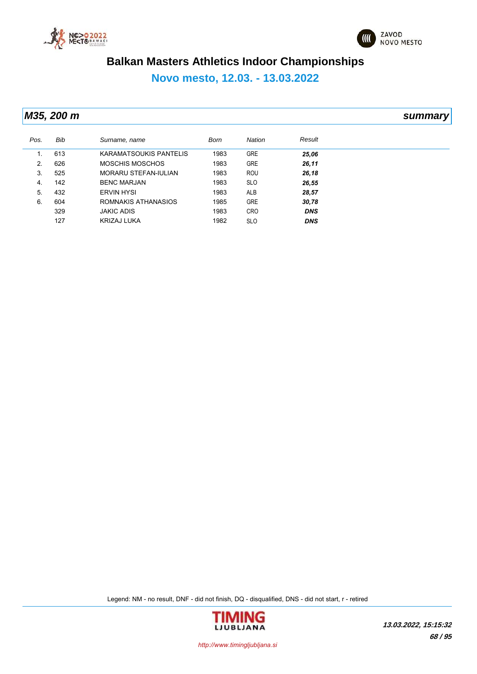



**Novo mesto, 12.03. - 13.03.2022**

*M35, 200 m summary*

| Pos. | Bib | Surname, name               | Born | <b>Nation</b> | Result     |
|------|-----|-----------------------------|------|---------------|------------|
| 1.   | 613 | KARAMATSOUKIS PANTELIS      | 1983 | <b>GRE</b>    | 25,06      |
| 2.   | 626 | MOSCHIS MOSCHOS             | 1983 | <b>GRE</b>    | 26,11      |
| 3.   | 525 | <b>MORARU STEFAN-IULIAN</b> | 1983 | ROU           | 26,18      |
| 4.   | 142 | <b>BENC MARJAN</b>          | 1983 | <b>SLO</b>    | 26,55      |
| 5.   | 432 | <b>ERVIN HYSI</b>           | 1983 | <b>ALB</b>    | 28,57      |
| 6.   | 604 | ROMNAKIS ATHANASIOS         | 1985 | <b>GRE</b>    | 30,78      |
|      | 329 | <b>JAKIC ADIS</b>           | 1983 | <b>CRO</b>    | <b>DNS</b> |
|      | 127 | <b>KRIZAJ LUKA</b>          | 1982 | <b>SLO</b>    | <b>DNS</b> |

Legend: NM - no result, DNF - did not finish, DQ - disqualified, DNS - did not start, r - retired



*http://www.timingljubljana.si*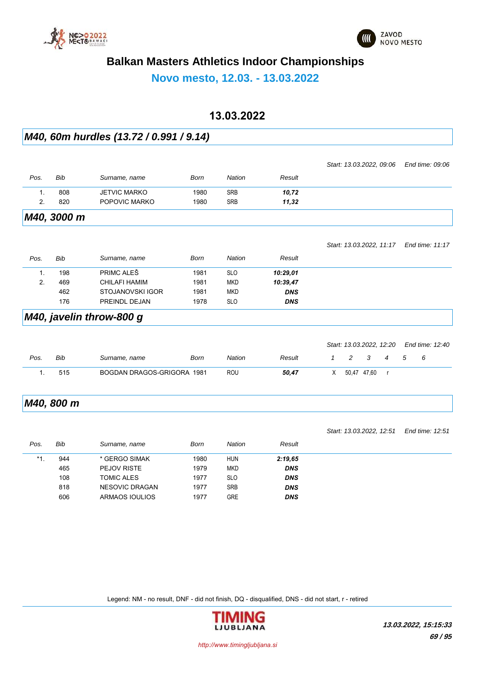



**Novo mesto, 12.03. - 13.03.2022**

#### **13.03.2022**

#### *M40, 60m hurdles (13.72 / 0.991 / 9.14)*

|                |             |                          |             |               |            | Start: 13.03.2022, 09:06 | End time: 09:06 |
|----------------|-------------|--------------------------|-------------|---------------|------------|--------------------------|-----------------|
| Pos.           | Bib         | Surname, name            | Born        | Nation        | Result     |                          |                 |
| $\mathbf{1}$ . | 808         | <b>JETVIC MARKO</b>      | 1980        | <b>SRB</b>    | 10,72      |                          |                 |
| 2.             | 820         | POPOVIC MARKO            | 1980        | <b>SRB</b>    | 11,32      |                          |                 |
|                | M40, 3000 m |                          |             |               |            |                          |                 |
|                |             |                          |             |               |            | Start: 13.03.2022, 11:17 | End time: 11:17 |
| Pos.           | Bib         | Surname, name            | <b>Born</b> | <b>Nation</b> | Result     |                          |                 |
| $\mathbf{1}$ . | 198         | PRIMC ALES               | 1981        | <b>SLO</b>    | 10:29,01   |                          |                 |
| 2.             | 469         | <b>CHILAFI HAMIM</b>     | 1981        | <b>MKD</b>    | 10:39,47   |                          |                 |
|                | 462         | <b>STOJANOVSKI IGOR</b>  | 1981        | <b>MKD</b>    | <b>DNS</b> |                          |                 |
|                | 176         | PREINDL DEJAN            | 1978        | <b>SLO</b>    | <b>DNS</b> |                          |                 |
|                |             | M40, javelin throw-800 g |             |               |            |                          |                 |
|                |             |                          |             |               |            |                          |                 |
|                |             |                          |             |               |            | Start: 13.03.2022, 12.20 | End time: 12:40 |

| Pos. | Bib | Surname, name              | Born | Nation | Result |  |             | $5^{\circ}$ | 6 |  |
|------|-----|----------------------------|------|--------|--------|--|-------------|-------------|---|--|
|      | 515 | BOGDAN DRAGOS-GRIGORA 1981 |      | ROU    | 50.47  |  | 50,47 47,60 |             |   |  |

#### *M40, 800 m*

|       |     |                       |      |            |            | Start: 13.03.2022, 12:51 | End time: 12:51 |
|-------|-----|-----------------------|------|------------|------------|--------------------------|-----------------|
| Pos.  | Bib | Surname, name         | Born | Nation     | Result     |                          |                 |
| $*1.$ | 944 | * GERGO SIMAK         | 1980 | <b>HUN</b> | 2:19.65    |                          |                 |
|       | 465 | <b>PEJOV RISTE</b>    | 1979 | MKD        | <b>DNS</b> |                          |                 |
|       | 108 | TOMIC ALES            | 1977 | <b>SLO</b> | <b>DNS</b> |                          |                 |
|       | 818 | <b>NESOVIC DRAGAN</b> | 1977 | <b>SRB</b> | <b>DNS</b> |                          |                 |
|       | 606 | ARMAOS IOULIOS        | 1977 | <b>GRE</b> | <b>DNS</b> |                          |                 |

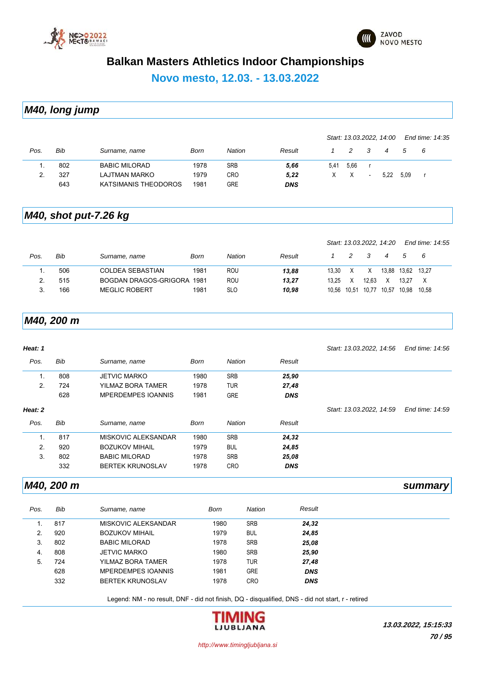



**Novo mesto, 12.03. - 13.03.2022**

*M40, long jump*

|      |     |                      |      |            |            |      |               |                          | Start: 13.03.2022, 14:00 |      | End time: 14:35 |  |
|------|-----|----------------------|------|------------|------------|------|---------------|--------------------------|--------------------------|------|-----------------|--|
| Pos. | Bib | Surname, name        | Born | Nation     | Result     |      | $\mathcal{P}$ | - 3                      | 4                        | 5    | - 6             |  |
|      | 802 | <b>BABIC MILORAD</b> | 1978 | <b>SRB</b> | 5,66       | 5.41 | 5.66          |                          |                          |      |                 |  |
| 2.   | 327 | LAJTMAN MARKO        | 1979 | <b>CRO</b> | 5,22       |      | X             | $\overline{\phantom{a}}$ | 5.22                     | 5.09 |                 |  |
|      | 643 | KATSIMANIS THEODOROS | 1981 | GRE        | <b>DNS</b> |      |               |                          |                          |      |                 |  |

### *M40, shot put-7.26 kg*

|      |     |                       |      |            |        |       |   |                   | Start: 13.03.2022, 14.20 |               | End time: 14:55 |  |
|------|-----|-----------------------|------|------------|--------|-------|---|-------------------|--------------------------|---------------|-----------------|--|
| Pos. | Bib | Surname, name         | Born | Nation     | Result |       |   | -3                | 4                        | $\mathcal{L}$ | - 6             |  |
|      | 506 | COLDEA SEBASTIAN      | 1981 | ROU        | 13.88  | 13.30 |   | X                 | 13.88                    | 13.62 13.27   |                 |  |
|      | 515 | BOGDAN DRAGOS-GRIGORA | 1981 | ROU        | 13,27  | 13.25 | x | 12.63             |                          | 13.27         |                 |  |
|      | 166 | <b>MEGLIC ROBERT</b>  | 1981 | <b>SLO</b> | 10.98  |       |   | 10.56 10.51 10.77 | 10.57                    | 10.98         | 10.58           |  |

#### *M40, 200 m*

| Heat: 1 |     |                           |             |               |            | Start: 13.03.2022, 14.56 | End time: 14:56 |
|---------|-----|---------------------------|-------------|---------------|------------|--------------------------|-----------------|
| Pos.    | Bib | Surname, name             | <b>Born</b> | <b>Nation</b> | Result     |                          |                 |
| 1.      | 808 | <b>JETVIC MARKO</b>       | 1980        | <b>SRB</b>    | 25,90      |                          |                 |
| 2.      | 724 | YILMAZ BORA TAMER         | 1978        | <b>TUR</b>    | 27,48      |                          |                 |
|         | 628 | <b>MPERDEMPES IOANNIS</b> | 1981        | <b>GRE</b>    | <b>DNS</b> |                          |                 |
| Heat: 2 |     |                           |             |               |            | Start: 13.03.2022, 14:59 | End time: 14:59 |
| Pos.    | Bib | Surname, name             | Born        | <b>Nation</b> | Result     |                          |                 |
| 1.      | 817 | MISKOVIC ALEKSANDAR       | 1980        | <b>SRB</b>    | 24,32      |                          |                 |
| 2.      | 920 | <b>BOZUKOV MIHAIL</b>     | 1979        | <b>BUL</b>    | 24,85      |                          |                 |
| 3.      | 802 | <b>BABIC MILORAD</b>      | 1978        | <b>SRB</b>    | 25,08      |                          |                 |
|         | 332 | <b>BERTEK KRUNOSLAV</b>   | 1978        | <b>CRO</b>    | <b>DNS</b> |                          |                 |
|         |     |                           |             |               |            |                          |                 |

#### *M40, 200 m summary*

| <b>SRB</b><br>1980<br>817<br>MISKOVIC ALEKSANDAR<br>24,32<br>920<br>1979<br><b>BUL</b><br>2.<br><b>BOZUKOV MIHAIL</b><br>24,85<br><b>SRB</b><br>3.<br>802<br>1978<br>25,08<br><b>BABIC MILORAD</b><br><b>SRB</b><br>1980<br>808<br>25,90<br><b>JETVIC MARKO</b><br>4.<br><b>TUR</b><br>5.<br>724<br>1978<br>27,48<br>YILMAZ BORA TAMER<br>628<br><b>GRE</b><br>1981<br><b>DNS</b><br><b>MPERDEMPES IOANNIS</b><br>332<br><b>BERTEK KRUNOSLAV</b><br>CRO<br>1978<br><b>DNS</b> | Pos. | Bib | Surname, name | <b>Born</b> | <b>Nation</b> | Result |
|-------------------------------------------------------------------------------------------------------------------------------------------------------------------------------------------------------------------------------------------------------------------------------------------------------------------------------------------------------------------------------------------------------------------------------------------------------------------------------|------|-----|---------------|-------------|---------------|--------|
|                                                                                                                                                                                                                                                                                                                                                                                                                                                                               |      |     |               |             |               |        |
|                                                                                                                                                                                                                                                                                                                                                                                                                                                                               |      |     |               |             |               |        |
|                                                                                                                                                                                                                                                                                                                                                                                                                                                                               |      |     |               |             |               |        |
|                                                                                                                                                                                                                                                                                                                                                                                                                                                                               |      |     |               |             |               |        |
|                                                                                                                                                                                                                                                                                                                                                                                                                                                                               |      |     |               |             |               |        |
|                                                                                                                                                                                                                                                                                                                                                                                                                                                                               |      |     |               |             |               |        |
|                                                                                                                                                                                                                                                                                                                                                                                                                                                                               |      |     |               |             |               |        |

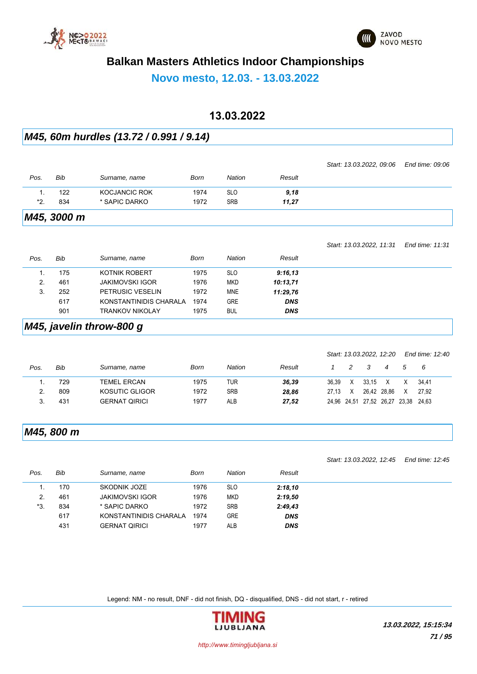



**Novo mesto, 12.03. - 13.03.2022**

#### **13.03.2022**

#### *M45, 60m hurdles (13.72 / 0.991 / 9.14)*

|       |             |               |      |            |        | Start: 13.03.2022, 09:06 End time: 09:06 |  |
|-------|-------------|---------------|------|------------|--------|------------------------------------------|--|
| Pos.  | Bib         | Surname, name | Born | Nation     | Result |                                          |  |
|       | 122         | KOCJANCIC ROK | 1974 | <b>SLO</b> | 9,18   |                                          |  |
| $*2.$ | 834         | * SAPIC DARKO | 1972 | <b>SRB</b> | 11,27  |                                          |  |
|       | M45, 3000 m |               |      |            |        |                                          |  |

#### *Pos. Bib Surname, name Born Nation Result Start: 13.03.2022, 11:31 End time: 11:31* 1. 175 KOTNIK ROBERT 1975 SLO *9:16,13* 2. 461 JAKIMOVSKI IGOR 1976 MKD *10:13,71* 3. 252 PETRUSIC VESELIN 1972 MNE *11:29,76* 617 KONSTANTINIDIS CHARALA 1974 GRE *DNS* 901 TRANKOV NIKOLAY 1975 BUL *DNS*

#### *M45, javelin throw-800 g*

|      |     |                      |      |               |        |       |               |       | Start: 13.03.2022, 12:20 |       | End time: 12:40 |  |
|------|-----|----------------------|------|---------------|--------|-------|---------------|-------|--------------------------|-------|-----------------|--|
| Pos. | Bib | Surname, name        | Born | <b>Nation</b> | Result |       | $\mathcal{P}$ | - 3   | $\overline{4}$           | .5    | - 6             |  |
|      | 729 | <b>TEMEL ERCAN</b>   | 1975 | TUR           | 36.39  | 36.39 | X             | 33.15 | X                        |       | 34.41           |  |
|      | 809 | KOSUTIC GLIGOR       | 1972 | <b>SRB</b>    | 28.86  | 27.13 | X             |       | 26.42 28.86              | X     | 27.92           |  |
|      | 431 | <b>GERNAT QIRICI</b> | 1977 | ALB           | 27.52  |       |               |       | 24,96 24,51 27,52 26,27  | 23.38 | 24.63           |  |

#### *M45, 800 m*

*Start: 13.03.2022, 12:45 End time: 12:45*

| Pos. | Bib | Surname, name          | Born | Nation     | Result     |
|------|-----|------------------------|------|------------|------------|
|      | 170 | SKODNIK JOZE           | 1976 | <b>SLO</b> | 2:18,10    |
|      | 461 | <b>JAKIMOVSKI IGOR</b> | 1976 | <b>MKD</b> | 2:19,50    |
| *3.  | 834 | * SAPIC DARKO          | 1972 | <b>SRB</b> | 2:49,43    |
|      | 617 | KONSTANTINIDIS CHARALA | 1974 | <b>GRE</b> | <b>DNS</b> |
|      | 431 | <b>GERNAT QIRICI</b>   | 1977 | ALB        | <b>DNS</b> |

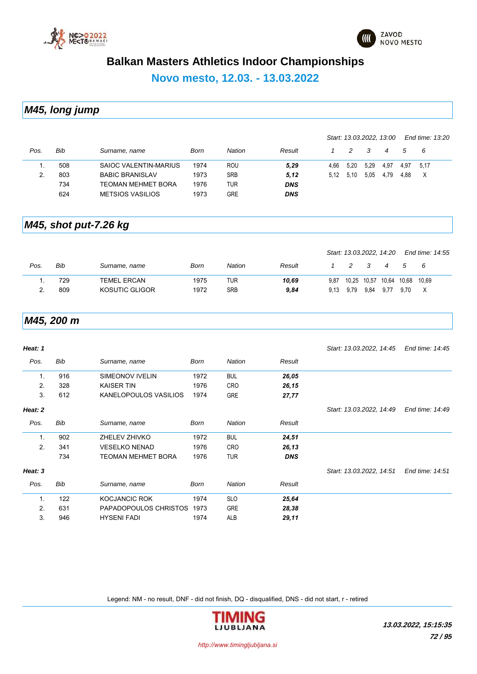



**Novo mesto, 12.03. - 13.03.2022**

*M45, long jump*

|      |     |                           |      |            |            |      |      | Start: 13.03.2022, 13:00 |      |      | End time: 13:20 |
|------|-----|---------------------------|------|------------|------------|------|------|--------------------------|------|------|-----------------|
| Pos. | Bib | Surname, name             | Born | Nation     | Result     |      | 2    | -3                       | 4    | 5    | - 6             |
|      | 508 | SAIOC VALENTIN-MARIUS     | 1974 | <b>ROU</b> | 5,29       | 4.66 | 5,20 | 5,29                     | 4,97 | 4.97 | 5.17            |
|      | 803 | <b>BABIC BRANISLAV</b>    | 1973 | <b>SRB</b> | 5,12       | 5.12 | 5.10 | 5.05                     | 4.79 | 4.88 | X               |
|      | 734 | <b>TEOMAN MEHMET BORA</b> | 1976 | TUR        | <b>DNS</b> |      |      |                          |      |      |                 |
|      | 624 | <b>METSIOS VASILIOS</b>   | 1973 | GRE        | <b>DNS</b> |      |      |                          |      |      |                 |

#### *M45, shot put-7.26 kg*

|      |     |                    |      |        |        |      | Start: 13.03.2022, 14:20 |                         |                |      | End time: 14:55 |  |
|------|-----|--------------------|------|--------|--------|------|--------------------------|-------------------------|----------------|------|-----------------|--|
| Pos. | Bib | Surname, name      | Born | Nation | Result |      | 2                        | $\overline{\mathbf{3}}$ | $\overline{4}$ | 5    | - 6             |  |
|      | 729 | <b>TEMEL ERCAN</b> | 1975 | TUR    | 10.69  | 9.87 | 10.25 10.57 10.64 10.68  |                         |                |      | 10.69           |  |
|      | 809 | KOSUTIC GLIGOR     | 1972 | SRB    | 9,84   |      | 9,13 9,79                | 9.84                    | 9.77           | 9.70 |                 |  |

#### *M45, 200 m*

| Heat: 1        |     |                           |             |               |            | Start: 13.03.2022, 14:45 | End time: 14:45 |
|----------------|-----|---------------------------|-------------|---------------|------------|--------------------------|-----------------|
| Pos.           | Bib | Surname, name             | <b>Born</b> | <b>Nation</b> | Result     |                          |                 |
| 1.             | 916 | SIMEONOV IVELIN           | 1972        | <b>BUL</b>    | 26,05      |                          |                 |
| 2.             | 328 | <b>KAISER TIN</b>         | 1976        | <b>CRO</b>    | 26,15      |                          |                 |
| 3.             | 612 | KANELOPOULOS VASILIOS     | 1974        | <b>GRE</b>    | 27,77      |                          |                 |
| Heat: 2        |     |                           |             |               |            | Start: 13.03.2022, 14.49 | End time: 14:49 |
| Pos.           | Bib | Surname, name             | <b>Born</b> | <b>Nation</b> | Result     |                          |                 |
| $\mathbf{1}$ . | 902 | ZHELEV ZHIVKO             | 1972        | <b>BUL</b>    | 24,51      |                          |                 |
| 2.             | 341 | <b>VESELKO NENAD</b>      | 1976        | <b>CRO</b>    | 26,13      |                          |                 |
|                | 734 | <b>TEOMAN MEHMET BORA</b> | 1976        | <b>TUR</b>    | <b>DNS</b> |                          |                 |
| Heat: 3        |     |                           |             |               |            | Start: 13.03.2022, 14:51 | End time: 14:51 |
| Pos.           | Bib | Surname, name             | Born        | <b>Nation</b> | Result     |                          |                 |
| $\mathbf{1}$ . | 122 | <b>KOCJANCIC ROK</b>      | 1974        | <b>SLO</b>    | 25,64      |                          |                 |
| 2.             | 631 | PAPADOPOULOS CHRISTOS     | 1973        | <b>GRE</b>    | 28,38      |                          |                 |
| 3.             | 946 | <b>HYSENI FADI</b>        | 1974        | ALB           | 29,11      |                          |                 |

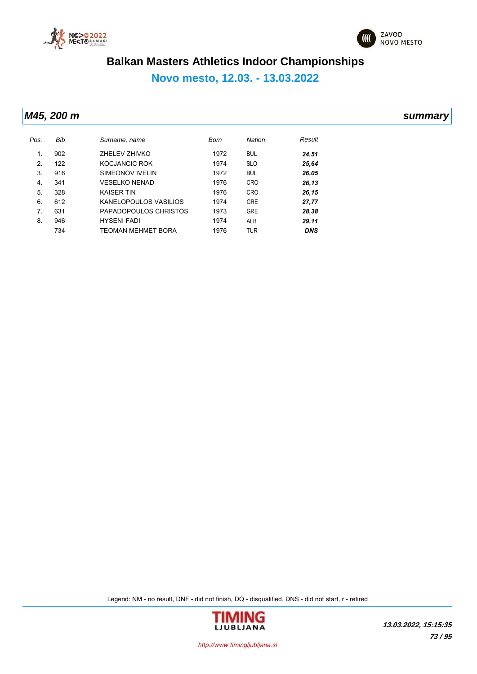



**Novo mesto, 12.03. - 13.03.2022**

*M45, 200 m summary*

| Pos. | Bib | Surname, name             | Born | Nation     | Result     |
|------|-----|---------------------------|------|------------|------------|
|      | 902 | ZHELEV ZHIVKO             | 1972 | <b>BUL</b> | 24,51      |
| 2.   | 122 | KOCJANCIC ROK             | 1974 | <b>SLO</b> | 25,64      |
| 3.   | 916 | SIMEONOV IVELIN           | 1972 | <b>BUL</b> | 26,05      |
| 4.   | 341 | <b>VESELKO NENAD</b>      | 1976 | <b>CRO</b> | 26,13      |
| 5.   | 328 | <b>KAISER TIN</b>         | 1976 | <b>CRO</b> | 26,15      |
| 6.   | 612 | KANELOPOULOS VASILIOS     | 1974 | <b>GRE</b> | 27,77      |
| 7.   | 631 | PAPADOPOULOS CHRISTOS     | 1973 | <b>GRE</b> | 28,38      |
| 8.   | 946 | <b>HYSENI FADI</b>        | 1974 | ALB        | 29,11      |
|      | 734 | <b>TEOMAN MEHMET BORA</b> | 1976 | <b>TUR</b> | <b>DNS</b> |

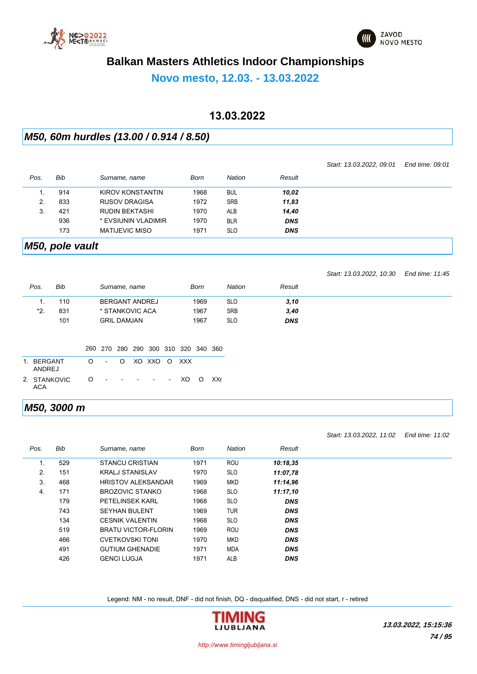



### **Novo mesto, 12.03. - 13.03.2022**

### **13.03.2022**

### *M50, 60m hurdles (13.00 / 0.914 / 8.50)*

|      |     |                       |      |            |            | Start: 13.03.2022, 09.01 | End time: 09:01 |
|------|-----|-----------------------|------|------------|------------|--------------------------|-----------------|
| Pos. | Bib | Surname, name         | Born | Nation     | Result     |                          |                 |
|      | 914 | KIROV KONSTANTIN      | 1968 | <b>BUL</b> | 10,02      |                          |                 |
| 2.   | 833 | <b>RUSOV DRAGISA</b>  | 1972 | <b>SRB</b> | 11,83      |                          |                 |
| 3.   | 421 | <b>RUDIN BEKTASHI</b> | 1970 | <b>ALB</b> | 14,40      |                          |                 |
|      | 936 | * EVSIUNIN VLADIMIR   | 1970 | <b>BLR</b> | <b>DNS</b> |                          |                 |
|      | 173 | <b>MATIJEVIC MISO</b> | 1971 | <b>SLO</b> | <b>DNS</b> |                          |                 |

### *M50, pole vault*

*Pos. Bib Surname, name* 

|     |        |                 |                      |               |        | Start: 13.03.2022, 10:30 | End time: 11:45 |
|-----|--------|-----------------|----------------------|---------------|--------|--------------------------|-----------------|
| XS. | Bib    | Surname, name   | Born                 | <b>Nation</b> | Result |                          |                 |
|     | 110    | BERGANT ANDREJ  | 1969                 | <b>SLO</b>    | 3, 10  |                          |                 |
| *2  | 831    | * STANKOVIC ACA | 1967                 | <b>SRB</b>    | 3,40   |                          |                 |
|     | $\sim$ |                 | $\sim$ $\sim$ $\sim$ | $\sim$        | ----   |                          |                 |

| 101                  |                    | <b>GRIL DAMJAN</b> |  |                                     | 1967 |  |
|----------------------|--------------------|--------------------|--|-------------------------------------|------|--|
|                      |                    |                    |  |                                     |      |  |
|                      |                    |                    |  | 260 270 280 290 300 310 320 340 360 |      |  |
| 1. BERGANT<br>ANDREJ | O - O XO XXO O XXX |                    |  |                                     |      |  |
| 2. STANKOVIC<br>ACA  | 0 - - - - - XOOXXr |                    |  |                                     |      |  |

#### *M50, 3000 m*

|      |     |                            |             |               |            | Start: 13.03.2022, 11:02 | End time: 11:02 |
|------|-----|----------------------------|-------------|---------------|------------|--------------------------|-----------------|
| Pos. | Bib | Surname, name              | <b>Born</b> | <b>Nation</b> | Result     |                          |                 |
| 1.   | 529 | <b>STANCU CRISTIAN</b>     | 1971        | <b>ROU</b>    | 10:18.35   |                          |                 |
| 2.   | 151 | <b>KRALJ STANISLAV</b>     | 1970        | <b>SLO</b>    | 11:07.78   |                          |                 |
| 3.   | 468 | <b>HRISTOV ALEKSANDAR</b>  | 1969        | <b>MKD</b>    | 11:14.96   |                          |                 |
| 4.   | 171 | BROZOVIC STANKO            | 1968        | <b>SLO</b>    | 11:17.10   |                          |                 |
|      | 179 | <b>PETELINSEK KARL</b>     | 1968        | <b>SLO</b>    | <b>DNS</b> |                          |                 |
|      | 743 | <b>SEYHAN BULENT</b>       | 1969        | <b>TUR</b>    | <b>DNS</b> |                          |                 |
|      | 134 | <b>CESNIK VALENTIN</b>     | 1968        | <b>SLO</b>    | <b>DNS</b> |                          |                 |
|      | 519 | <b>BRATU VICTOR-FLORIN</b> | 1969        | <b>ROU</b>    | <b>DNS</b> |                          |                 |
|      | 466 | <b>CVETKOVSKI TONI</b>     | 1970        | <b>MKD</b>    | <b>DNS</b> |                          |                 |
|      | 491 | <b>GUTIUM GHENADIE</b>     | 1971        | <b>MDA</b>    | <b>DNS</b> |                          |                 |
|      | 426 | <b>GENCI LUGJA</b>         | 1971        | <b>ALB</b>    | <b>DNS</b> |                          |                 |

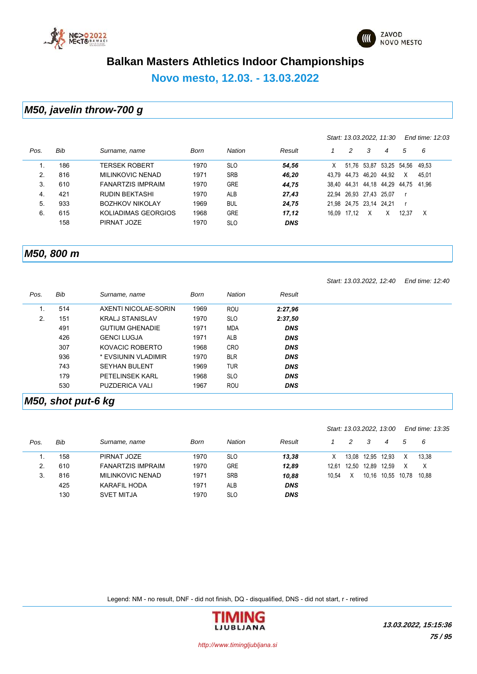



*Start: 13.03.2022, 11:30 End time: 12:03*

### **Balkan Masters Athletics Indoor Championships**

**Novo mesto, 12.03. - 13.03.2022**

#### *M50, javelin throw-700 g*

| Pos. | Bib | Surname, name            | Born | <b>Nation</b> | Result     |       | 2           | 3                       | 4           | 5     | 6     |  |
|------|-----|--------------------------|------|---------------|------------|-------|-------------|-------------------------|-------------|-------|-------|--|
|      | 186 | TERSEK ROBERT            | 1970 | <b>SLO</b>    | 54.56      | Χ     | 51.76       | 53.87                   | 53,25 54,56 |       | 49.53 |  |
| 2.   | 816 | <b>MILINKOVIC NENAD</b>  | 1971 | <b>SRB</b>    | 46.20      | 43.79 | 44.73       | 46.20                   | 44.92       | X     | 45.01 |  |
| 3.   | 610 | <b>FANARTZIS IMPRAIM</b> | 1970 | <b>GRE</b>    | 44.75      | 38.40 | 44.31       | 44.18                   | 44,29       | 44.75 | 41.96 |  |
| 4.   | 421 | <b>RUDIN BEKTASHI</b>    | 1970 | ALB           | 27.43      | 22.94 | 26,93 27,43 |                         | 25.07       |       |       |  |
| 5.   | 933 | <b>BOZHKOV NIKOLAY</b>   | 1969 | <b>BUL</b>    | 24.75      |       |             | 21.98 24.75 23.14 24.21 |             |       |       |  |
| 6.   | 615 | KOLIADIMAS GEORGIOS      | 1968 | <b>GRE</b>    | 17.12      | 16.09 | 17.12       | X                       | Х           | 12.37 | X     |  |
|      | 158 | PIRNAT JOZE              | 1970 | <b>SLO</b>    | <b>DNS</b> |       |             |                         |             |       |       |  |
|      |     |                          |      |               |            |       |             |                         |             |       |       |  |

#### *M50, 800 m*

|      |     |                        |      |               |            | Start: 13.03.2022, 12:40 | End time: 12:40 |
|------|-----|------------------------|------|---------------|------------|--------------------------|-----------------|
| Pos. | Bib | Surname, name          | Born | <b>Nation</b> | Result     |                          |                 |
|      | 514 | AXENTI NICOLAE-SORIN   | 1969 | ROU           | 2:27,96    |                          |                 |
| 2.   | 151 | <b>KRALJ STANISLAV</b> | 1970 | <b>SLO</b>    | 2:37,50    |                          |                 |
|      | 491 | <b>GUTIUM GHENADIE</b> | 1971 | <b>MDA</b>    | <b>DNS</b> |                          |                 |
|      | 426 | <b>GENCI LUGJA</b>     | 1971 | <b>ALB</b>    | <b>DNS</b> |                          |                 |
|      | 307 | KOVACIC ROBERTO        | 1968 | <b>CRO</b>    | <b>DNS</b> |                          |                 |
|      | 936 | * EVSIUNIN VLADIMIR    | 1970 | <b>BLR</b>    | <b>DNS</b> |                          |                 |
|      | 743 | <b>SEYHAN BULENT</b>   | 1969 | <b>TUR</b>    | <b>DNS</b> |                          |                 |
|      | 179 | <b>PETELINSEK KARL</b> | 1968 | <b>SLO</b>    | <b>DNS</b> |                          |                 |
|      | 530 | <b>PUZDERICA VALI</b>  | 1967 | <b>ROU</b>    | <b>DNS</b> |                          |                 |

#### *M50, shot put-6 kg*

|      |     |                          |      |               |            |       |   |             | Start: 13.03.2022, 13:00 |   | End time: 13:35 |  |
|------|-----|--------------------------|------|---------------|------------|-------|---|-------------|--------------------------|---|-----------------|--|
| Pos. | Bib | Surname, name            | Born | <b>Nation</b> | Result     |       | 2 | 3           | 4                        | 5 | - 6             |  |
|      | 158 | PIRNAT JOZE              | 1970 | <b>SLO</b>    | 13.38      | X     |   |             | 13,08 12,95 12,93        |   | 13.38           |  |
| 2.   | 610 | <b>FANARTZIS IMPRAIM</b> | 1970 | <b>GRE</b>    | 12.89      | 12.61 |   | 12.50 12.89 | 12.59                    |   | X               |  |
| 3.   | 816 | <b>MILINKOVIC NENAD</b>  | 1971 | <b>SRB</b>    | 10.88      | 10.54 | X |             | 10.16 10.55 10.78        |   | 10.88           |  |
|      | 425 | KARAFIL HODA             | 1971 | <b>ALB</b>    | <b>DNS</b> |       |   |             |                          |   |                 |  |
|      | 130 | <b>SVET MITJA</b>        | 1970 | <b>SLO</b>    | <b>DNS</b> |       |   |             |                          |   |                 |  |

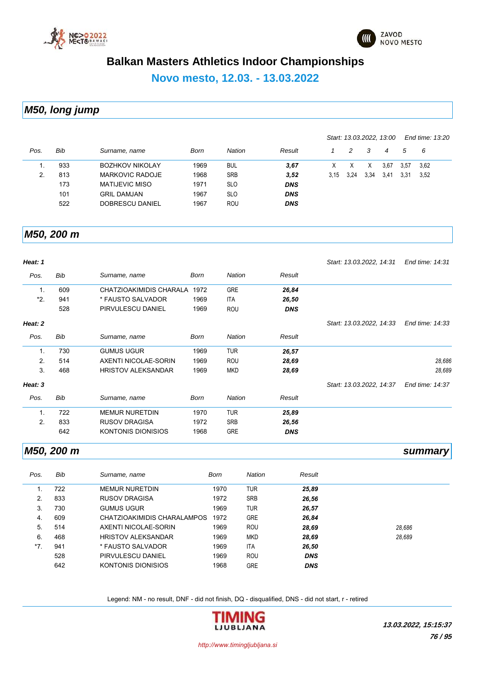



### **Novo mesto, 12.03. - 13.03.2022**

### *M50, long jump*

|              |     |                        |      |            |            |      |      | Start: 13.03.2022, 13:00 |      |      | End time: 13:20 |
|--------------|-----|------------------------|------|------------|------------|------|------|--------------------------|------|------|-----------------|
| Pos.         | Bib | Surname, name          | Born | Nation     | Result     |      | 2    | 3                        | 4    | 5    | - 6             |
|              | 933 | <b>BOZHKOV NIKOLAY</b> | 1969 | <b>BUL</b> | 3,67       |      |      | X                        | 3.67 | 3.57 | 3.62            |
| $\mathbf{2}$ | 813 | <b>MARKOVIC RADOJE</b> | 1968 | <b>SRB</b> | 3,52       | 3.15 | 3.24 | 3.34                     | 3.41 | 3.31 | 3.52            |
|              | 173 | <b>MATIJEVIC MISO</b>  | 1971 | <b>SLO</b> | <b>DNS</b> |      |      |                          |      |      |                 |
|              | 101 | <b>GRIL DAMJAN</b>     | 1967 | <b>SLO</b> | <b>DNS</b> |      |      |                          |      |      |                 |
|              | 522 | DOBRESCU DANIEL        | 1967 | <b>ROU</b> | <b>DNS</b> |      |      |                          |      |      |                 |

#### *M50, 200 m*

| Heat: 1        |     |                           |             |               |            | Start: 13.03.2022, 14:31 | End time: 14:31 |
|----------------|-----|---------------------------|-------------|---------------|------------|--------------------------|-----------------|
| Pos.           | Bib | Surname, name             | Born        | <b>Nation</b> | Result     |                          |                 |
| 1.             | 609 | CHATZIOAKIMIDIS CHARALA   | 1972        | <b>GRE</b>    | 26,84      |                          |                 |
| *2.            | 941 | * FAUSTO SALVADOR         | 1969        | ITA           | 26,50      |                          |                 |
|                | 528 | PIRVULESCU DANIEL         | 1969        | <b>ROU</b>    | <b>DNS</b> |                          |                 |
| Heat: 2        |     |                           |             |               |            | Start: 13.03.2022, 14:33 | End time: 14:33 |
| Pos.           | Bib | Surname, name             | <b>Born</b> | Nation        | Result     |                          |                 |
| 1.             | 730 | <b>GUMUS UGUR</b>         | 1969        | <b>TUR</b>    | 26,57      |                          |                 |
| 2.             | 514 | AXENTI NICOLAE-SORIN      | 1969        | ROU           | 28,69      |                          | 28,686          |
| 3.             | 468 | <b>HRISTOV ALEKSANDAR</b> | 1969        | <b>MKD</b>    | 28,69      |                          | 28,689          |
| Heat: 3        |     |                           |             |               |            | Start: 13.03.2022, 14:37 | End time: 14:37 |
| Pos.           | Bib | Surname, name             | <b>Born</b> | <b>Nation</b> | Result     |                          |                 |
| $\mathbf{1}$ . | 722 | <b>MEMUR NURETDIN</b>     | 1970        | <b>TUR</b>    | 25,89      |                          |                 |
| 2.             | 833 | <b>RUSOV DRAGISA</b>      | 1972        | <b>SRB</b>    | 26,56      |                          |                 |
|                | 642 | <b>KONTONIS DIONISIOS</b> | 1968        | <b>GRE</b>    | <b>DNS</b> |                          |                 |

#### *M50, 200 m summary*

| Pos.  | Bib | Surname, name               | Born | Nation     | Result     |        |
|-------|-----|-----------------------------|------|------------|------------|--------|
|       | 722 | <b>MEMUR NURETDIN</b>       | 1970 | <b>TUR</b> | 25,89      |        |
| 2.    | 833 | <b>RUSOV DRAGISA</b>        | 1972 | <b>SRB</b> | 26,56      |        |
| 3.    | 730 | <b>GUMUS UGUR</b>           | 1969 | <b>TUR</b> | 26,57      |        |
| 4.    | 609 | CHATZIOAKIMIDIS CHARALAMPOS | 1972 | <b>GRE</b> | 26,84      |        |
| 5.    | 514 | AXENTI NICOLAE-SORIN        | 1969 | <b>ROU</b> | 28.69      | 28.686 |
| 6.    | 468 | <b>HRISTOV ALEKSANDAR</b>   | 1969 | <b>MKD</b> | 28.69      | 28.689 |
| $*7.$ | 941 | * FAUSTO SALVADOR           | 1969 | <b>ITA</b> | 26,50      |        |
|       | 528 | PIRVULESCU DANIEL           | 1969 | <b>ROU</b> | <b>DNS</b> |        |
|       | 642 | KONTONIS DIONISIOS          | 1968 | <b>GRE</b> | <b>DNS</b> |        |

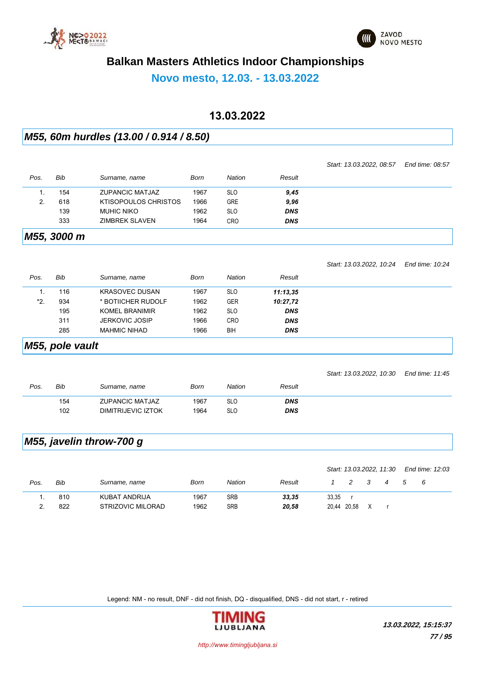



*Start: 13.03.2022, 08:57 End time: 08:57*

### **Balkan Masters Athletics Indoor Championships**

### **Novo mesto, 12.03. - 13.03.2022**

### **13.03.2022**

#### *M55, 60m hurdles (13.00 / 0.914 / 8.50)*

| Pos.           | <b>Bib</b>      | Surname, name               | <b>Born</b> | Nation        | Result     |                          |                 |
|----------------|-----------------|-----------------------------|-------------|---------------|------------|--------------------------|-----------------|
| 1.             | 154             | <b>ZUPANCIC MATJAZ</b>      | 1967        | <b>SLO</b>    | 9,45       |                          |                 |
| 2.             | 618             | <b>KTISOPOULOS CHRISTOS</b> | 1966        | <b>GRE</b>    | 9,96       |                          |                 |
|                | 139             | <b>MUHIC NIKO</b>           | 1962        | <b>SLO</b>    | <b>DNS</b> |                          |                 |
|                | 333             | <b>ZIMBREK SLAVEN</b>       | 1964        | <b>CRO</b>    | <b>DNS</b> |                          |                 |
|                | M55, 3000 m     |                             |             |               |            |                          |                 |
|                |                 |                             |             |               |            | Start: 13.03.2022, 10:24 | End time: 10.24 |
| Pos.           | <b>Bib</b>      | Surname, name               | <b>Born</b> | <b>Nation</b> | Result     |                          |                 |
| $\mathbf{1}$ . | 116             | <b>KRASOVEC DUSAN</b>       | 1967        | <b>SLO</b>    | 11:13,35   |                          |                 |
| *2.            | 934             | * BOTIICHER RUDOLF          | 1962        | <b>GER</b>    | 10:27,72   |                          |                 |
|                | 195             | <b>KOMEL BRANIMIR</b>       | 1962        | <b>SLO</b>    | <b>DNS</b> |                          |                 |
|                | 311             | JERKOVIC JOSIP              | 1966        | CRO           | <b>DNS</b> |                          |                 |
|                | 285             | <b>MAHMIC NIHAD</b>         | 1966        | BIH           | <b>DNS</b> |                          |                 |
|                | M55, pole vault |                             |             |               |            |                          |                 |
|                |                 |                             |             |               |            | Start: 13.03.2022, 10:30 | End time: 11:45 |
| Pos.           | <b>Bib</b>      | Surname, name               | <b>Born</b> | <b>Nation</b> | Result     |                          |                 |
|                | 154             | <b>ZUPANCIC MATJAZ</b>      | 1967        | <b>SLO</b>    | <b>DNS</b> |                          |                 |
|                | 102             | <b>DIMITRIJEVIC IZTOK</b>   | 1964        | <b>SLO</b>    | <b>DNS</b> |                          |                 |
|                |                 | M55, javelin throw-700 g    |             |               |            |                          |                 |
|                |                 |                             |             |               |            | Start: 13.03.2022, 11:30 | End time: 12:03 |

|      |     |                   |      |               |        |             |   |  | LIN WILG. IZ.UJ |
|------|-----|-------------------|------|---------------|--------|-------------|---|--|-----------------|
| Pos. | Bib | Surname, name     | Born | <b>Nation</b> | Result |             |   |  | - 6             |
|      | 810 | KUBAT ANDRIJA     | 1967 | <b>SRB</b>    | 33,35  | 33,35       |   |  |                 |
|      | 822 | STRIZOVIC MILORAD | 1962 | SRB           | 20,58  | 20,44 20,58 | X |  |                 |

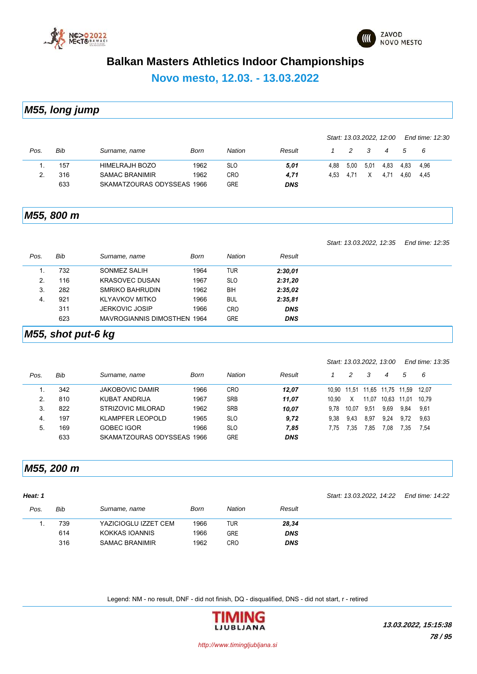



**Novo mesto, 12.03. - 13.03.2022**

*M55, long jump*

|      |     |                            |      |            |            |      |               |      | Start: 13.03.2022, 12:00 |      | End time: 12:30 |
|------|-----|----------------------------|------|------------|------------|------|---------------|------|--------------------------|------|-----------------|
| Pos. | Bib | Surname, name              | Born | Nation     | Result     |      | $\mathcal{P}$ |      | $\boldsymbol{4}$         | 5    | - 6             |
|      | 157 | HIMELRAJH BOZO             | 1962 | <b>SLO</b> | 5,01       | 4.88 | 5,00          | 5,01 | 4.83                     | 4.83 | 4.96            |
|      | 316 | <b>SAMAC BRANIMIR</b>      | 1962 | CRO        | 4,71       | 4.53 | 4.71          |      | 4.71                     | 4.60 | 4.45            |
|      | 633 | SKAMATZOURAS ODYSSEAS 1966 |      | <b>GRE</b> | <b>DNS</b> |      |               |      |                          |      |                 |

#### *M55, 800 m*

*Start: 13.03.2022, 12:35 End time: 12:35*

| Pos. | Bib | Surname, name               | Born | <b>Nation</b> | Result     |  |
|------|-----|-----------------------------|------|---------------|------------|--|
| . .  | 732 | SONMEZ SALIH                | 1964 | TUR           | 2:30,01    |  |
| 2.   | 116 | <b>KRASOVEC DUSAN</b>       | 1967 | <b>SLO</b>    | 2:31,20    |  |
| 3.   | 282 | SMRIKO BAHRUDIN             | 1962 | BIH           | 2:35,02    |  |
| -4.  | 921 | <b>KLYAVKOV MITKO</b>       | 1966 | <b>BUL</b>    | 2:35,81    |  |
|      | 311 | <b>JERKOVIC JOSIP</b>       | 1966 | <b>CRO</b>    | <b>DNS</b> |  |
|      | 623 | MAVROGIANNIS DIMOSTHEN 1964 |      | <b>GRE</b>    | <b>DNS</b> |  |

### *M55, shot put-6 kg*

|      |     |                            |      |               |            |       |       | Start: 13.03.2022, 13:00 |       |       | End time: 13:35 |
|------|-----|----------------------------|------|---------------|------------|-------|-------|--------------------------|-------|-------|-----------------|
| Pos. | Bib | Surname, name              | Born | <b>Nation</b> | Result     |       | 2     | 3                        | 4     | 5     | - 6             |
|      | 342 | <b>JAKOBOVIC DAMIR</b>     | 1966 | <b>CRO</b>    | 12.07      |       |       | 10.90 11.51 11.65        | 11,75 | 11.59 | 12.07           |
| 2.   | 810 | KUBAT ANDRIJA              | 1967 | <b>SRB</b>    | 11.07      | 10.90 | X     | 11,07                    | 10.63 | 11.01 | 10.79           |
| 3.   | 822 | STRIZOVIC MILORAD          | 1962 | <b>SRB</b>    | 10.07      | 9.78  | 10.07 | 9,51                     | 9,69  | 9,84  | 9,61            |
| 4.   | 197 | <b>KLAMPFER LEOPOLD</b>    | 1965 | <b>SLO</b>    | 9,72       | 9.38  | 9.43  | 8,97                     | 9.24  | 9.72  | 9,63            |
| 5.   | 169 | <b>GOBEC IGOR</b>          | 1966 | <b>SLO</b>    | 7.85       | 7.75  | 7.35  | 7.85                     | 7.08  | 7.35  | 7,54            |
|      | 633 | SKAMATZOURAS ODYSSEAS 1966 |      | <b>GRE</b>    | <b>DNS</b> |       |       |                          |       |       |                 |

#### *M55, 200 m*

| Heat: 1 |     |                       |      |               |            | Start: 13.03.2022, 14.22 | End time: 14:22 |
|---------|-----|-----------------------|------|---------------|------------|--------------------------|-----------------|
| Pos.    | Bib | Surname, name         | Born | <b>Nation</b> | Result     |                          |                 |
|         | 739 | YAZICIOGLU IZZET CEM  | 1966 | TUR           | 28,34      |                          |                 |
|         | 614 | KOKKAS IOANNIS        | 1966 | <b>GRE</b>    | <b>DNS</b> |                          |                 |
|         | 316 | <b>SAMAC BRANIMIR</b> | 1962 | <b>CRO</b>    | <b>DNS</b> |                          |                 |

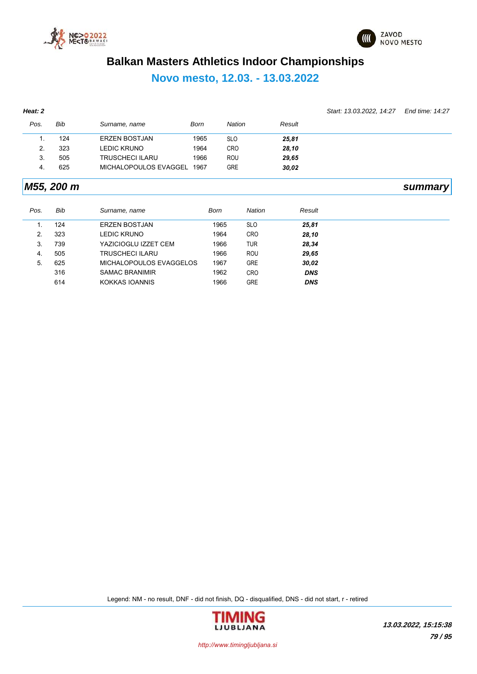



### **Novo mesto, 12.03. - 13.03.2022**

| Heat: 2 |            |                         |             |               |               |            | Start: 13.03.2022, 14:27 | End time: 14:27 |
|---------|------------|-------------------------|-------------|---------------|---------------|------------|--------------------------|-----------------|
| Pos.    | <b>Bib</b> | Surname, name           | Born        | <b>Nation</b> |               | Result     |                          |                 |
| 1.      | 124        | <b>ERZEN BOSTJAN</b>    | 1965        | <b>SLO</b>    |               | 25,81      |                          |                 |
| 2.      | 323        | <b>LEDIC KRUNO</b>      | 1964        | <b>CRO</b>    |               | 28,10      |                          |                 |
| 3.      | 505        | <b>TRUSCHECI ILARU</b>  | 1966        | ROU           |               | 29,65      |                          |                 |
| 4.      | 625        | MICHALOPOULOS EVAGGEL   | 1967        | <b>GRE</b>    |               | 30,02      |                          |                 |
|         | M55, 200 m |                         |             |               |               |            |                          | summary         |
| Pos.    | <b>Bib</b> | Surname, name           | <b>Born</b> |               | <b>Nation</b> | Result     |                          |                 |
| 1.      | 124        | <b>ERZEN BOSTJAN</b>    |             | 1965          | <b>SLO</b>    | 25,81      |                          |                 |
| 2.      | 323        | <b>LEDIC KRUNO</b>      |             | 1964          | <b>CRO</b>    | 28,10      |                          |                 |
| 3.      | 739        | YAZICIOGLU IZZET CEM    |             | 1966          | <b>TUR</b>    | 28,34      |                          |                 |
| 4.      | 505        | <b>TRUSCHECI ILARU</b>  |             | 1966          | ROU           | 29,65      |                          |                 |
| 5.      | 625        | MICHALOPOULOS EVAGGELOS |             | 1967          | <b>GRE</b>    | 30,02      |                          |                 |
|         | 316        | <b>SAMAC BRANIMIR</b>   |             | 1962          | <b>CRO</b>    | <b>DNS</b> |                          |                 |
|         | 614        | KOKKAS IOANNIS          |             | 1966          | <b>GRE</b>    | <b>DNS</b> |                          |                 |

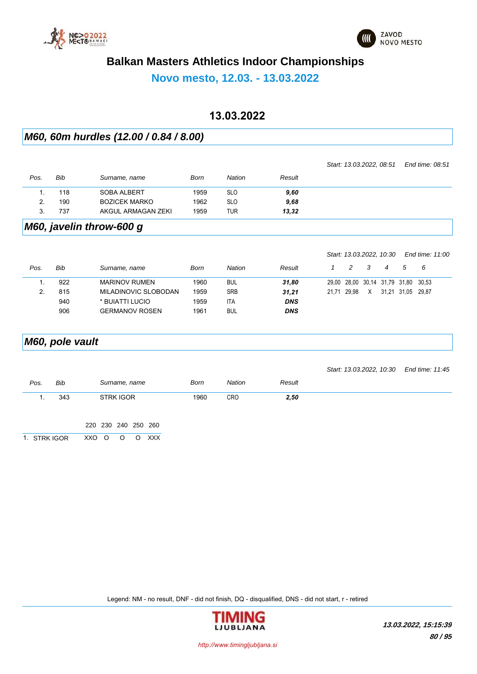



*Start: 13.03.2022, 10:30 End time: 11:00*

### **Balkan Masters Athletics Indoor Championships**

**Novo mesto, 12.03. - 13.03.2022**

### **13.03.2022**

#### *M60, 60m hurdles (12.00 / 0.84 / 8.00)*

|      |     |                      |      |               |        | Start: 13.03.2022, 08:51 | End time: 08:51 |
|------|-----|----------------------|------|---------------|--------|--------------------------|-----------------|
| Pos. | Bib | Surname, name        | Born | <b>Nation</b> | Result |                          |                 |
|      | 118 | SOBA ALBERT          | 1959 | <b>SLO</b>    | 9,60   |                          |                 |
|      | 190 | <b>BOZICEK MARKO</b> | 1962 | <b>SLO</b>    | 9,68   |                          |                 |
| 3.   | 737 | AKGUL ARMAGAN ZEKI   | 1959 | TUR           | 13,32  |                          |                 |

#### *M60, javelin throw-600 g*

|      |     |                       |      |            |            |             | Stall: 13.03.2022, 10.30 |   |                               | ENG WHE. TH.OO |  |
|------|-----|-----------------------|------|------------|------------|-------------|--------------------------|---|-------------------------------|----------------|--|
| Pos. | Bib | Surname, name         | Born | Nation     | Result     | 2           | - 3                      | 4 | 5                             | - 6            |  |
|      | 922 | <b>MARINOV RUMEN</b>  | 1960 | <b>BUL</b> | 31,80      |             |                          |   | 29,00 28,00 30,14 31,79 31,80 | 30.53          |  |
|      | 815 | MILADINOVIC SLOBODAN  | 1959 | <b>SRB</b> | 31,21      | 21.71 29.98 | X                        |   | 31.21 31.05                   | 29.87          |  |
|      | 940 | * BUIATTI LUCIO       | 1959 | <b>ITA</b> | <b>DNS</b> |             |                          |   |                               |                |  |
|      | 906 | <b>GERMANOV ROSEN</b> | 1961 | <b>BUL</b> | <b>DNS</b> |             |                          |   |                               |                |  |
|      |     |                       |      |            |            |             |                          |   |                               |                |  |

# *M60, pole vault Pos. Bib Surname, name Born Nation Result Start: 13.03.2022, 10:30 End time: 11:45* 1. 343 STRK IGOR 1960 CRO *2,50* 220 230 240 250 260 1. STRK IGOR XXO O O O XXX

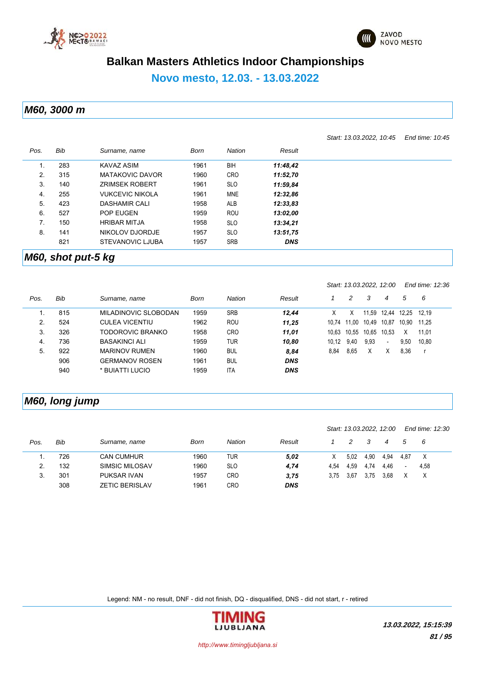



*Start: 13.03.2022, 10:45 End time: 10:45*

### **Balkan Masters Athletics Indoor Championships**

#### **Novo mesto, 12.03. - 13.03.2022**

*M60, 3000 m*

*Pos. Bib Surname, name Born Nation Result* 1. 283 KAVAZ ASIM 1961 BIH *11:48,42* 2. 315 MATAKOVIC DAVOR 1960 CRO *11:52,70* 3. 140 ZRIMSEK ROBERT 1961 SLO *11:59,84* 4. 255 VUKCEVIC NIKOLA 1961 MNE *12:32,86* 5. 423 DASHAMIR CALI 1958 ALB *12:33,83* 6. 527 POP EUGEN 1959 ROU *13:02,00* 7. 150 HRIBAR MITJA 1958 SLO *13:34,21* 8. 141 NIKOLOV DJORDJE 1957 SLO *13:51,75* 821 STEVANOVIC LJUBA 1957 SRB *DNS*

#### *M60, shot put-5 kg*

|      |     |                       |      |               |            |       |       | Start: 13.03.2022, 12:00 |                          |       | End time: 12:36 |
|------|-----|-----------------------|------|---------------|------------|-------|-------|--------------------------|--------------------------|-------|-----------------|
| Pos. | Bib | Surname, name         | Born | <b>Nation</b> | Result     |       | 2     | 3                        | 4                        | 5     | 6               |
|      | 815 | MILADINOVIC SLOBODAN  | 1959 | <b>SRB</b>    | 12.44      | x     | х     | 11.59                    | 12.44                    | 12.25 | 12.19           |
| 2.   | 524 | <b>CULEA VICENTIU</b> | 1962 | <b>ROU</b>    | 11.25      | 10.74 | 11.00 | 10.49                    | 10,87                    | 10.90 | 11.25           |
| 3.   | 326 | TODOROVIC BRANKO      | 1958 | <b>CRO</b>    | 11,01      | 10.63 | 10.55 | 10.65                    | 10.53                    | X     | 11.01           |
| 4.   | 736 | <b>BASAKINCI ALI</b>  | 1959 | <b>TUR</b>    | 10.80      | 10.12 | 9.40  | 9,93                     | $\overline{\phantom{a}}$ | 9,50  | 10,80           |
| 5.   | 922 | <b>MARINOV RUMEN</b>  | 1960 | <b>BUL</b>    | 8.84       | 8,84  | 8,65  | Χ                        | Χ                        | 8,36  |                 |
|      | 906 | <b>GERMANOV ROSEN</b> | 1961 | <b>BUL</b>    | <b>DNS</b> |       |       |                          |                          |       |                 |
|      | 940 | * BUIATTI LUCIO       | 1959 | <b>ITA</b>    | <b>DNS</b> |       |       |                          |                          |       |                 |

### *M60, long jump*

|      |     |                       |      |            |            |      |      |      | Start: 13.03.2022, 12:00 |                          | End time: 12:30 |
|------|-----|-----------------------|------|------------|------------|------|------|------|--------------------------|--------------------------|-----------------|
| Pos. | Bib | Surname, name         | Born | Nation     | Result     |      |      |      | 4                        | 5                        | - 6             |
|      | 726 | <b>CAN CUMHUR</b>     | 1960 | TUR        | 5,02       | X.   | 5,02 | 4,90 | 4,94                     | 4.87                     | X               |
|      | 132 | SIMSIC MILOSAV        | 1960 | <b>SLO</b> | 4,74       | 4.54 | 4.59 | 4.74 | 4.46                     | $\overline{\phantom{a}}$ | 4,58            |
| 3.   | 301 | <b>PUKSAR IVAN</b>    | 1957 | <b>CRO</b> | 3,75       | 3.75 | 3.67 | 3,75 | 3.68                     |                          | X               |
|      | 308 | <b>ZETIC BERISLAV</b> | 1961 | CRO        | <b>DNS</b> |      |      |      |                          |                          |                 |

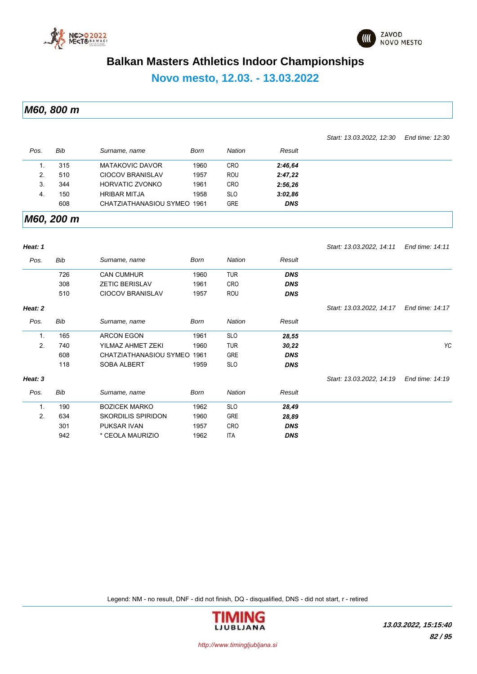



*Start: 13.03.2022, 12:30 End time: 12:30*

### **Balkan Masters Athletics Indoor Championships**

**Novo mesto, 12.03. - 13.03.2022**

*M60, 800 m*

*Pos. Bib Surname, name Born Nation Result* 1. 315 MATAKOVIC DAVOR 1960 CRO *2:46,64* 2. 510 CIOCOV BRANISLAV 1957 ROU *2:47,22* 3. 344 HORVATIC ZVONKO 1961 CRO *2:56,26* 4. 150 HRIBAR MITJA 1958 SLO *3:02,86* 608 CHATZIATHANASIOU SYMEO 1961 GRE *DNS*

*M60, 200 m*

| Heat: 1        |            |                           |      |            |            | Start: 13.03.2022, 14.11 | End time: 14:11 |
|----------------|------------|---------------------------|------|------------|------------|--------------------------|-----------------|
| Pos.           | Bib        | Surname, name             | Born | Nation     | Result     |                          |                 |
|                | 726        | <b>CAN CUMHUR</b>         | 1960 | <b>TUR</b> | <b>DNS</b> |                          |                 |
|                | 308        | <b>ZETIC BERISLAV</b>     | 1961 | <b>CRO</b> | <b>DNS</b> |                          |                 |
|                | 510        | <b>CIOCOV BRANISLAV</b>   | 1957 | <b>ROU</b> | <b>DNS</b> |                          |                 |
| Heat: 2        |            |                           |      |            |            | Start: 13.03.2022, 14.17 | End time: 14:17 |
| Pos.           | Bib        | Surname, name             | Born | Nation     | Result     |                          |                 |
| $\mathbf{1}$ . | 165        | <b>ARCON EGON</b>         | 1961 | <b>SLO</b> | 28,55      |                          |                 |
| 2.             | 740        | YILMAZ AHMET ZEKI         | 1960 | <b>TUR</b> | 30,22      |                          | YC              |
|                | 608        | CHATZIATHANASIOU SYMEO    | 1961 | <b>GRE</b> | <b>DNS</b> |                          |                 |
|                | 118        | <b>SOBA ALBERT</b>        | 1959 | <b>SLO</b> | <b>DNS</b> |                          |                 |
| Heat: 3        |            |                           |      |            |            | Start: 13.03.2022, 14:19 | End time: 14:19 |
| Pos.           | <b>Bib</b> | Surname, name             | Born | Nation     | Result     |                          |                 |
| $\mathbf{1}$ . | 190        | <b>BOZICEK MARKO</b>      | 1962 | <b>SLO</b> | 28,49      |                          |                 |
| 2.             | 634        | <b>SKORDILIS SPIRIDON</b> | 1960 | <b>GRE</b> | 28,89      |                          |                 |
|                | 301        | PUKSAR IVAN               | 1957 | <b>CRO</b> | <b>DNS</b> |                          |                 |
|                | 942        | * CEOLA MAURIZIO          | 1962 | <b>ITA</b> | <b>DNS</b> |                          |                 |

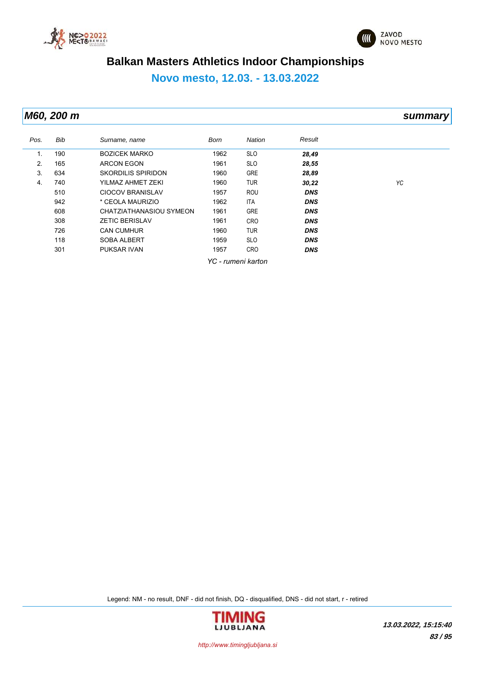



### **Novo mesto, 12.03. - 13.03.2022**

### *M60, 200 m summary*

| Pos. | Bib | Surname, name           | Born | Nation             | Result     |    |
|------|-----|-------------------------|------|--------------------|------------|----|
| 1.   | 190 | <b>BOZICEK MARKO</b>    | 1962 | <b>SLO</b>         | 28,49      |    |
| 2.   | 165 | <b>ARCON EGON</b>       | 1961 | <b>SLO</b>         | 28,55      |    |
| 3.   | 634 | SKORDILIS SPIRIDON      | 1960 | <b>GRE</b>         | 28,89      |    |
| 4.   | 740 | YILMAZ AHMET ZEKI       | 1960 | <b>TUR</b>         | 30,22      | YC |
|      | 510 | <b>CIOCOV BRANISLAV</b> | 1957 | <b>ROU</b>         | <b>DNS</b> |    |
|      | 942 | * CEOLA MAURIZIO        | 1962 | ITA                | <b>DNS</b> |    |
|      | 608 | CHATZIATHANASIOU SYMEON | 1961 | <b>GRE</b>         | <b>DNS</b> |    |
|      | 308 | <b>ZETIC BERISLAV</b>   | 1961 | <b>CRO</b>         | <b>DNS</b> |    |
|      | 726 | <b>CAN CUMHUR</b>       | 1960 | <b>TUR</b>         | <b>DNS</b> |    |
|      | 118 | <b>SOBA ALBERT</b>      | 1959 | <b>SLO</b>         | <b>DNS</b> |    |
|      | 301 | <b>PUKSAR IVAN</b>      | 1957 | <b>CRO</b>         | <b>DNS</b> |    |
|      |     |                         |      | YC - rumeni karton |            |    |

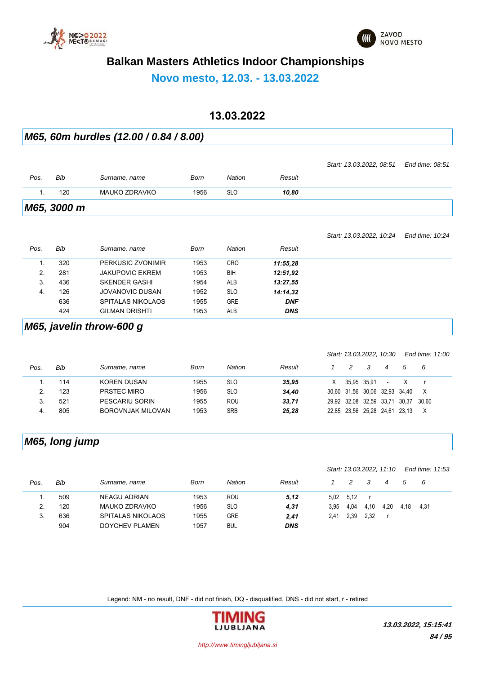



**Novo mesto, 12.03. - 13.03.2022**

### **13.03.2022**

#### *M65, 60m hurdles (12.00 / 0.84 / 8.00)*

| M65, 3000 m |     |               |      |            |        |                          |                 |
|-------------|-----|---------------|------|------------|--------|--------------------------|-----------------|
|             | 120 | MAUKO ZDRAVKO | 1956 | <b>SLO</b> | 10.80  |                          |                 |
| Pos.        | Bib | Surname, name | Born | Nation     | Result |                          |                 |
|             |     |               |      |            |        | Start: 13.03.2022, 08:51 | End time: 08:51 |

*Start: 13.03.2022, 10:24 End time: 10:24*

| Pos. | Bib | Surname, name          | <b>Born</b> | Nation     | Result     |  |
|------|-----|------------------------|-------------|------------|------------|--|
|      | 320 | PERKUSIC ZVONIMIR      | 1953        | <b>CRO</b> | 11:55,28   |  |
| 2.   | 281 | <b>JAKUPOVIC EKREM</b> | 1953        | BIH        | 12:51.92   |  |
| 3.   | 436 | <b>SKENDER GASHI</b>   | 1954        | <b>ALB</b> | 13:27,55   |  |
| 4.   | 126 | JOVANOVIC DUSAN        | 1952        | <b>SLO</b> | 14:14.32   |  |
|      | 636 | SPITALAS NIKOLAOS      | 1955        | <b>GRE</b> | <b>DNF</b> |  |
|      | 424 | <b>GILMAN DRISHTI</b>  | 1953        | <b>ALB</b> | <b>DNS</b> |  |

#### *M65, javelin throw-600 g*

|      |     |                          |      |            |        |   | Start: 13.03.2022, 10:30 |   |                          |                               | End time: 11:00 |
|------|-----|--------------------------|------|------------|--------|---|--------------------------|---|--------------------------|-------------------------------|-----------------|
| Pos. | Bib | Surname, name            | Born | Nation     | Result |   | 2                        | 3 | 4                        | 5.                            | - 6             |
|      | 114 | <b>KOREN DUSAN</b>       | 1955 | <b>SLO</b> | 35.95  | X | 35.95 35.91              |   | $\overline{\phantom{a}}$ |                               |                 |
| 2    | 123 | PRSTEC MIRO              | 1956 | <b>SLO</b> | 34.40  |   |                          |   |                          | 30.60 31.56 30.06 32.93 34.40 | X               |
| 3.   | 521 | PESCARIU SORIN           | 1955 | ROU        | 33,71  |   | 29,92 32,08 32,59 33,71  |   |                          | 30.37                         | 30.60           |
| 4.   | 805 | <b>BOROVNJAK MILOVAN</b> | 1953 | <b>SRB</b> | 25,28  |   | 22,85 23,56 25,28 24,61  |   |                          | 23.13                         | X               |

### *M65, long jump*

|      |     |                     |      |               |            |      |               |      | Start: 13.03.2022, 11:10 |      | End time: 11:53 |
|------|-----|---------------------|------|---------------|------------|------|---------------|------|--------------------------|------|-----------------|
| Pos. | Bib | Surname, name       | Born | <b>Nation</b> | Result     |      | $\mathcal{P}$ | 3    | 4                        |      | - 6             |
|      | 509 | <b>NEAGU ADRIAN</b> | 1953 | <b>ROU</b>    | 5,12       | 5.02 | 5.12          |      |                          |      |                 |
| 2.   | 120 | MAUKO ZDRAVKO       | 1956 | <b>SLO</b>    | 4,31       | 3.95 | 4,04          | 4,10 | 4.20                     | 4.18 | 4.31            |
| 3.   | 636 | SPITALAS NIKOLAOS   | 1955 | <b>GRE</b>    | 2,41       | 2.41 | 2.39          | 2.32 |                          |      |                 |
|      | 904 | DOYCHEV PLAMEN      | 1957 | <b>BUL</b>    | <b>DNS</b> |      |               |      |                          |      |                 |

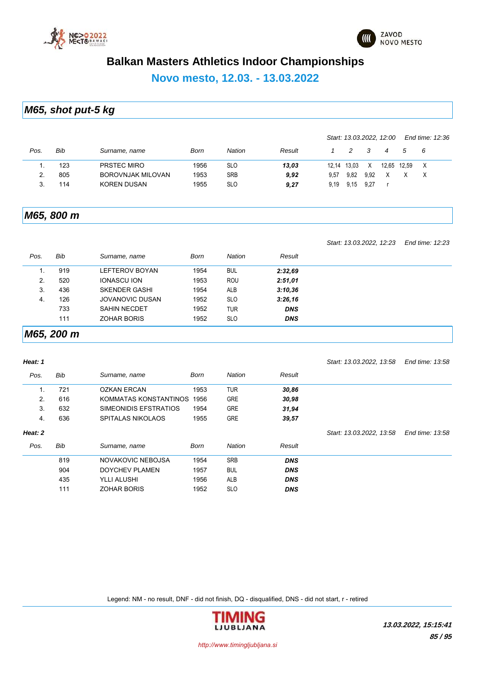



**Novo mesto, 12.03. - 13.03.2022**

*M65, shot put-5 kg*

|      |     |                          |      |            |        |       |               |           | Start: 13.03.2022, 12:00 |             | End time: 12:36 |  |
|------|-----|--------------------------|------|------------|--------|-------|---------------|-----------|--------------------------|-------------|-----------------|--|
| Pos. | Bib | Surname, name            | Born | Nation     | Result |       | $\mathcal{P}$ | $\cdot$ 3 | 4                        | 5           | - 6             |  |
|      | 123 | PRSTEC MIRO              | 1956 | <b>SLO</b> | 13,03  | 12.14 | 13.03         | X         |                          | 12,65 12,59 | X               |  |
|      | 805 | <b>BOROVNJAK MILOVAN</b> | 1953 | <b>SRB</b> | 9,92   | 9.57  | 9,82          | 9,92      |                          |             |                 |  |
|      | 114 | <b>KOREN DUSAN</b>       | 1955 | <b>SLO</b> | 9,27   | 9.19  | 9.15          | 9.27      |                          |             |                 |  |

#### *M65, 800 m*

*Start: 13.03.2022, 12:23 End time: 12:23*

| Pos. | <b>Bib</b> | Surname, name          | Born | <b>Nation</b> | Result     |
|------|------------|------------------------|------|---------------|------------|
|      | 919        | LEFTEROV BOYAN         | 1954 | <b>BUL</b>    | 2:32,69    |
| 2.   | 520        | <b>IONASCU ION</b>     | 1953 | <b>ROU</b>    | 2:51,01    |
| 3.   | 436        | <b>SKENDER GASHI</b>   | 1954 | <b>ALB</b>    | 3:10,36    |
| 4.   | 126        | <b>JOVANOVIC DUSAN</b> | 1952 | <b>SLO</b>    | 3:26,16    |
|      | 733        | <b>SAHIN NECDET</b>    | 1952 | TUR           | <b>DNS</b> |
|      | 111        | <b>ZOHAR BORIS</b>     | 1952 | <b>SLO</b>    | <b>DNS</b> |

#### *M65, 200 m*

#### *Heat: 1 Pos. Bib Surname, name Born Nation Result Start: 13.03.2022, 13:58 End time: 13:58* 1. 721 OZKAN ERCAN 1953 TUR *30,86* 2. 616 KOMMATAS KONSTANTINOS 1956 GRE *30,98* 3. 632 SIMEONIDIS EFSTRATIOS 1954 GRE *31,94* 4. 636 SPITALAS NIKOLAOS 1955 GRE *39,57 Heat: 2 Pos. Bib Surname, name Born Nation Result Start: 13.03.2022, 13:58 End time: 13:58* 819 NOVAKOVIC NEBOJSA 1954 SRB *DNS* 904 DOYCHEV PLAMEN 1957 BUL *DNS* 435 YLLI ALUSHI 1956 ALB *DNS* 111 ZOHAR BORIS 1952 SLO *DNS*

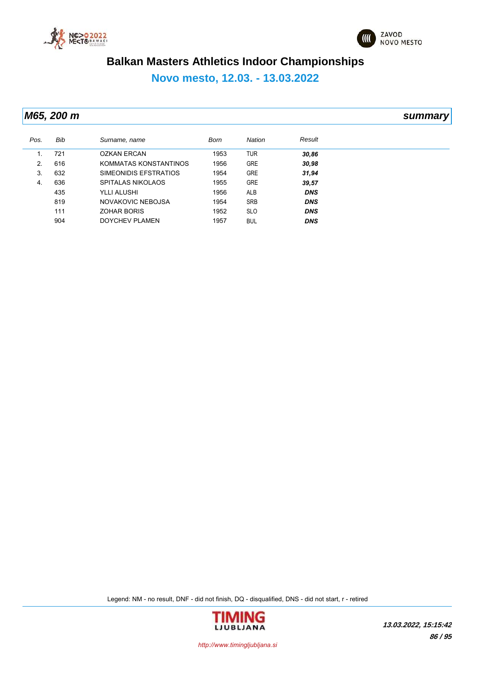



**Novo mesto, 12.03. - 13.03.2022**

*M65, 200 m summary*

| Pos. | <b>Bib</b> | Surname, name         | Born | <b>Nation</b> | Result     |
|------|------------|-----------------------|------|---------------|------------|
|      | 721        | <b>OZKAN ERCAN</b>    | 1953 | <b>TUR</b>    | 30,86      |
| 2.   | 616        | KOMMATAS KONSTANTINOS | 1956 | <b>GRE</b>    | 30,98      |
| 3.   | 632        | SIMEONIDIS EFSTRATIOS | 1954 | <b>GRE</b>    | 31,94      |
| 4.   | 636        | SPITALAS NIKOLAOS     | 1955 | <b>GRE</b>    | 39,57      |
|      | 435        | YLLI ALUSHI           | 1956 | <b>ALB</b>    | <b>DNS</b> |
|      | 819        | NOVAKOVIC NEBOJSA     | 1954 | <b>SRB</b>    | <b>DNS</b> |
|      | 111        | <b>ZOHAR BORIS</b>    | 1952 | <b>SLO</b>    | <b>DNS</b> |
|      | 904        | DOYCHEV PLAMEN        | 1957 | <b>BUL</b>    | <b>DNS</b> |

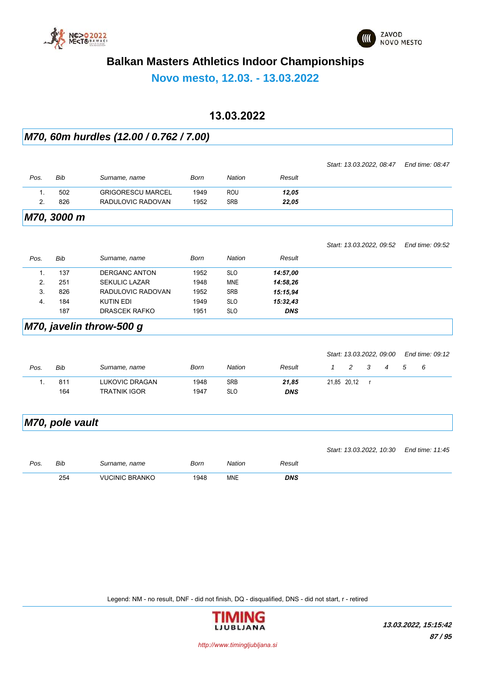



**Novo mesto, 12.03. - 13.03.2022**

### **13.03.2022**

#### *M70, 60m hurdles (12.00 / 0.762 / 7.00)*

|                |                 |                          |             |               |            |              |   |              | Start: 13.03.2022, 08.47 |   | End time: 08:47 |
|----------------|-----------------|--------------------------|-------------|---------------|------------|--------------|---|--------------|--------------------------|---|-----------------|
| Pos.           | Bib             | Surname, name            | Born        | <b>Nation</b> | Result     |              |   |              |                          |   |                 |
| $\mathbf{1}$ . | 502             | <b>GRIGORESCU MARCEL</b> | 1949        | <b>ROU</b>    | 12,05      |              |   |              |                          |   |                 |
| 2.             | 826             | RADULOVIC RADOVAN        | 1952        | <b>SRB</b>    | 22,05      |              |   |              |                          |   |                 |
|                | M70, 3000 m     |                          |             |               |            |              |   |              |                          |   |                 |
|                |                 |                          |             |               |            |              |   |              | Start: 13.03.2022, 09:52 |   | End time: 09:52 |
| Pos.           | Bib             | Surname, name            | <b>Born</b> | <b>Nation</b> | Result     |              |   |              |                          |   |                 |
| $\mathbf{1}$ . | 137             | <b>DERGANC ANTON</b>     | 1952        | <b>SLO</b>    | 14:57,00   |              |   |              |                          |   |                 |
| 2.             | 251             | <b>SEKULIC LAZAR</b>     | 1948        | <b>MNE</b>    | 14:58,26   |              |   |              |                          |   |                 |
| 3.             | 826             | RADULOVIC RADOVAN        | 1952        | <b>SRB</b>    | 15:15.94   |              |   |              |                          |   |                 |
| 4.             | 184             | <b>KUTIN EDI</b>         | 1949        | <b>SLO</b>    | 15:32,43   |              |   |              |                          |   |                 |
|                | 187             | <b>DRASCEK RAFKO</b>     | 1951        | <b>SLO</b>    | <b>DNS</b> |              |   |              |                          |   |                 |
|                |                 | M70, javelin throw-500 g |             |               |            |              |   |              |                          |   |                 |
|                |                 |                          |             |               |            |              |   |              | Start: 13.03.2022, 09:00 |   | End time: 09:12 |
| Pos.           | Bib             | Surname, name            | <b>Born</b> | <b>Nation</b> | Result     | $\mathbf{1}$ | 2 | 3            | 4                        | 5 | 6               |
| $\mathbf{1}$ . | 811             | <b>LUKOVIC DRAGAN</b>    | 1948        | <b>SRB</b>    | 21,85      | 21,85 20,12  |   | $\mathbf{r}$ |                          |   |                 |
|                | 164             | <b>TRATNIK IGOR</b>      | 1947        | <b>SLO</b>    | <b>DNS</b> |              |   |              |                          |   |                 |
|                | M70, pole vault |                          |             |               |            |              |   |              |                          |   |                 |
|                |                 |                          |             |               |            |              |   |              | Start: 13.03.2022, 10:30 |   | End time: 11:45 |
| Pos.           | <b>Bib</b>      | Surname, name            | <b>Born</b> | Nation        | Result     |              |   |              |                          |   |                 |

Legend: NM - no result, DNF - did not finish, DQ - disqualified, DNS - did not start, r - retired

254 VUCINIC BRANKO 1948 MNE *DNS*

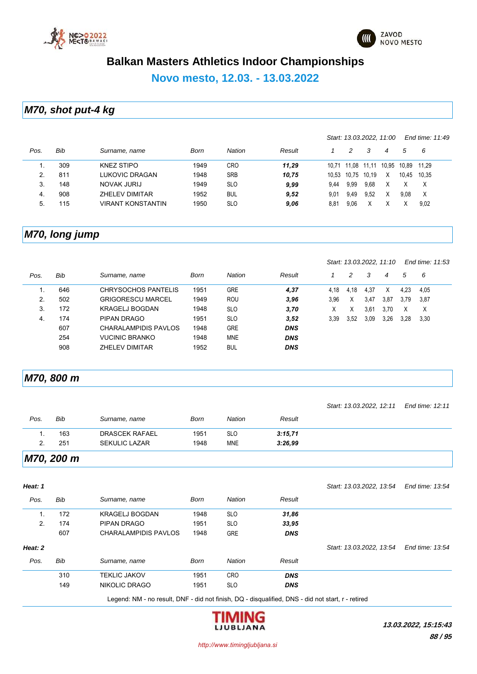



### **Novo mesto, 12.03. - 13.03.2022**

### *M70, shot put-4 kg*

|      |     |                          |      |               |        |       |             |       | Start: 13.03.2022, 11.00 |       | End time: 11:49 |
|------|-----|--------------------------|------|---------------|--------|-------|-------------|-------|--------------------------|-------|-----------------|
| Pos. | Bib | Surname, name            | Born | <b>Nation</b> | Result |       | 2           | 3     | 4                        | 5     | - 6             |
|      | 309 | KNEZ STIPO               | 1949 | CRO           | 11.29  | 10 71 | 11.08 11.11 |       | 10.95                    | 10.89 | 11.29           |
| 2.   | 811 | LUKOVIC DRAGAN           | 1948 | <b>SRB</b>    | 10.75  | 10.53 | 10.75       | 10.19 | X                        | 10.45 | 10.35           |
| 3.   | 148 | NOVAK JURIJ              | 1949 | <b>SLO</b>    | 9,99   | 9.44  | 9.99        | 9,68  | Х                        | X     | X               |
| 4.   | 908 | <b>ZHELEV DIMITAR</b>    | 1952 | <b>BUL</b>    | 9,52   | 9.01  | 9.49        | 9,52  | Χ                        | 9.08  | $\mathsf{X}$    |
| 5.   | 115 | <b>VIRANT KONSTANTIN</b> | 1950 | <b>SLO</b>    | 9,06   | 8.81  | 9,06        | Χ     |                          |       | 9.02            |

### *M70, long jump*

*Start: 13.03.2022, 11:10 End time: 11:53*

| Pos. | Bib | Surname, name            | Born | <b>Nation</b> | Result     |      | 2    | 3    | 4    | 5    | 6    |
|------|-----|--------------------------|------|---------------|------------|------|------|------|------|------|------|
|      | 646 | CHRYSOCHOS PANTELIS      | 1951 | <b>GRE</b>    | 4,37       | 4.18 | 4.18 | 4,37 | x    | 4,23 | 4,05 |
| 2.   | 502 | <b>GRIGORESCU MARCEL</b> | 1949 | <b>ROU</b>    | 3,96       | 3,96 | Χ    | 3,47 | 3,87 | 3,79 | 3.87 |
| 3.   | 172 | <b>KRAGELJ BOGDAN</b>    | 1948 | <b>SLO</b>    | 3,70       | x    | ⋏    | 3,61 | 3.70 | Х    | X    |
| 4.   | 174 | PIPAN DRAGO              | 1951 | <b>SLO</b>    | 3,52       | 3.39 | 3.52 | 3,09 | 3,26 | 3,28 | 3,30 |
|      | 607 | CHARALAMPIDIS PAVLOS     | 1948 | <b>GRE</b>    | <b>DNS</b> |      |      |      |      |      |      |
|      | 254 | <b>VUCINIC BRANKO</b>    | 1948 | <b>MNE</b>    | <b>DNS</b> |      |      |      |      |      |      |
|      | 908 | ZHELEV DIMITAR           | 1952 | <b>BUL</b>    | <b>DNS</b> |      |      |      |      |      |      |

#### *M70, 800 m*

|      |            |                       |      |            |         | Start: 13.03.2022, 12:11 End time: 12:11 |  |
|------|------------|-----------------------|------|------------|---------|------------------------------------------|--|
| Pos. | Bib        | Surname, name         | Born | Nation     | Result  |                                          |  |
|      | 163        | <b>DRASCEK RAFAEL</b> | 1951 | <b>SLO</b> | 3:15.71 |                                          |  |
|      | 251        | <b>SEKULIC LAZAR</b>  | 1948 | <b>MNE</b> | 3:26.99 |                                          |  |
|      | M70, 200 m |                       |      |            |         |                                          |  |

| Heat: 1 |     |                                                                                                   |             |               |            | Start: 13.03.2022, 13.54 | End time: 13:54 |
|---------|-----|---------------------------------------------------------------------------------------------------|-------------|---------------|------------|--------------------------|-----------------|
| Pos.    | Bib | Surname, name                                                                                     | <b>Born</b> | <b>Nation</b> | Result     |                          |                 |
| 1.      | 172 | <b>KRAGELJ BOGDAN</b>                                                                             | 1948        | <b>SLO</b>    | 31,86      |                          |                 |
| 2.      | 174 | PIPAN DRAGO                                                                                       | 1951        | <b>SLO</b>    | 33,95      |                          |                 |
|         | 607 | CHARALAMPIDIS PAVLOS                                                                              | 1948        | <b>GRE</b>    | <b>DNS</b> |                          |                 |
| Heat: 2 |     |                                                                                                   |             |               |            | Start: 13.03.2022, 13:54 | End time: 13:54 |
| Pos.    | Bib | Surname, name                                                                                     | Born        | <b>Nation</b> | Result     |                          |                 |
|         | 310 | <b>TEKLIC JAKOV</b>                                                                               | 1951        | <b>CRO</b>    | <b>DNS</b> |                          |                 |
|         | 149 | NIKOLIC DRAGO                                                                                     | 1951        | <b>SLO</b>    | <b>DNS</b> |                          |                 |
|         |     | Legend: NM - no result, DNF - did not finish, DQ - disqualified, DNS - did not start, r - retired |             |               |            |                          |                 |

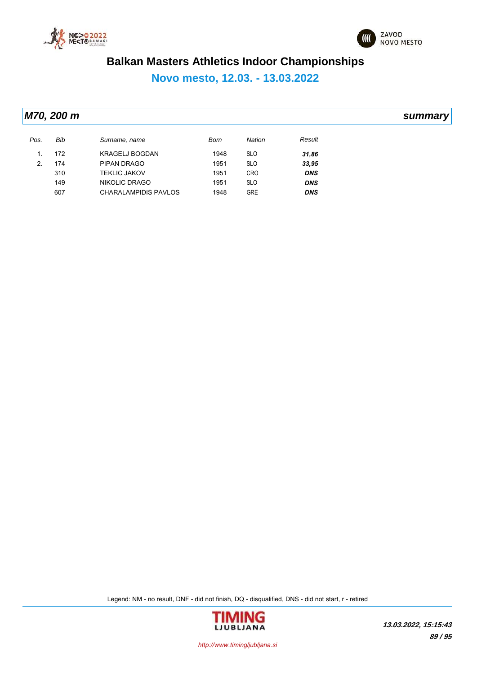



**Novo mesto, 12.03. - 13.03.2022**

|      | M70, 200 m |                       |      |            |            | summary |
|------|------------|-----------------------|------|------------|------------|---------|
| Pos. | Bib        | Surname, name         | Born | Nation     | Result     |         |
| 1.   | 172        | <b>KRAGELJ BOGDAN</b> | 1948 | <b>SLO</b> | 31,86      |         |
| 2.   | 174        | PIPAN DRAGO           | 1951 | <b>SLO</b> | 33,95      |         |
|      | 310        | <b>TEKLIC JAKOV</b>   | 1951 | <b>CRO</b> | <b>DNS</b> |         |
|      | 149        | NIKOLIC DRAGO         | 1951 | <b>SLO</b> | <b>DNS</b> |         |
|      | 607        | CHARALAMPIDIS PAVLOS  | 1948 | <b>GRE</b> | <b>DNS</b> |         |

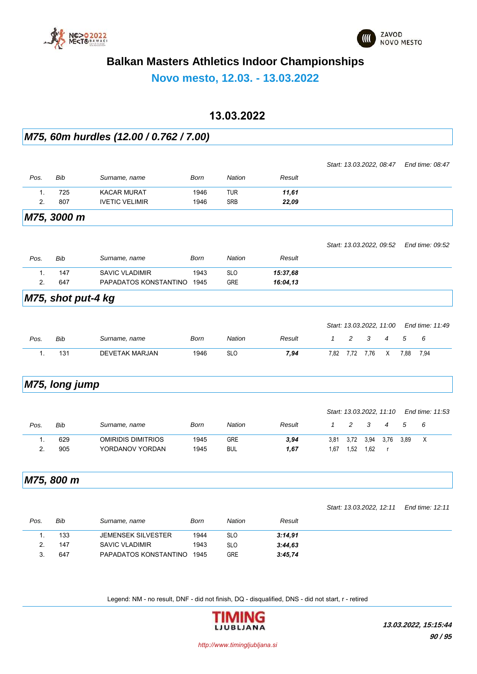



**Novo mesto, 12.03. - 13.03.2022**

### **13.03.2022**

#### *M75, 60m hurdles (12.00 / 0.762 / 7.00)*

|      |                    |                            |             |               |          | Start: 13.03.2022, 08:47                              | End time: 08:47 |
|------|--------------------|----------------------------|-------------|---------------|----------|-------------------------------------------------------|-----------------|
| Pos. | Bib                | Surname, name              | <b>Born</b> | Nation        | Result   |                                                       |                 |
| 1.   | 725                | <b>KACAR MURAT</b>         | 1946        | <b>TUR</b>    | 11,61    |                                                       |                 |
| 2.   | 807                | <b>IVETIC VELIMIR</b>      | 1946        | <b>SRB</b>    | 22,09    |                                                       |                 |
|      | M75, 3000 m        |                            |             |               |          |                                                       |                 |
|      |                    |                            |             |               |          | Start: 13.03.2022, 09:52                              | End time: 09:52 |
| Pos. | <b>Bib</b>         | Surname, name              | <b>Born</b> | <b>Nation</b> | Result   |                                                       |                 |
| 1.   | 147                | SAVIC VLADIMIR             | 1943        | <b>SLO</b>    | 15:37,68 |                                                       |                 |
| 2.   | 647                | PAPADATOS KONSTANTINO 1945 |             | <b>GRE</b>    | 16:04,13 |                                                       |                 |
|      | M75, shot put-4 kg |                            |             |               |          |                                                       |                 |
|      |                    |                            |             |               |          | Start: 13.03.2022, 11:00                              | End time: 11:49 |
| Pos. | <b>Bib</b>         | Surname, name              | <b>Born</b> | Nation        | Result   | $\overline{c}$<br>3<br>$\mathcal I$<br>$\overline{4}$ | 5<br>6          |
| 1.   | 131                | <b>DEVETAK MARJAN</b>      | 1946        | <b>SLO</b>    | 7,94     | 7,82<br>7,72<br>7,76<br>Χ                             | 7,94<br>7,88    |
|      | M75, long jump     |                            |             |               |          |                                                       |                 |
|      |                    |                            |             |               |          | Start: 13.03.2022, 11:10                              | End time: 11:53 |
| Pos. | Bib                | Surname, name              | <b>Born</b> | Nation        | Result   | $\overline{c}$<br>3<br>$\mathcal I$<br>4              | 5<br>6          |
| 1.   | 629                | <b>OMIRIDIS DIMITRIOS</b>  | 1945        | <b>GRE</b>    | 3,94     | 3,72<br>3,81<br>3,94<br>3,76                          | X<br>3,89       |
| 2.   | 905                | YORDANOV YORDAN            | 1945        | <b>BUL</b>    | 1,67     | 1,52<br>1,67<br>1,62<br>$\mathsf{r}$                  |                 |
|      | M75, 800 m         |                            |             |               |          |                                                       |                 |
|      |                    |                            |             |               |          | Start: 13.03.2022, 12:11                              | End time: 12:11 |
| Pos. | <b>Bib</b>         | Surname, name              | <b>Born</b> | <b>Nation</b> | Result   |                                                       |                 |
| 1.   | 133                | <b>JEMENSEK SILVESTER</b>  | 1944        | <b>SLO</b>    | 3:14,91  |                                                       |                 |
| 2.   | 147                | <b>SAVIC VLADIMIR</b>      | 1943        | <b>SLO</b>    | 3:44,63  |                                                       |                 |

Legend: NM - no result, DNF - did not finish, DQ - disqualified, DNS - did not start, r - retired

3. 647 PAPADATOS KONSTANTINO 1945 GRE *3:45,74*

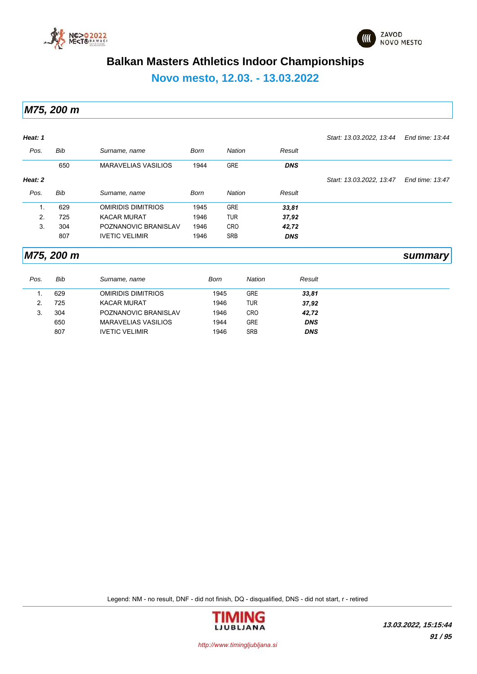



**Novo mesto, 12.03. - 13.03.2022**

*M75, 200 m*

| Heat: 1 |            |                            |             |               |            | Start: 13.03.2022, 13:44 | End time: 13:44 |
|---------|------------|----------------------------|-------------|---------------|------------|--------------------------|-----------------|
| Pos.    | Bib        | Surname, name              | <b>Born</b> | <b>Nation</b> | Result     |                          |                 |
|         | 650        | <b>MARAVELIAS VASILIOS</b> | 1944        | <b>GRE</b>    | <b>DNS</b> |                          |                 |
| Heat: 2 |            |                            |             |               |            | Start: 13.03.2022, 13.47 | End time: 13:47 |
| Pos.    | Bib        | Surname, name              | Born        | <b>Nation</b> | Result     |                          |                 |
| 1.      | 629        | <b>OMIRIDIS DIMITRIOS</b>  | 1945        | <b>GRE</b>    | 33,81      |                          |                 |
| 2.      | 725        | <b>KACAR MURAT</b>         | 1946        | <b>TUR</b>    | 37,92      |                          |                 |
| 3.      | 304        | POZNANOVIC BRANISLAV       | 1946        | <b>CRO</b>    | 42,72      |                          |                 |
|         | 807        | <b>IVETIC VELIMIR</b>      | 1946        | <b>SRB</b>    | <b>DNS</b> |                          |                 |
|         | M75, 200 m |                            |             |               |            |                          | summary         |

| Pos. | Bib | Surname, name              | Born | Nation     | Result     |  |
|------|-----|----------------------------|------|------------|------------|--|
|      | 629 | <b>OMIRIDIS DIMITRIOS</b>  | 1945 | <b>GRE</b> | 33,81      |  |
| 2    | 725 | <b>KACAR MURAT</b>         | 1946 | TUR        | 37,92      |  |
| 3.   | 304 | POZNANOVIC BRANISLAV       | 1946 | <b>CRO</b> | 42,72      |  |
|      | 650 | <b>MARAVELIAS VASILIOS</b> | 1944 | <b>GRE</b> | <b>DNS</b> |  |
|      | 807 | <b>IVETIC VELIMIR</b>      | 1946 | <b>SRB</b> | <b>DNS</b> |  |

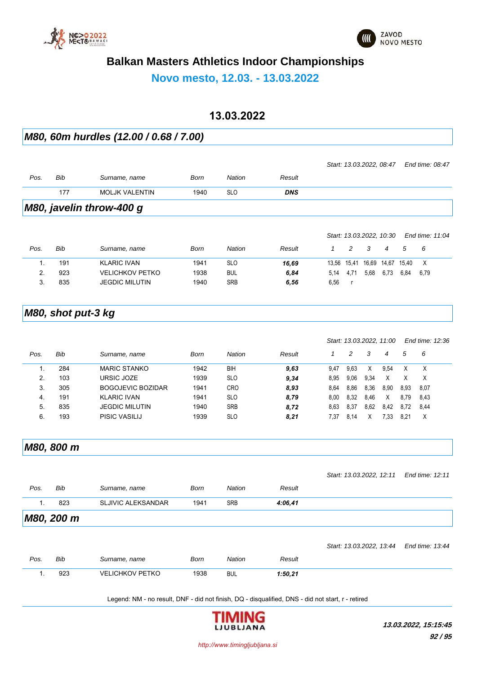



*Start: 13.03.2022, 10:30 End time: 11:04*

### **Balkan Masters Athletics Indoor Championships**

**Novo mesto, 12.03. - 13.03.2022**

### **13.03.2022**

*M80, 60m hurdles (12.00 / 0.68 / 7.00)*

| M80, javelin throw-400 g |     |                       |      |            |            |                          |                 |  |
|--------------------------|-----|-----------------------|------|------------|------------|--------------------------|-----------------|--|
|                          | 177 | <b>MOLJK VALENTIN</b> | 1940 | <b>SLO</b> | <b>DNS</b> |                          |                 |  |
| Pos.                     | Bib | Surname, name         | Born | Nation     | Result     |                          |                 |  |
|                          |     |                       |      |            |            | Start: 13.03.2022, 08:47 | End time: 08:47 |  |

| Pos. | Bib | Surname, name          | Born | Nation     | Result |       |       |       |       |       | - 6  |
|------|-----|------------------------|------|------------|--------|-------|-------|-------|-------|-------|------|
|      | 191 | <b>KLARIC IVAN</b>     | 1941 | <b>SLO</b> | 16,69  | 13.56 | 15.41 | 16,69 | 14,67 | 15.40 |      |
|      | 923 | <b>VELICHKOV PETKO</b> | 1938 | <b>BUL</b> | 6,84   | 5.14  | 4.71  | 5,68  | 6.73  | 6.84  | 6.79 |
| ບ.   | 835 | <b>JEGDIC MILUTIN</b>  | 1940 | <b>SRB</b> | 6,56   | 6,56  |       |       |       |       |      |

#### *M80, shot put-3 kg*

| End time: 12:36 |
|-----------------|
| 5<br>6          |
| X               |
| X               |
| 8,93<br>8,07    |
| 8.79<br>8,43    |
| 8.72<br>8,44    |
| X<br>8.21       |
|                 |

*M80, 800 m*

|      |            |                           |             |               |         | Start: 13.03.2022, 12:11 | End time: 12:11 |
|------|------------|---------------------------|-------------|---------------|---------|--------------------------|-----------------|
| Pos. | Bib        | Surname, name             | <b>Born</b> | <b>Nation</b> | Result  |                          |                 |
| 1.   | 823        | <b>SLJIVIC ALEKSANDAR</b> | 1941        | <b>SRB</b>    | 4:06,41 |                          |                 |
|      | M80, 200 m |                           |             |               |         |                          |                 |
|      |            |                           |             |               |         | Start: 13.03.2022, 13.44 | End time: 13:44 |
| Pos. | Bib        | Surname, name             | <b>Born</b> | <b>Nation</b> | Result  |                          |                 |
| 1.   | 923        | <b>VELICHKOV PETKO</b>    | 1938        | <b>BUL</b>    | 1:50,21 |                          |                 |
|      |            |                           |             |               |         |                          |                 |

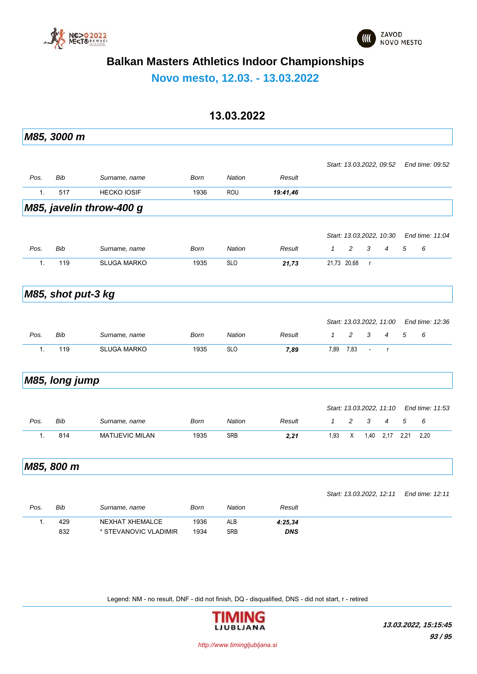



**Novo mesto, 12.03. - 13.03.2022**

### **13.03.2022**

|               | M85, 3000 m        |                          |             |               |            |              |             |                          |                          |      |                 |
|---------------|--------------------|--------------------------|-------------|---------------|------------|--------------|-------------|--------------------------|--------------------------|------|-----------------|
|               |                    |                          |             |               |            |              |             |                          |                          |      |                 |
|               |                    |                          |             |               |            |              |             |                          | Start: 13.03.2022, 09:52 |      | End time: 09:52 |
| Pos.          | <b>Bib</b>         | Surname, name            | <b>Born</b> | <b>Nation</b> | Result     |              |             |                          |                          |      |                 |
| 1.            | 517                | <b>HECKO IOSIF</b>       | 1936        | <b>ROU</b>    | 19:41,46   |              |             |                          |                          |      |                 |
|               |                    | M85, javelin throw-400 g |             |               |            |              |             |                          |                          |      |                 |
|               |                    |                          |             |               |            |              |             |                          |                          |      |                 |
|               |                    |                          |             |               |            |              |             |                          | Start: 13.03.2022, 10:30 |      | End time: 11:04 |
| Pos.          | <b>Bib</b>         | Surname, name            | <b>Born</b> | <b>Nation</b> | Result     | $\mathbf{1}$ | 2           | 3                        | $\overline{4}$           | 5    | 6               |
| 1.            | 119                | <b>SLUGA MARKO</b>       | 1935        | <b>SLO</b>    | 21,73      |              | 21,73 20,68 | $\mathsf{r}$             |                          |      |                 |
|               | M85, shot put-3 kg |                          |             |               |            |              |             |                          |                          |      |                 |
|               |                    |                          |             |               |            |              |             |                          |                          |      |                 |
|               |                    |                          |             |               |            |              |             |                          | Start: 13.03.2022, 11:00 |      | End time: 12:36 |
| Pos.          | <b>Bib</b>         | Surname, name            | <b>Born</b> | <b>Nation</b> | Result     | $\mathcal I$ | 2           | 3                        | $\overline{4}$           | 5    | 6               |
| 1.            | 119                | <b>SLUGA MARKO</b>       | 1935        | <b>SLO</b>    | 7,89       | 7,89         | 7,83        | $\overline{\phantom{a}}$ | $\mathsf{r}$             |      |                 |
|               |                    |                          |             |               |            |              |             |                          |                          |      |                 |
|               | M85, long jump     |                          |             |               |            |              |             |                          |                          |      |                 |
|               |                    |                          |             |               |            |              |             |                          | Start: 13.03.2022, 11:10 |      | End time: 11:53 |
| Pos.          | <b>Bib</b>         | Surname, name            | <b>Born</b> | <b>Nation</b> | Result     | $\mathcal I$ | 2           | 3                        | 4                        | 5    | 6               |
|               |                    |                          |             |               |            |              |             |                          |                          |      |                 |
| 1.            | 814                | <b>MATIJEVIC MILAN</b>   | 1935        | SRB           | 2,21       | 1,93         | X           | 1,40                     | 2,17                     | 2,21 | 2,20            |
|               | M85, 800 m         |                          |             |               |            |              |             |                          |                          |      |                 |
|               |                    |                          |             |               |            |              |             |                          |                          |      |                 |
|               |                    |                          |             |               |            |              |             |                          | Start: 13.03.2022, 12:11 |      | End time: 12:11 |
| Pos.          | Bib                | Surname, name            | Born        | Nation        | Result     |              |             |                          |                          |      |                 |
| $\mathbf 1$ . | 429                | NEXHAT XHEMALCE          | 1936        | ALB           | 4:25,34    |              |             |                          |                          |      |                 |
|               | 832                | * STEVANOVIC VLADIMIR    | 1934        | SRB           | <b>DNS</b> |              |             |                          |                          |      |                 |
|               |                    |                          |             |               |            |              |             |                          |                          |      |                 |

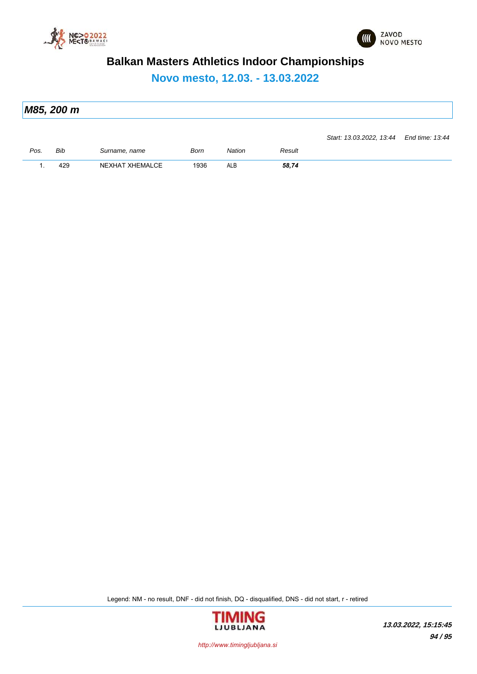



**Novo mesto, 12.03. - 13.03.2022**

| M85, 200 m |                                          |  |
|------------|------------------------------------------|--|
|            |                                          |  |
|            | Start: 13.03.2022, 13:44 End time: 13:44 |  |

| P <sub>OS</sub> | Bib              | name | Born                                | atıor | Result |
|-----------------|------------------|------|-------------------------------------|-------|--------|
|                 |                  |      | the contract of the contract of the |       | .      |
|                 | $\sim$<br>$\sim$ | 14 A | 936<br>.                            | ALL   | 58,74  |